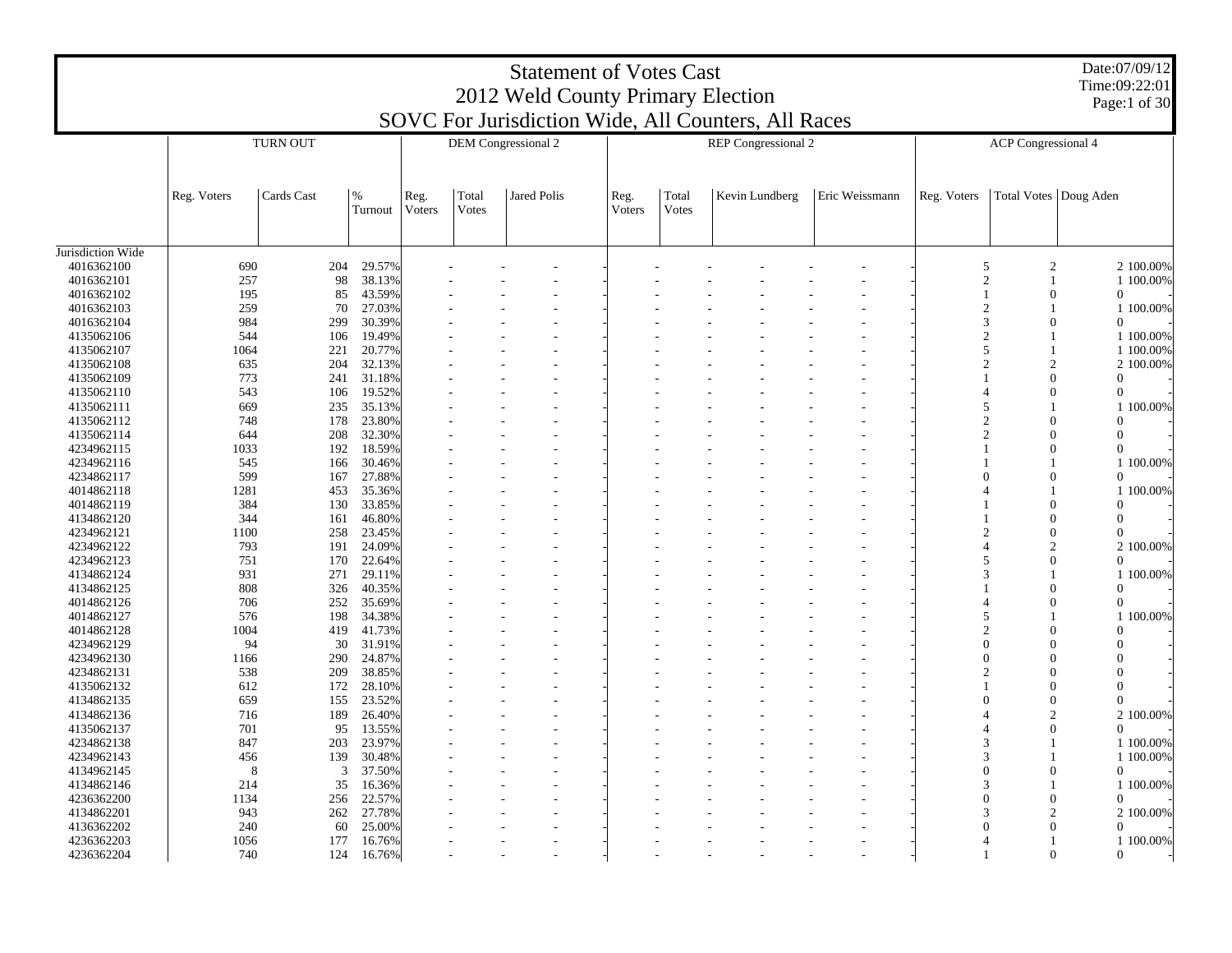|                          |             |                 |                  |                |                | <b>Statement of Votes Cast</b><br>2012 Weld County Primary Election |                |                | SOVC For Jurisdiction Wide, All Counters, All Races |                |              |                                       | Date:07/09/12<br>Time:09:22:01<br>Page:1 of 30 |
|--------------------------|-------------|-----------------|------------------|----------------|----------------|---------------------------------------------------------------------|----------------|----------------|-----------------------------------------------------|----------------|--------------|---------------------------------------|------------------------------------------------|
|                          |             | <b>TURN OUT</b> |                  |                |                | DEM Congressional 2                                                 |                |                | <b>REP</b> Congressional 2                          |                |              | <b>ACP</b> Congressional 4            |                                                |
|                          |             |                 |                  |                |                |                                                                     |                |                |                                                     |                |              |                                       |                                                |
|                          | Reg. Voters | Cards Cast      | %<br>Turnout     | Reg.<br>Voters | Total<br>Votes | <b>Jared Polis</b>                                                  | Reg.<br>Voters | Total<br>Votes | Kevin Lundberg                                      | Eric Weissmann | Reg. Voters  |                                       | Total Votes   Doug Aden                        |
| Jurisdiction Wide        |             |                 |                  |                |                |                                                                     |                |                |                                                     |                |              |                                       |                                                |
| 4016362100               | 690         | 204             | 29.57%           |                |                |                                                                     |                |                |                                                     |                |              | $\overline{c}$<br>5                   | 2 100.00%                                      |
| 4016362101               | 257         | 98              | 38.13%           |                |                |                                                                     |                |                |                                                     |                |              | $\overline{2}$<br>$\mathbf{1}$        | 1 100.00%                                      |
| 4016362102               | 195         | 85              | 43.59%           |                |                |                                                                     |                |                |                                                     |                | $\mathbf{1}$ | $\overline{0}$                        | $\overline{0}$                                 |
| 4016362103               | 259         | 70              | 27.03%           |                |                |                                                                     |                |                |                                                     |                |              | $\overline{c}$<br>1                   | 1 100.00%                                      |
| 4016362104               | 984         | 299             | 30.39%           |                |                |                                                                     |                |                |                                                     |                |              | 3<br>$\overline{0}$                   | $\overline{0}$                                 |
| 4135062106               | 544         | 106             | 19.49%           |                |                |                                                                     |                |                |                                                     |                |              | $\mathfrak{2}$<br>1                   | 1 100.00%                                      |
| 4135062107               | 1064        | 221             | 20.77%           |                |                |                                                                     |                |                |                                                     |                |              | 5<br>1                                | 1 100.00%                                      |
| 4135062108               | 635         | 204             | 32.13%           |                |                |                                                                     |                |                |                                                     |                |              | $\overline{2}$<br>2                   | 2 100.00%                                      |
| 4135062109               | 773         | 241             | 31.18%           |                |                |                                                                     |                |                |                                                     |                | $\mathbf{1}$ | $\mathbf{0}$                          | $\mathbf{0}$                                   |
| 4135062110               | 543         | 106             | 19.52%           |                |                |                                                                     |                |                |                                                     |                | 4            | $\overline{0}$                        | $\Omega$                                       |
| 4135062111               | 669         | 235             | 35.13%           |                |                |                                                                     |                |                |                                                     |                |              | 5<br>$\overline{1}$                   | 1 100.00%                                      |
| 4135062112               | 748         | 178             | 23.80%           |                |                |                                                                     |                |                |                                                     |                |              | $\overline{c}$<br>$\mathbf{0}$        | $\overline{0}$                                 |
| 4135062114               | 644         | 208             | 32.30%           |                |                |                                                                     |                |                |                                                     |                |              | $\mathfrak{D}$<br>$\Omega$            | $\Omega$                                       |
| 4234962115               | 1033        | 192             | 18.59%           |                |                |                                                                     |                |                |                                                     |                | $\mathbf{1}$ | $\overline{0}$                        | $\theta$                                       |
| 4234962116               | 545         | 166             | 30.46%           |                |                |                                                                     |                |                |                                                     |                |              | -1                                    | 1 100.00%                                      |
| 4234862117               | 599         | 167             | 27.88%           |                |                |                                                                     |                |                |                                                     |                |              | $\overline{0}$<br>$\mathbf{0}$        | $\mathbf{0}$                                   |
| 4014862118               | 1281        | 453             | 35.36%           |                |                |                                                                     |                |                |                                                     |                | $\Delta$     | -1                                    | 1 100.00%                                      |
| 4014862119               | 384         | 130             | 33.85%           |                |                |                                                                     |                |                |                                                     |                |              | $\mathbf{0}$                          | $\theta$                                       |
| 4134862120               | 344         | 161             | 46.80%           |                |                |                                                                     |                |                |                                                     |                |              | $\mathbf{0}$                          | $\theta$                                       |
| 4234962121               | 1100        | 258             | 23.45%           |                |                |                                                                     |                |                |                                                     |                |              | $\overline{c}$<br>$\Omega$            | $\Omega$                                       |
| 4234962122               | 793         | 191             | 24.09%           |                |                |                                                                     |                |                |                                                     |                | 4            | $\overline{2}$                        | 2 100.00%                                      |
| 4234962123               | 751         | 170             | 22.64%           |                |                |                                                                     |                |                |                                                     |                |              | 5<br>$\overline{0}$                   | $\Omega$                                       |
| 4134862124               | 931         | 271             | 29.11%           |                |                |                                                                     |                |                |                                                     |                |              | 3<br>1                                | 1 100.00%                                      |
| 4134862125               | 808         | 326             | 40.35%           |                |                |                                                                     |                |                |                                                     |                | $\mathbf{1}$ | $\overline{0}$                        | $\Omega$                                       |
| 4014862126               | 706         | 252             | 35.69%           |                |                |                                                                     |                |                |                                                     |                | $\Delta$     | $\mathbf{0}$                          | $\mathbf{0}$                                   |
| 4014862127               | 576         | 198<br>419      | 34.38%           |                |                |                                                                     |                |                |                                                     |                |              | 5<br>-1<br>$\overline{c}$<br>$\Omega$ | 1 100.00%<br>$\Omega$                          |
| 4014862128<br>4234962129 | 1004<br>94  | 30              | 41.73%<br>31.91% |                |                |                                                                     |                |                |                                                     |                |              | $\boldsymbol{0}$<br>$\theta$          | $\mathbf{0}$                                   |
| 4234962130               | 1166        | 290             | 24.87%           |                |                |                                                                     |                |                |                                                     |                |              | $\overline{0}$<br>$\theta$            | $\Omega$                                       |
| 4234862131               | 538         | 209             | 38.85%           |                |                |                                                                     |                |                |                                                     |                |              | $\overline{c}$<br>$\theta$            | $\overline{0}$                                 |
| 4135062132               | 612         | 172             | 28.10%           |                |                |                                                                     |                |                |                                                     |                | $\mathbf{1}$ | $\theta$                              | $\Omega$                                       |
| 4134862135               | 659         | 155             | 23.52%           |                |                |                                                                     |                |                |                                                     |                |              | $\overline{0}$<br>$\mathbf{0}$        | $\mathbf{0}$                                   |
| 4134862136               | 716         | 189             | 26.40%           |                |                |                                                                     |                |                |                                                     |                | 4            | 2                                     | 2 100.00%                                      |
| 4135062137               | 701         | 95              | 13.55%           |                |                |                                                                     |                |                |                                                     |                | $\Delta$     | $\Omega$                              | $\Omega$                                       |
| 4234862138               | 847         | 203             | 23.97%           |                |                |                                                                     |                |                |                                                     |                |              | 3<br>-1                               | 1 100.00%                                      |
| 4234962143               | 456         | 139             | 30.48%           |                |                |                                                                     |                |                |                                                     |                |              | 3<br>-1                               | 1 100.00%                                      |
| 4134962145               | 8           | 3               | 37.50%           |                |                |                                                                     |                |                |                                                     |                |              | $\overline{0}$<br>$\overline{0}$      | $\overline{0}$                                 |
| 4134862146               | 214         | 35              | 16.36%           |                |                |                                                                     |                |                |                                                     |                |              | 3<br>-1                               | 1 100.00%                                      |
| 4236362200               | 1134        | 256             | 22.57%           |                |                |                                                                     |                |                |                                                     |                |              | $\overline{0}$<br>$\mathbf{0}$        | $\theta$                                       |
| 4134862201               | 943         | 262             | 27.78%           |                |                |                                                                     |                |                |                                                     |                |              | 3<br>$\overline{2}$                   | 2 100.00%                                      |
| 4136362202               | 240         | 60              | 25.00%           |                |                |                                                                     |                |                |                                                     |                |              | $\Omega$<br>$\Omega$                  | $\Omega$                                       |
| 4236362203               | 1056        | 177             | 16.76%           |                |                | ÷                                                                   |                |                |                                                     |                | 4            | 1                                     | 1 100.00%                                      |
| 4236362204               | 740         | 124             | 16.76%           |                |                |                                                                     |                |                |                                                     |                | $\mathbf{1}$ | $\overline{0}$                        | $\overline{0}$                                 |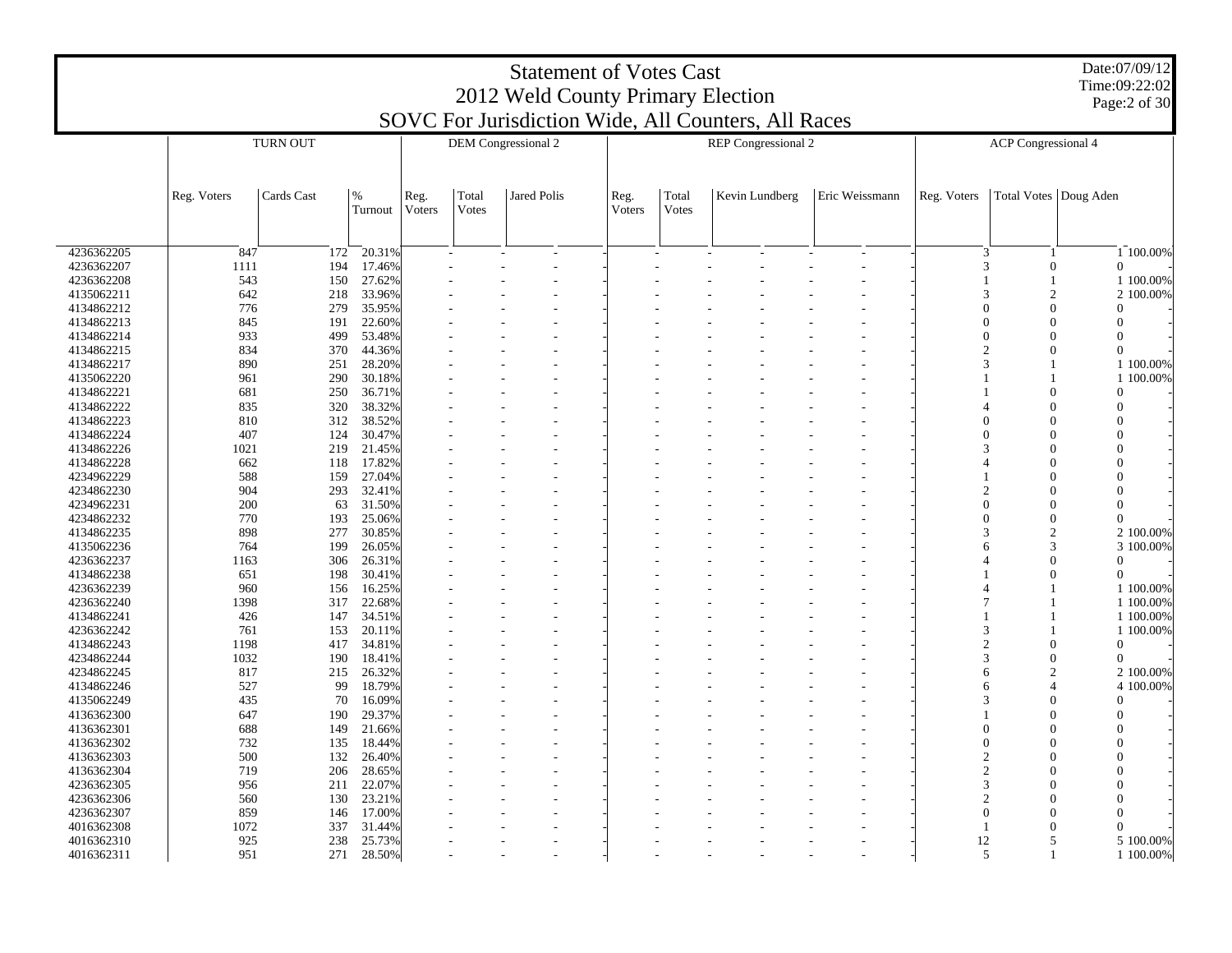| Date:07/09/12<br><b>Statement of Votes Cast</b><br>Time:09:22:02<br>2012 Weld County Primary Election<br>Page:2 of 30<br>SOVC For Jurisdiction Wide, All Counters, All Races |             |                 |                  |                |                |                            |  |                |                       |                            |                |                |                                 |                         |
|------------------------------------------------------------------------------------------------------------------------------------------------------------------------------|-------------|-----------------|------------------|----------------|----------------|----------------------------|--|----------------|-----------------------|----------------------------|----------------|----------------|---------------------------------|-------------------------|
|                                                                                                                                                                              |             | <b>TURN OUT</b> |                  |                |                | <b>DEM</b> Congressional 2 |  |                |                       | <b>REP</b> Congressional 2 |                |                | <b>ACP</b> Congressional 4      |                         |
|                                                                                                                                                                              |             |                 |                  |                |                |                            |  |                |                       |                            |                |                |                                 |                         |
|                                                                                                                                                                              | Reg. Voters | Cards Cast      | $\%$<br>Turnout  | Reg.<br>Voters | Total<br>Votes | <b>Jared Polis</b>         |  | Reg.<br>Voters | Total<br><b>Votes</b> | Kevin Lundberg             | Eric Weissmann | Reg. Voters    |                                 | Total Votes   Doug Aden |
| 4236362205                                                                                                                                                                   | 847         | 172             | 20.31%           |                |                |                            |  |                |                       |                            |                |                | 3<br>1                          | 1 100.00%               |
| 4236362207                                                                                                                                                                   | 1111        | 194             | 17.46%           |                |                |                            |  |                |                       |                            |                |                | $\mathcal{R}$<br>$\theta$       | $\overline{0}$          |
| 4236362208                                                                                                                                                                   | 543         | 150             | 27.62%           |                |                |                            |  |                |                       |                            |                |                | -1                              | 1 100.00%               |
| 4135062211                                                                                                                                                                   | 642         | 218             | 33.96%           |                |                |                            |  |                |                       |                            |                |                | $\mathcal{R}$<br>$\overline{c}$ | 2 100.00%               |
| 4134862212                                                                                                                                                                   | 776         | 279             | 35.95%           |                |                |                            |  |                |                       |                            |                | $\Omega$       | $\Omega$                        | $\Omega$                |
| 4134862213                                                                                                                                                                   | 845         | 191             | 22.60%           |                |                |                            |  |                |                       |                            |                |                | $\Omega$<br>$\Omega$            | $\mathbf{0}$            |
| 4134862214                                                                                                                                                                   | 933         | 499             | 53.48%           |                |                |                            |  |                |                       |                            |                | $\Omega$       | $\Omega$                        | $\Omega$                |
| 4134862215                                                                                                                                                                   | 834         | 370             | 44.36%           |                |                |                            |  |                |                       |                            |                |                | $\mathfrak{D}$<br>$\Omega$      | $\mathbf{0}$            |
| 4134862217                                                                                                                                                                   | 890         | 251             | 28.20%           |                |                |                            |  |                |                       |                            |                |                | $\mathcal{R}$<br>-1             | 1 100,00%               |
| 4135062220                                                                                                                                                                   | 961         | 290             | 30.18%           |                |                |                            |  |                |                       |                            |                |                |                                 | 1 100.00%               |
| 4134862221                                                                                                                                                                   | 681         | 250             | 36.71%           |                |                |                            |  |                |                       |                            |                |                | $\Omega$                        | $\Omega$                |
| 4134862222                                                                                                                                                                   | 835         | 320             | 38.32%           |                |                |                            |  |                |                       |                            |                |                | $\Omega$                        | $\Omega$                |
| 4134862223                                                                                                                                                                   | 810         | 312             | 38.52%           |                |                |                            |  |                |                       |                            |                | $\Omega$       | $\Omega$                        | $\mathbf{0}$            |
| 4134862224                                                                                                                                                                   | 407         | 124             | 30.47%           |                |                |                            |  |                |                       |                            |                |                | $\Omega$<br>$\Omega$            | $\Omega$                |
| 4134862226                                                                                                                                                                   | 1021        | 219             | 21.45%           |                |                |                            |  |                |                       |                            |                | $\mathcal{R}$  | $\Omega$                        | $\mathbf{0}$            |
| 4134862228                                                                                                                                                                   | 662         | 118             | 17.82%           |                |                |                            |  |                |                       |                            |                |                | $\Omega$<br>$\Lambda$           | $\Omega$                |
| 4234962229                                                                                                                                                                   | 588         | 159             | 27.04%           |                |                |                            |  |                |                       |                            |                |                | $\Omega$                        | $\Omega$                |
| 4234862230                                                                                                                                                                   | 904         | 293             | 32.41%           |                |                |                            |  |                |                       |                            |                | $\overline{2}$ |                                 | $\Omega$                |
| 4234962231                                                                                                                                                                   | 200         | 63              | 31.50%           |                |                |                            |  |                |                       |                            |                | $\Omega$       | $\Omega$                        | $\Omega$                |
| 4234862232                                                                                                                                                                   | 770         | 193             | 25.06%           |                |                |                            |  |                |                       |                            |                |                | $\Omega$<br>$\Omega$            | $\mathbf{0}$            |
| 4134862235                                                                                                                                                                   | 898         | 277             | 30.85%           |                |                |                            |  |                |                       |                            |                | $\mathcal{R}$  | $\overline{c}$                  | 2 100.00%               |
| 4135062236                                                                                                                                                                   | 764         | 199             | 26.05%           |                |                |                            |  |                |                       |                            |                |                | 3<br>6                          | 3 100.00%               |
| 4236362237                                                                                                                                                                   | 1163        | 306             | 26.31%           |                |                |                            |  |                |                       |                            |                |                | Δ<br>$\Omega$                   | $\mathbf{0}$            |
| 4134862238                                                                                                                                                                   | 651         | 198             | 30.41%           |                |                |                            |  |                |                       |                            |                |                | $\Omega$                        | $\Omega$                |
| 4236362239                                                                                                                                                                   | 960         | 156             | 16.25%           |                |                |                            |  |                |                       |                            |                |                | -1<br>$\mathbf{1}$              | 1 100.00%               |
| 4236362240<br>4134862241                                                                                                                                                     | 1398<br>426 | 317<br>147      | 22.68%<br>34.51% |                |                |                            |  |                |                       |                            |                |                | $\mathbf{1}$                    | 1 100.00%               |
| 4236362242                                                                                                                                                                   | 761         | 153             | 20.11%           |                |                |                            |  |                |                       |                            |                | 3              | $\mathbf{1}$                    | 1 100.00%<br>1 100.00%  |
| 4134862243                                                                                                                                                                   | 1198        | 417             | 34.81%           |                |                |                            |  |                |                       |                            |                |                | $\overline{2}$<br>$\Omega$      | $\Omega$                |
| 4234862244                                                                                                                                                                   | 1032        | 190             | 18.41%           |                |                |                            |  |                |                       |                            |                |                | 3<br>$\Omega$                   | $\mathbf{0}$            |
| 4234862245                                                                                                                                                                   | 817         | 215             | 26.32%           |                |                |                            |  |                |                       |                            |                |                | $\overline{c}$<br>6             | 2 100.00%               |
| 4134862246                                                                                                                                                                   | 527         | 99              | 18.79%           |                |                |                            |  |                |                       |                            |                |                | 6                               | 4 100.00%               |
| 4135062249                                                                                                                                                                   | 435         | 70              | 16.09%           |                |                |                            |  |                |                       |                            |                | $\mathcal{R}$  | $\Omega$                        | $\Omega$                |
| 4136362300                                                                                                                                                                   | 647         | 190             | 29.37%           |                |                |                            |  |                |                       |                            |                |                | $\Omega$                        | $\Omega$                |
| 4136362301                                                                                                                                                                   | 688         | 149             | 21.66%           |                |                |                            |  |                |                       |                            |                | $\Omega$       | $\Omega$                        | $\Omega$                |
| 4136362302                                                                                                                                                                   | 732         | 135             | 18.44%           |                |                |                            |  |                |                       |                            |                | $\Omega$       | $\Omega$                        | $\Omega$                |
| 4136362303                                                                                                                                                                   | 500         | 132             | 26.40%           |                |                |                            |  |                |                       |                            |                |                | $\mathfrak{D}$                  | $\Omega$                |
| 4136362304                                                                                                                                                                   | 719         | 206             | 28.65%           |                |                |                            |  |                |                       |                            |                |                | $\overline{2}$<br>$\Omega$      | $\Omega$                |
| 4236362305                                                                                                                                                                   | 956         | 211             | 22.07%           |                |                |                            |  |                |                       |                            |                |                | 3                               | $\Omega$                |
| 4236362306                                                                                                                                                                   | 560         | 130             | 23.21%           |                |                |                            |  |                |                       |                            |                |                | $\overline{2}$<br>$\Omega$      | $\Omega$                |
| 4236362307                                                                                                                                                                   | 859         | 146             | 17.00%           |                |                |                            |  |                |                       |                            |                |                | $\Omega$<br>$\Omega$            | $\Omega$                |
| 4016362308                                                                                                                                                                   | 1072        | 337             | 31.44%           |                |                |                            |  |                |                       |                            |                |                | $\Omega$                        | $\mathbf{0}$            |
| 4016362310                                                                                                                                                                   | 925         | 238             | 25.73%           |                |                |                            |  |                |                       |                            |                | 12             | 5                               | 5 100.00%               |
| 4016362311                                                                                                                                                                   | 951         | 271             | 28.50%           |                |                |                            |  |                |                       |                            |                |                | $\overline{5}$<br>-1            | 1 100.00%               |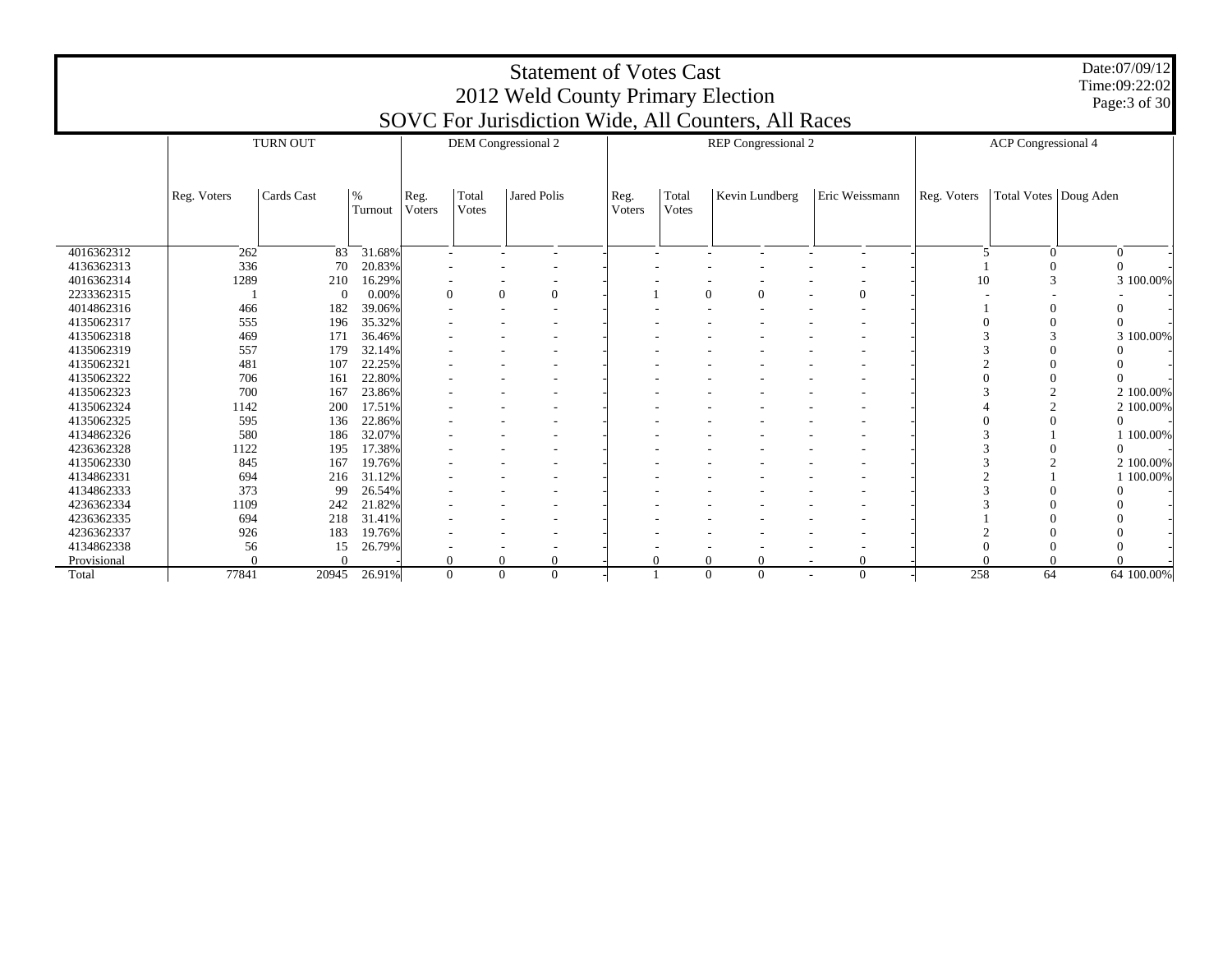|                          |                                   |                                                   |                  |  |                          |                               | <b>Statement of Votes Cast</b><br>2012 Weld County Primary Election |                |          | SOVC For Jurisdiction Wide, All Counters, All Races |                |                |                            | Date:07/09/12<br>Time:09:22:02<br>Page: 3 of 30 |
|--------------------------|-----------------------------------|---------------------------------------------------|------------------|--|--------------------------|-------------------------------|---------------------------------------------------------------------|----------------|----------|-----------------------------------------------------|----------------|----------------|----------------------------|-------------------------------------------------|
|                          |                                   | <b>TURN OUT</b>                                   |                  |  |                          | DEM Congressional 2           |                                                                     |                |          | <b>REP</b> Congressional 2                          |                |                | <b>ACP</b> Congressional 4 |                                                 |
|                          |                                   |                                                   |                  |  |                          |                               |                                                                     |                |          |                                                     |                |                |                            |                                                 |
|                          | Reg. Voters                       | Cards Cast<br>$\%$<br>Turnout<br>262<br>83<br>336 |                  |  | Total<br><b>Votes</b>    | <b>Jared Polis</b>            | Reg.<br><b>Voters</b>                                               | Total<br>Votes |          | Kevin Lundberg                                      | Eric Weissmann | Reg. Voters    |                            | Total Votes   Doug Aden                         |
|                          |                                   |                                                   |                  |  |                          |                               |                                                                     |                |          |                                                     |                |                |                            |                                                 |
| 4016362312               |                                   |                                                   | 31.68%           |  | $\overline{\phantom{a}}$ | $\overline{\phantom{a}}$<br>٠ |                                                                     |                |          |                                                     | $\overline{a}$ | 5              | $\overline{0}$             | $\overline{0}$                                  |
| 4136362313               |                                   | 70                                                | 20.83%           |  |                          |                               |                                                                     |                |          |                                                     |                |                | $\theta$                   | $\Omega$                                        |
| 4016362314<br>2233362315 | 1289<br>210<br>16.29%<br>$\theta$ |                                                   |                  |  |                          |                               |                                                                     |                |          |                                                     |                | 10             | 3                          | 3 100,00%                                       |
| 4014862316               |                                   | $\Omega$                                          | 0.00%<br>39.06%  |  |                          | $\mathbf{0}$<br>$\Omega$      |                                                                     |                | $\Omega$ | $\Omega$                                            | $\mathbf{0}$   |                | $\Omega$                   |                                                 |
| 4135062317               |                                   |                                                   | 35.32%           |  |                          |                               |                                                                     |                |          |                                                     |                |                |                            |                                                 |
| 4135062318               |                                   | 182<br>466<br>555<br>196<br>469<br>171            |                  |  |                          |                               |                                                                     |                |          |                                                     |                | 3              |                            | 3 100.00%                                       |
| 4135062319               | 557                               | 179                                               | 36.46%<br>32.14% |  |                          |                               |                                                                     |                |          |                                                     |                | 3              |                            |                                                 |
| 4135062321               | 481                               | 107                                               | 22.25%           |  |                          |                               |                                                                     |                |          |                                                     |                | $\overline{c}$ |                            |                                                 |
| 4135062322               | 706                               | 161                                               | 22.80%           |  |                          | ٠                             |                                                                     |                |          |                                                     |                | $\Omega$       | $\Omega$                   | $\Omega$                                        |
| 4135062323               | 700                               | 167                                               | 23.86%           |  |                          |                               |                                                                     |                |          |                                                     |                | 3              | $\overline{2}$             | 2 100,00%                                       |
| 4135062324               | 1142                              | 200                                               | 17.51%           |  |                          |                               |                                                                     |                |          |                                                     |                |                | $\overline{c}$             | 2 100.00%                                       |
| 4135062325               | 595                               | 136                                               | 22.86%           |  |                          |                               |                                                                     |                |          |                                                     |                |                | $\Omega$                   | $\Omega$                                        |
| 4134862326               | 580                               | 186                                               | 32.07%           |  |                          |                               |                                                                     |                |          |                                                     |                | 3              |                            | 1 100,00%                                       |
| 4236362328               | 1122                              | 195                                               | 17.38%           |  |                          |                               |                                                                     |                |          |                                                     |                | 3              |                            | $\Omega$                                        |
| 4135062330               | 845                               | 167                                               | 19.76%           |  |                          |                               |                                                                     |                |          |                                                     |                | 3              |                            | 2 100.00%                                       |
| 4134862331               | 694                               | 216                                               | 31.12%           |  |                          |                               |                                                                     |                |          |                                                     |                | $\overline{c}$ |                            | 1 100.00%                                       |
| 4134862333               | 373                               | 99                                                | 26.54%           |  |                          |                               |                                                                     |                |          |                                                     |                | 3              |                            |                                                 |
| 4236362334               | 1109                              | 242                                               |                  |  |                          |                               |                                                                     |                |          |                                                     | 3              |                |                            |                                                 |
| 4236362335               | 694                               | 218                                               | 31.41%           |  |                          |                               |                                                                     |                |          |                                                     |                |                |                            |                                                 |
| 4236362337               | 926                               | 183                                               | 19.76%           |  |                          |                               |                                                                     |                |          |                                                     |                |                |                            |                                                 |
| 4134862338               | 56                                | 15                                                | 26.79%           |  |                          |                               |                                                                     |                |          |                                                     |                |                |                            |                                                 |
| Provisional              |                                   |                                                   |                  |  | $\theta$                 | $\Omega$                      |                                                                     | $\Omega$       | $\Omega$ | $\Omega$                                            | $\Omega$       |                | $\Omega$                   |                                                 |
| Total                    | 77841                             | 20945                                             | 26.91%           |  | $\Omega$                 | $\Omega$<br>$\Omega$          |                                                                     |                | $\Omega$ | $\Omega$                                            | $\Omega$       | 258            | 64                         | 64 100.00%                                      |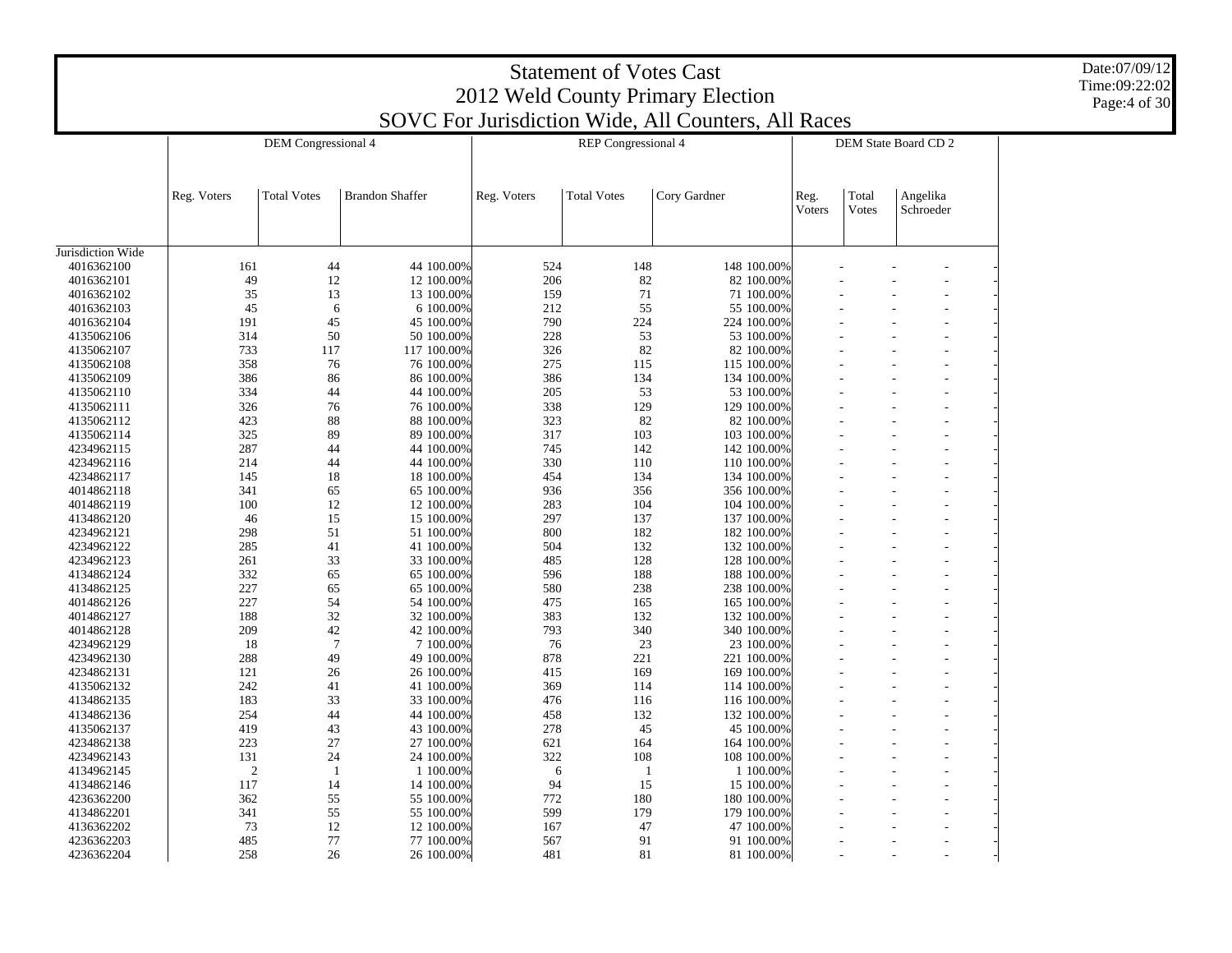|                   | <b>Statement of Votes Cast</b><br>2012 Weld County Primary Election<br>SOVC For Jurisdiction Wide, All Counters, All Races |                     |                        |             |                            |              |        |       |                      |  |  |  |  |  |
|-------------------|----------------------------------------------------------------------------------------------------------------------------|---------------------|------------------------|-------------|----------------------------|--------------|--------|-------|----------------------|--|--|--|--|--|
|                   |                                                                                                                            |                     |                        |             |                            |              |        |       |                      |  |  |  |  |  |
|                   |                                                                                                                            |                     |                        |             |                            |              |        |       |                      |  |  |  |  |  |
|                   |                                                                                                                            | DEM Congressional 4 |                        |             | <b>REP</b> Congressional 4 |              |        |       | DEM State Board CD 2 |  |  |  |  |  |
|                   |                                                                                                                            |                     |                        |             |                            |              |        |       |                      |  |  |  |  |  |
|                   |                                                                                                                            |                     |                        |             |                            |              |        |       |                      |  |  |  |  |  |
|                   | Reg. Voters                                                                                                                | <b>Total Votes</b>  | <b>Brandon Shaffer</b> | Reg. Voters | <b>Total Votes</b>         | Cory Gardner | Reg.   | Total | Angelika             |  |  |  |  |  |
|                   |                                                                                                                            |                     |                        |             |                            |              | Voters | Votes | Schroeder            |  |  |  |  |  |
|                   |                                                                                                                            |                     |                        |             |                            |              |        |       |                      |  |  |  |  |  |
| Jurisdiction Wide |                                                                                                                            |                     |                        |             |                            |              |        |       |                      |  |  |  |  |  |
| 4016362100        | 161                                                                                                                        | 44                  | 44 100.00%             | 524         | 148                        | 148 100,00%  |        |       |                      |  |  |  |  |  |
| 4016362101        | 49                                                                                                                         | 12                  | 12 100.00%             | 206         | 82                         | 82 100.00%   |        |       |                      |  |  |  |  |  |
| 4016362102        | 35                                                                                                                         | 13                  | 13 100.00%             | 159         | 71                         | 71 100.00%   |        |       |                      |  |  |  |  |  |
| 4016362103        | 45                                                                                                                         | 6                   | 6 100.00%              | 212         | 55                         | 55 100,00%   |        |       |                      |  |  |  |  |  |
| 4016362104        | 191                                                                                                                        | 45                  | 45 100.00%             | 790         | 224                        | 224 100.00%  |        |       |                      |  |  |  |  |  |
| 4135062106        | 314                                                                                                                        | 50                  | 50 100.00%             | 228         | 53                         | 53 100.00%   |        |       |                      |  |  |  |  |  |
| 4135062107        | 733                                                                                                                        | 117                 | 117 100.00%            | 326         | 82                         | 82 100.00%   |        |       |                      |  |  |  |  |  |
| 4135062108        | 358                                                                                                                        | 76                  | 76 100.00%             | 275         | 115                        | 115 100.00%  |        |       |                      |  |  |  |  |  |
| 4135062109        | 386                                                                                                                        | 86                  | 86 100.00%             | 386         | 134                        | 134 100.00%  |        |       |                      |  |  |  |  |  |
| 4135062110        | 334                                                                                                                        | 44                  | 44 100.00%             | 205         | 53                         | 53 100,00%   |        |       |                      |  |  |  |  |  |
| 4135062111        | 326                                                                                                                        | 76                  | 76 100.00%             | 338         | 129                        | 129 100.00%  |        |       |                      |  |  |  |  |  |
| 4135062112        | 423                                                                                                                        | 88                  | 88 100.00%             | 323         | 82                         | 82 100.00%   |        |       |                      |  |  |  |  |  |
| 4135062114        | 325                                                                                                                        |                     | 89<br>89 100.00%       | 317         | 103                        | 103 100.00%  |        |       |                      |  |  |  |  |  |
| 4234962115        | 287                                                                                                                        | 44                  | 44 100.00%             | 745         | 142                        | 142 100.00%  |        |       |                      |  |  |  |  |  |
| 4234962116        | 214                                                                                                                        | 44                  | 44 100.00%             | 330         | 110                        | 110 100.00%  |        |       |                      |  |  |  |  |  |
| 4234862117        | 145                                                                                                                        | 18                  | 18 100.00%             | 454         | 134                        | 134 100.00%  |        |       |                      |  |  |  |  |  |
| 4014862118        | 341                                                                                                                        | 65                  | 65 100.00%             | 936         | 356                        | 356 100.00%  |        |       |                      |  |  |  |  |  |
| 4014862119        | 100                                                                                                                        | 12                  | 12 100.00%             | 283         | 104                        | 104 100.00%  |        |       |                      |  |  |  |  |  |
| 4134862120        | 46                                                                                                                         | 15                  | 15 100.00%             | 297         | 137                        | 137 100.00%  |        |       |                      |  |  |  |  |  |
| 4234962121        | 298                                                                                                                        | 51                  | 51 100.00%             | 800         | 182                        | 182 100.00%  |        |       |                      |  |  |  |  |  |
| 4234962122        | 285                                                                                                                        | 41                  | 41 100.00%             | 504         | 132                        | 132 100.00%  |        |       |                      |  |  |  |  |  |
| 4234962123        | 261                                                                                                                        | 33                  | 33 100.00%             | 485         | 128                        | 128 100.00%  |        |       |                      |  |  |  |  |  |
| 4134862124        | 332                                                                                                                        | 65                  | 65 100.00%             | 596         | 188                        | 188 100.00%  |        |       |                      |  |  |  |  |  |
| 4134862125        | 227                                                                                                                        | 65                  | 65 100.00%             | 580         | 238                        | 238 100.00%  |        |       |                      |  |  |  |  |  |
| 4014862126        | 227                                                                                                                        | 54                  | 54 100.00%             | 475         | 165                        | 165 100.00%  |        |       |                      |  |  |  |  |  |
| 4014862127        | 188                                                                                                                        | 32                  | 32 100.00%             | 383         | 132                        | 132 100.00%  |        |       |                      |  |  |  |  |  |
| 4014862128        | 209                                                                                                                        | 42                  | 42 100.00%             | 793         | 340                        | 340 100.00%  |        |       |                      |  |  |  |  |  |
| 4234962129        | 18                                                                                                                         | $\overline{7}$      | 7 100.00%              | 76          | 23                         | 23 100.00%   |        |       |                      |  |  |  |  |  |
| 4234962130        | 288                                                                                                                        | 49                  | 49 100.00%             | 878         | 221                        | 221 100.00%  |        |       |                      |  |  |  |  |  |
| 4234862131        | 121                                                                                                                        | 26                  | 26 100.00%             | 415         | 169                        | 169 100.00%  |        |       |                      |  |  |  |  |  |
| 4135062132        | 242                                                                                                                        | 41                  | 41 100.00%             | 369         | 114                        | 114 100.00%  |        |       |                      |  |  |  |  |  |
| 4134862135        | 183                                                                                                                        | 33                  | 33 100.00%             | 476         | 116                        | 116 100.00%  |        |       |                      |  |  |  |  |  |
| 4134862136        | 254                                                                                                                        | 44                  | 44 100.00%             | 458         | 132                        | 132 100,00%  |        |       |                      |  |  |  |  |  |
| 4135062137        | 419                                                                                                                        | 43                  | 43 100.00%             | 278         | 45                         | 45 100.00%   |        |       |                      |  |  |  |  |  |
| 4234862138        | 223                                                                                                                        | 27                  | 27 100.00%             | 621         | 164                        | 164 100.00%  |        |       |                      |  |  |  |  |  |
| 4234962143        | 131                                                                                                                        | 24                  | 24 100.00%             | 322         | 108                        | 108 100.00%  |        |       |                      |  |  |  |  |  |
| 4134962145        | $\mathfrak{2}$                                                                                                             | $\mathbf{1}$        | 1 100.00%              | 6           | $\mathbf{1}$               | 1 100.00%    |        |       | $\overline{a}$       |  |  |  |  |  |
| 4134862146        | 117                                                                                                                        | 14                  | 14 100.00%             | 94          | 15                         | 15 100.00%   |        |       |                      |  |  |  |  |  |
| 4236362200        | 362                                                                                                                        | 55                  | 55 100.00%             | 772         | 180                        | 180 100,00%  |        |       |                      |  |  |  |  |  |
| 4134862201        | 341                                                                                                                        | 55                  | 55 100.00%             | 599         | 179                        | 179 100.00%  |        |       |                      |  |  |  |  |  |
| 4136362202        | 73                                                                                                                         | 12                  | 12 100.00%             | 167         | 47                         | 47 100.00%   |        |       |                      |  |  |  |  |  |
| 4236362203        | 485                                                                                                                        | 77                  | 77 100.00%             | 567         | 91                         | 91 100.00%   |        |       |                      |  |  |  |  |  |
| 4236362204        | 258                                                                                                                        | 26                  | 26 100.00%             | 481         | 81                         | 81 100.00%   |        |       |                      |  |  |  |  |  |

Date:07/09/12 Time:09:22:02 Page:4 of 30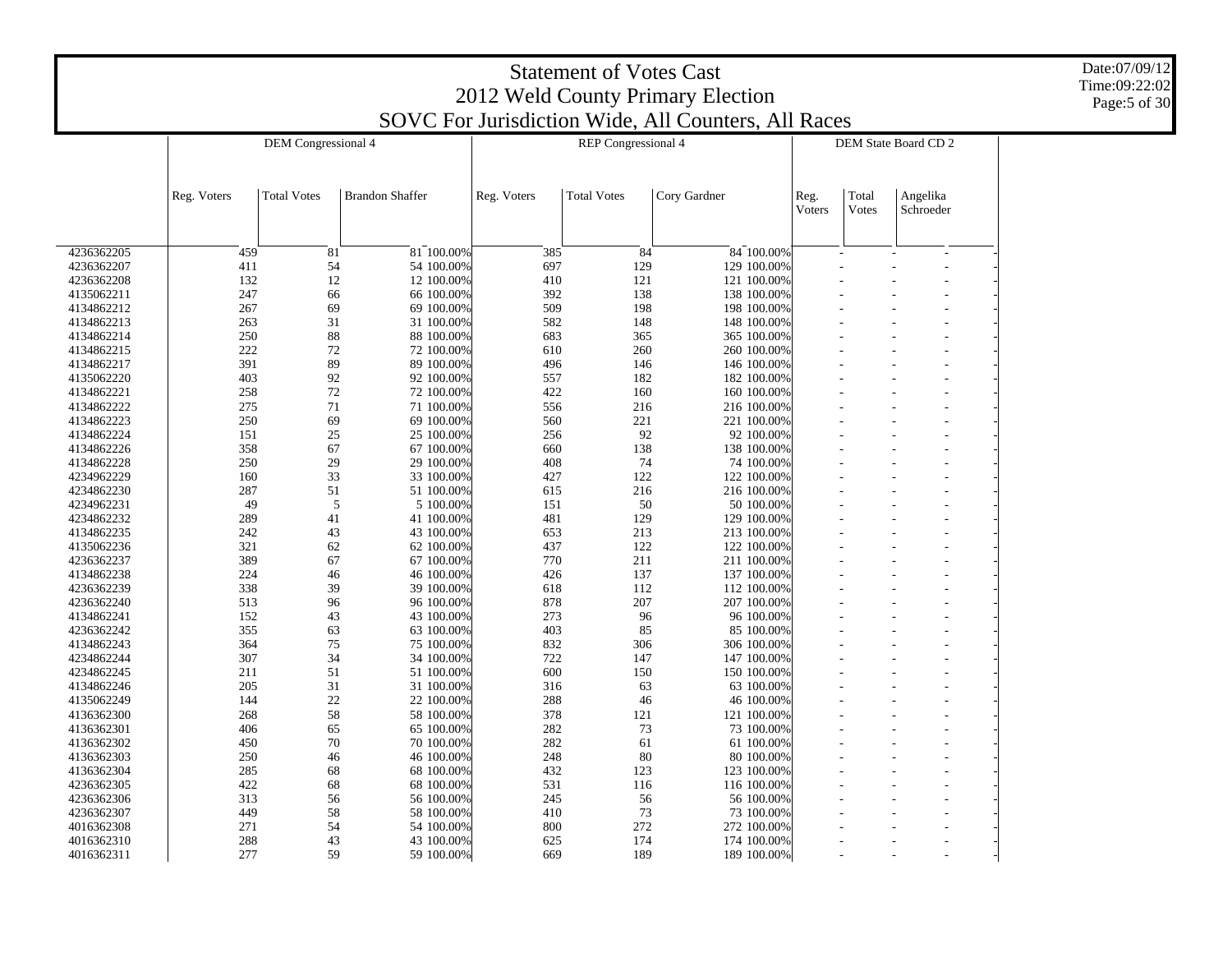|                          |             |                            |                          |             | <b>Statement of Votes Cast</b> | 2012 Weld County Primary Election                   |                       |                |                       |  |
|--------------------------|-------------|----------------------------|--------------------------|-------------|--------------------------------|-----------------------------------------------------|-----------------------|----------------|-----------------------|--|
|                          |             |                            |                          |             |                                | SOVC For Jurisdiction Wide, All Counters, All Races |                       |                |                       |  |
|                          |             | <b>DEM</b> Congressional 4 |                          |             | <b>REP</b> Congressional 4     |                                                     |                       |                | DEM State Board CD 2  |  |
|                          |             |                            |                          |             |                                |                                                     |                       |                |                       |  |
|                          |             |                            |                          |             |                                |                                                     |                       |                |                       |  |
|                          | Reg. Voters | <b>Total Votes</b>         | <b>Brandon Shaffer</b>   | Reg. Voters | <b>Total Votes</b>             | Cory Gardner                                        | Reg.<br><b>Voters</b> | Total<br>Votes | Angelika<br>Schroeder |  |
|                          |             |                            |                          |             |                                |                                                     |                       |                |                       |  |
| 4236362205               | 459         | 81                         | 81 100.00%               | 385         | 84                             | 84 100.00%                                          |                       |                |                       |  |
| 4236362207               | 411         | 54                         | 54 100.00%               | 697         | 129                            | 129 100.00%                                         |                       |                |                       |  |
| 4236362208               | 132         | 12                         | 12 100.00%               | 410         | 121                            | 121 100.00%                                         |                       |                |                       |  |
| 4135062211               | 247         | 66                         | 66 100.00%               | 392         | 138                            | 138 100.00%                                         |                       |                |                       |  |
| 4134862212               | 267         | 69                         | 69 100.00%               | 509         | 198                            | 198 100.00%                                         |                       |                |                       |  |
| 4134862213               | 263         | 31                         | 31 100.00%               | 582         | 148                            | 148 100.00%                                         |                       |                |                       |  |
| 4134862214               | 250         | 88                         | 88 100.00%               | 683         | 365                            | 365 100.00%                                         |                       |                |                       |  |
| 4134862215               | 222         | 72                         | 72 100.00%               | 610         | 260                            | 260 100.00%                                         |                       |                |                       |  |
| 4134862217               | 391         | 89                         | 89 100.00%               | 496         | 146                            | 146 100.00%                                         |                       |                |                       |  |
| 4135062220               | 403         | 92                         | 92 100.00%               | 557         | 182                            | 182 100.00%                                         |                       |                |                       |  |
| 4134862221               | 258         | 72                         | 72 100.00%               | 422         | 160                            | 160 100.00%                                         |                       |                |                       |  |
| 4134862222               | 275         | 71                         | 71 100,00%               | 556         | 216                            | 216 100.00%                                         |                       |                |                       |  |
| 4134862223               | 250         | 69                         | 69 100.00%               | 560         | 221                            | 221 100.00%                                         |                       |                |                       |  |
| 4134862224               | 25<br>151   |                            | 25 100.00%               | 256         | 92                             | 92 100.00%                                          |                       |                |                       |  |
| 4134862226               | 358         | 67                         | 67 100.00%               | 660         | 138                            | 138 100.00%                                         |                       |                |                       |  |
| 4134862228               | 250         | 29                         | 29 100.00%               | 408         | 74                             | 74 100.00%                                          |                       |                |                       |  |
| 4234962229               | 160         | 33                         | 33 100.00%               | 427         | 122                            | 122 100.00%                                         |                       |                |                       |  |
| 4234862230               | 287         | 51                         | 51 100.00%               | 615         | 216                            | 216 100.00%                                         |                       |                |                       |  |
| 4234962231               | 49          | 5                          | 5 100.00%                | 151         | 50                             | 50 100.00%                                          |                       |                |                       |  |
| 4234862232               | 289         | 41                         | 41 100.00%               | 481         | 129                            | 129 100.00%                                         |                       |                |                       |  |
| 4134862235               | 242         | 43                         | 43 100.00%               | 653         | 213                            | 213 100.00%                                         |                       |                |                       |  |
| 4135062236               | 321         | 62                         | 62 100.00%               | 437         | 122                            | 122 100.00%                                         |                       |                |                       |  |
| 4236362237               | 389<br>224  | 67                         | 67 100.00%               | 770         | 211                            | 211 100.00%                                         |                       |                |                       |  |
| 4134862238               |             | 46<br>39                   | 46 100.00%               | 426         | 137<br>112                     | 137 100.00%                                         |                       |                |                       |  |
| 4236362239               | 338         | 96                         | 39 100.00%               | 618<br>878  | 207                            | 112 100.00%                                         |                       |                |                       |  |
| 4236362240<br>4134862241 | 513<br>152  | 43                         | 96 100.00%<br>43 100.00% | 273         | 96                             | 207 100.00%<br>96 100.00%                           |                       |                |                       |  |
| 4236362242               | 355         | 63                         | 63 100.00%               | 403         | 85                             | 85 100.00%                                          |                       |                |                       |  |
| 4134862243               | 364         | 75                         | 75 100.00%               | 832         | 306                            | 306 100.00%                                         |                       |                |                       |  |
| 4234862244               | 307         | 34                         | 34 100.00%               | 722         | 147                            | 147 100.00%                                         |                       |                |                       |  |
| 4234862245               | 211         | 51                         | 51 100.00%               | 600         | 150                            | 150 100.00%                                         |                       |                |                       |  |
| 4134862246               | 205         | 31                         | 31 100.00%               | 316         | 63                             | 63 100.00%                                          |                       |                |                       |  |
| 4135062249               | 144         | 22                         | 22 100.00%               | 288         | 46                             | 46 100.00%                                          |                       |                |                       |  |
| 4136362300               | 268         | 58                         | 58 100.00%               | 378         | 121                            | 121 100.00%                                         |                       |                |                       |  |
| 4136362301               | 406         | 65                         | 65 100.00%               | 282         | 73                             | 73 100.00%                                          |                       |                |                       |  |
| 4136362302               | 450         | 70                         | 70 100.00%               | 282         | 61                             | 61 100.00%                                          |                       |                |                       |  |
| 4136362303               | 250         | 46                         | 46 100.00%               | 248         | 80                             | 80 100.00%                                          |                       |                |                       |  |
| 4136362304               | 285         | 68                         | 68 100.00%               | 432         | 123                            | 123 100.00%                                         |                       |                |                       |  |
| 4236362305               | 422         | 68                         | 68 100.00%               | 531         | 116                            | 116 100.00%                                         |                       |                |                       |  |
| 4236362306               | 313         | 56                         | 56 100.00%               | 245         | 56                             | 56 100.00%                                          |                       |                |                       |  |
| 4236362307               | 449         | 58                         | 58 100.00%               | 410         | 73                             | 73 100.00%                                          |                       |                |                       |  |
| 4016362308               | 271         | 54                         | 54 100,00%               | 800         | 272                            | 272 100.00%                                         |                       |                |                       |  |
| 4016362310               | 288         | 43                         | 43 100.00%               | 625         | 174                            | 174 100.00%                                         |                       |                |                       |  |
| 4016362311               | 277         | 59                         | 59 100.00%               | 669         | 189                            | 189 100.00%                                         |                       |                |                       |  |

Date:07/09/12 Time:09:22:02 Page:5 of 30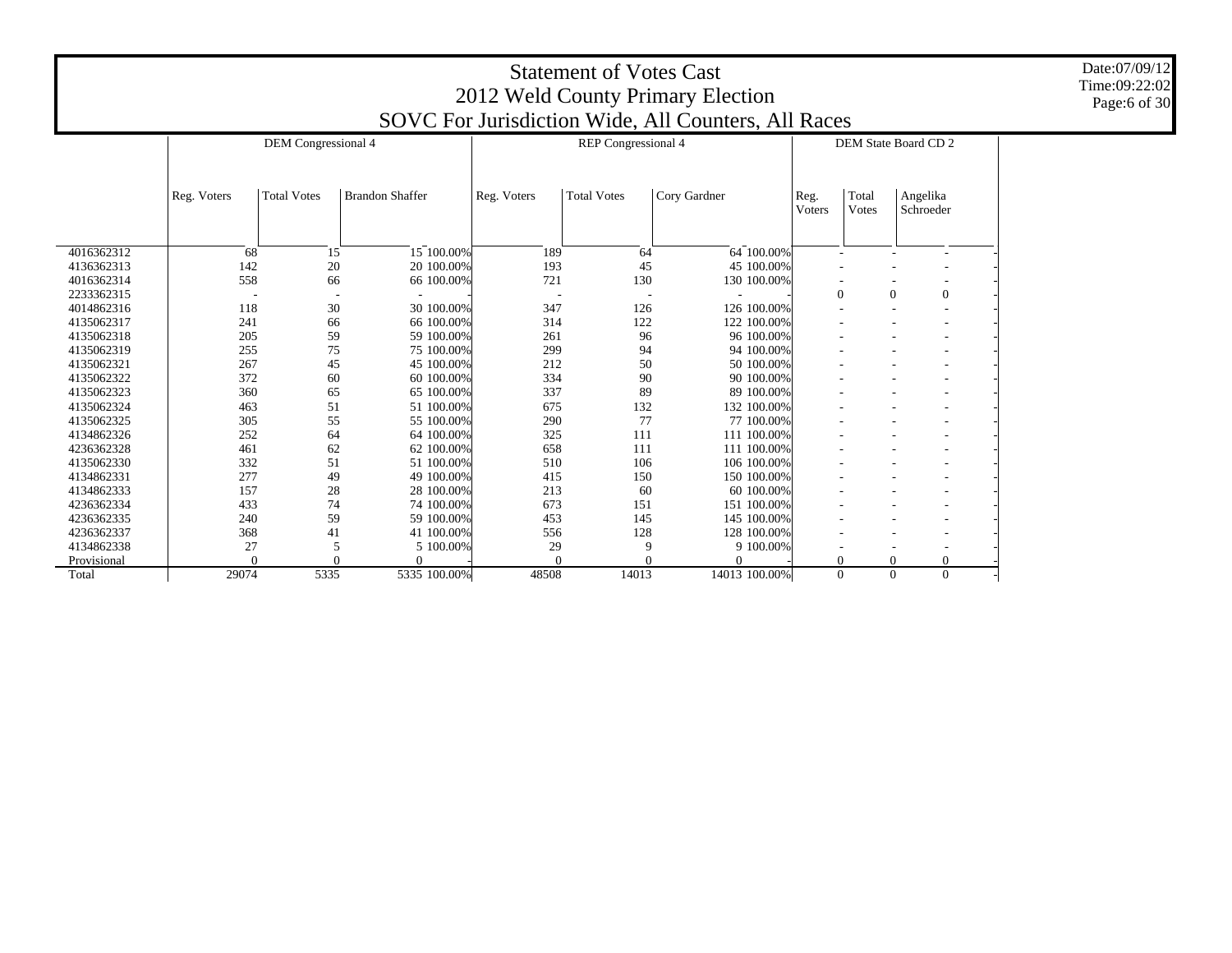|                          | <b>Statement of Votes Cast</b><br>2012 Weld County Primary Election<br>SOVC For Jurisdiction Wide, All Counters, All Races |                                        |                          |                          |                            |                            |                |                |                                |  |  |  |  |  |  |
|--------------------------|----------------------------------------------------------------------------------------------------------------------------|----------------------------------------|--------------------------|--------------------------|----------------------------|----------------------------|----------------|----------------|--------------------------------|--|--|--|--|--|--|
|                          |                                                                                                                            | DEM Congressional 4                    |                          |                          | <b>REP</b> Congressional 4 |                            |                |                | DEM State Board CD 2           |  |  |  |  |  |  |
|                          | Reg. Voters                                                                                                                | <b>Total Votes</b>                     | <b>Brandon Shaffer</b>   | Reg. Voters              | <b>Total Votes</b>         | Cory Gardner               | Reg.<br>Voters | Total<br>Votes | Angelika<br>Schroeder          |  |  |  |  |  |  |
| 4016362312               | 68                                                                                                                         | 64 100.00%<br>$\overline{\phantom{a}}$ |                          | $\overline{\phantom{a}}$ |                            |                            |                |                |                                |  |  |  |  |  |  |
| 4136362313               | 142                                                                                                                        | 15<br>20                               | 15 100.00%<br>20 100.00% | 189<br>193               | 64<br>45                   | 45 100,00%                 |                |                |                                |  |  |  |  |  |  |
| 4016362314               | 558                                                                                                                        | 66                                     | 130<br>130 100.00%       |                          |                            |                            |                |                |                                |  |  |  |  |  |  |
| 2233362315               |                                                                                                                            | $\overline{\phantom{a}}$               |                          | $\Omega$                 |                            | $\Omega$<br>$\mathbf{0}$   |                |                |                                |  |  |  |  |  |  |
| 4014862316               | 118                                                                                                                        | 30                                     | 30 100.00%               | 347                      | 126                        | 126 100,00%                |                |                |                                |  |  |  |  |  |  |
| 4135062317               | 241                                                                                                                        | 66                                     | 66 100.00%               | 314                      | 122                        | 122 100.00%                |                |                |                                |  |  |  |  |  |  |
| 4135062318               | 205                                                                                                                        | 59                                     | 59 100.00%               | 261                      | 96                         | 96 100.00%                 |                |                |                                |  |  |  |  |  |  |
| 4135062319               | 255                                                                                                                        | 75                                     | 75 100.00%               | 299                      | 94                         | 94 100,00%                 |                |                |                                |  |  |  |  |  |  |
| 4135062321               | 267                                                                                                                        | 45                                     | 45 100,00%               | 212                      | 50                         | 50 100,00%                 |                |                |                                |  |  |  |  |  |  |
| 4135062322               | 372                                                                                                                        | 60                                     | 60 100.00%               | 334                      | 90                         | 90 100.00%                 |                |                |                                |  |  |  |  |  |  |
| 4135062323               | 360                                                                                                                        | 65                                     | 65 100.00%               | 337                      | 89                         | 89 100,00%                 |                |                |                                |  |  |  |  |  |  |
| 4135062324               | 463                                                                                                                        | 51                                     | 51 100.00%               | 675                      | 132                        | 132 100.00%                |                |                |                                |  |  |  |  |  |  |
| 4135062325               | 305                                                                                                                        | 55                                     | 55 100.00%               | 290                      | 77                         | 77 100,00%                 |                |                |                                |  |  |  |  |  |  |
| 4134862326               | 252                                                                                                                        | 64                                     | 64 100.00%               | 325                      | 111                        | 111 100,00%                |                |                |                                |  |  |  |  |  |  |
| 4236362328               | 461                                                                                                                        | 62                                     | 62 100.00%               | 658                      | 111                        | 111 100.00%                |                |                |                                |  |  |  |  |  |  |
| 4135062330               | 332                                                                                                                        | 51                                     | 51 100.00%               | 510                      | 106                        | 106 100.00%                |                |                |                                |  |  |  |  |  |  |
| 4134862331               | 277                                                                                                                        | 49                                     | 49 100.00%               | 415                      | 150                        | 150 100.00%                |                |                |                                |  |  |  |  |  |  |
| 4134862333               | 157                                                                                                                        | 28                                     | 28 100,00%               | 213                      | 60                         | 60 100,00%                 |                |                |                                |  |  |  |  |  |  |
| 4236362334               | 433                                                                                                                        | 74<br>59                               | 74 100.00%<br>59 100.00% | 673                      | 151<br>145                 | 151 100,00%<br>145 100.00% |                |                |                                |  |  |  |  |  |  |
| 4236362335<br>4236362337 | 240<br>368                                                                                                                 | 41                                     | 41 100.00%               | 453<br>556               | 128                        | 128 100.00%                |                |                |                                |  |  |  |  |  |  |
| 4134862338               | 27                                                                                                                         | 5                                      | 5 100.00%                | 29                       | 9                          | 9 100.00%                  |                |                |                                |  |  |  |  |  |  |
| Provisional              | $\Omega$                                                                                                                   | $\Omega$                               | $\Omega$                 | $\theta$                 |                            | $\Omega$                   | $\Omega$       |                | $\mathbf{0}$<br>$\overline{0}$ |  |  |  |  |  |  |
| Total                    | 29074                                                                                                                      | 5335                                   | 5335 100.00%             | 48508                    | 14013                      | 14013 100.00%              | $\Omega$       |                | $\Omega$<br>$\Omega$           |  |  |  |  |  |  |

Date:07/09/12 Time:09:22:02 Page:6 of 30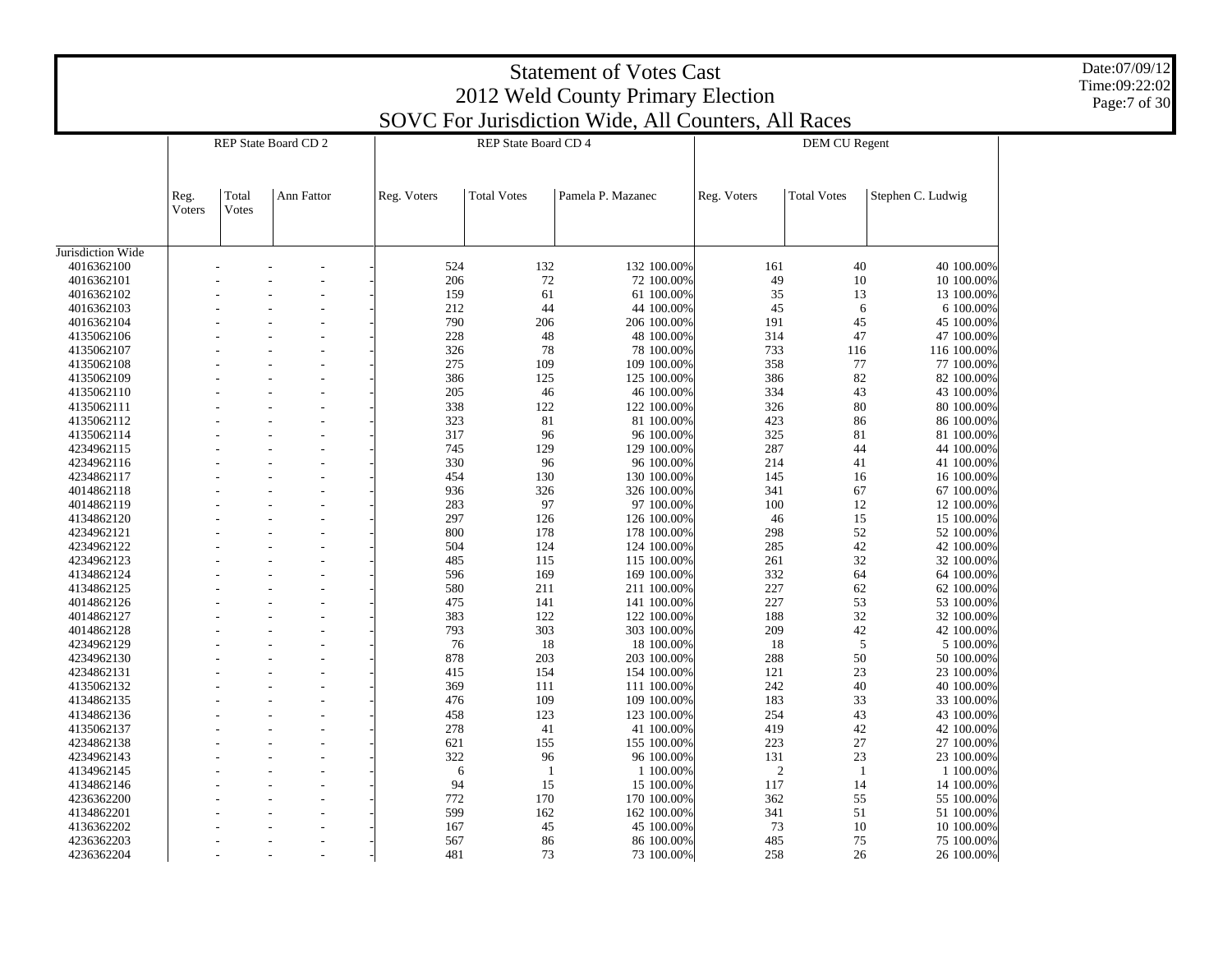|                   |                |                |                      |             |                      | <b>Statement of Votes Cast</b><br>2012 Weld County Primary Election |                         |                      |                   |  |
|-------------------|----------------|----------------|----------------------|-------------|----------------------|---------------------------------------------------------------------|-------------------------|----------------------|-------------------|--|
|                   |                |                | REP State Board CD 2 |             | REP State Board CD 4 | SOVC For Jurisdiction Wide, All Counters, All Races                 |                         | <b>DEM CU Regent</b> |                   |  |
|                   |                |                |                      |             |                      |                                                                     |                         |                      |                   |  |
|                   | Reg.<br>Voters | Total<br>Votes | Ann Fattor           | Reg. Voters | <b>Total Votes</b>   | Pamela P. Mazanec                                                   | Reg. Voters             | <b>Total Votes</b>   | Stephen C. Ludwig |  |
|                   |                |                |                      |             |                      |                                                                     |                         |                      |                   |  |
| Jurisdiction Wide |                |                |                      |             |                      |                                                                     |                         |                      |                   |  |
| 4016362100        |                |                |                      | 524         | 132                  | 132 100.00%                                                         | 161                     | 40                   | 40 100,00%        |  |
| 4016362101        |                |                |                      | 206         | 72                   | 72 100.00%                                                          | 49                      | 10                   | 10 100.00%        |  |
| 4016362102        |                |                |                      | 159         | 61                   | 61 100.00%                                                          | 35                      | 13                   | 13 100.00%        |  |
| 4016362103        |                |                |                      | 212         | 44                   | 44 100.00%                                                          | 45                      | 6                    | 6 100.00%         |  |
| 4016362104        |                |                |                      | 790         | 206                  | 206 100.00%                                                         | 191                     | 45                   | 45 100.00%        |  |
| 4135062106        |                |                |                      | 228         | 48                   | 48 100.00%                                                          | 314                     | 47                   | 47 100.00%        |  |
| 4135062107        |                |                |                      | 326         | 78                   | 78 100.00%                                                          | 733                     | 116                  | 116 100.00%       |  |
| 4135062108        |                |                |                      | 275         | 109                  | 109 100.00%                                                         | 358                     | 77                   | 77 100.00%        |  |
| 4135062109        |                |                |                      | 386         | 125                  | 125 100.00%                                                         | 386                     | 82                   | 82 100.00%        |  |
| 4135062110        |                |                |                      | 205         | 46                   | 46 100.00%                                                          | 334                     | 43                   | 43 100.00%        |  |
| 4135062111        |                |                |                      | 338         | 122                  | 122 100.00%                                                         | 326                     | 80                   | 80 100.00%        |  |
| 4135062112        |                |                |                      | 323         | 81                   | 81 100.00%                                                          | 423                     | 86                   | 86 100.00%        |  |
| 4135062114        |                |                |                      | 317<br>96   |                      | 96 100.00%                                                          | 325                     | 81                   | 81 100.00%        |  |
| 4234962115        |                |                |                      | 745         | 129                  | 129 100.00%                                                         | 287                     | 44                   | 44 100.00%        |  |
| 4234962116        |                |                |                      | 330         | 96                   | 96 100,00%                                                          | 214                     | 41                   | 41 100.00%        |  |
| 4234862117        |                |                |                      | 454         | 130                  | 130 100.00%                                                         | 145                     | 16                   | 16 100.00%        |  |
| 4014862118        |                |                |                      | 936         | 326                  | 326 100.00%                                                         | 341                     | 67                   | 67 100.00%        |  |
| 4014862119        |                |                |                      | 283         | 97                   | 97 100.00%                                                          | 100                     | 12                   | 12 100.00%        |  |
| 4134862120        |                |                |                      | 297         | 126                  | 126 100.00%                                                         | 46                      | 15                   | 15 100.00%        |  |
| 4234962121        |                |                |                      | 800         | 178                  | 178 100.00%                                                         | 298                     | 52                   | 52 100.00%        |  |
| 4234962122        |                |                |                      | 504         | 124                  | 124 100.00%                                                         | 285                     | 42                   | 42 100.00%        |  |
| 4234962123        |                |                |                      | 485         | 115                  | 115 100.00%                                                         | 261                     | 32                   | 32 100.00%        |  |
| 4134862124        |                |                |                      | 596         | 169                  | 169 100.00%                                                         | 332                     | 64                   | 64 100.00%        |  |
| 4134862125        |                |                |                      | 580         | 211                  | 211 100.00%                                                         | 227                     | 62                   | 62 100.00%        |  |
| 4014862126        |                |                |                      | 475         | 141                  | 141 100.00%                                                         | 227                     | 53                   | 53 100.00%        |  |
| 4014862127        |                |                |                      | 383         | 122                  | 122 100.00%                                                         | 188                     | 32                   | 32 100.00%        |  |
| 4014862128        |                |                |                      | 793         | 303                  | 303 100.00%                                                         | 209                     | 42                   | 42 100.00%        |  |
| 4234962129        |                |                |                      | 76          | 18                   | 18 100.00%                                                          | 18                      | 5                    | 5 100.00%         |  |
| 4234962130        |                |                |                      | 878         | 203                  | 203 100.00%                                                         | 288                     | 50                   | 50 100.00%        |  |
| 4234862131        |                |                |                      | 415         | 154                  | 154 100.00%                                                         | 121                     | 23                   | 23 100.00%        |  |
| 4135062132        |                |                |                      | 369         | 111                  | 111 100.00%                                                         | 242                     | 40                   | 40 100.00%        |  |
| 4134862135        |                |                |                      | 476         | 109                  | 109 100,00%                                                         | 183                     | 33                   | 33 100,00%        |  |
| 4134862136        |                |                |                      | 458         | 123                  | 123 100.00%                                                         | 254                     | 43                   | 43 100.00%        |  |
| 4135062137        |                |                |                      | 278         | 41                   | 41 100.00%                                                          | 419                     | 42                   | 42 100.00%        |  |
| 4234862138        |                |                |                      | 621         | 155                  | 155 100.00%                                                         | 223                     | 27                   | 27 100.00%        |  |
| 4234962143        |                |                |                      | 322         | 96                   | 96 100.00%                                                          | 131                     | 23                   | 23 100.00%        |  |
| 4134962145        |                |                |                      |             | 6<br>$\mathbf{1}$    | 1 100.00%                                                           | 2                       | 1                    | 1 100.00%         |  |
| 4134862146        |                |                |                      | 94          | 15                   | 15 100.00%                                                          | 117                     | 14                   | 14 100.00%        |  |
| 4236362200        |                |                |                      | 772         | 170                  | 170 100.00%                                                         | 362                     | 55                   | 55 100.00%        |  |
| 4134862201        |                |                |                      | 599         | 162                  | 162 100.00%                                                         | 341                     | 51                   | 51 100.00%        |  |
| 4136362202        |                |                |                      | 167         | 45                   | 45 100.00%                                                          | 73                      | 10                   | 10 100.00%        |  |
| 4236362203        |                |                |                      | 567         | 86                   | 86 100.00%                                                          | 485<br>75<br>75 100.00% |                      |                   |  |
| 4236362204        |                |                |                      | 481         | 73                   | 73 100.00%                                                          | 258                     | 26                   | 26 100.00%        |  |

Date:07/09/12 Time:09:22:02 Page:7 of 30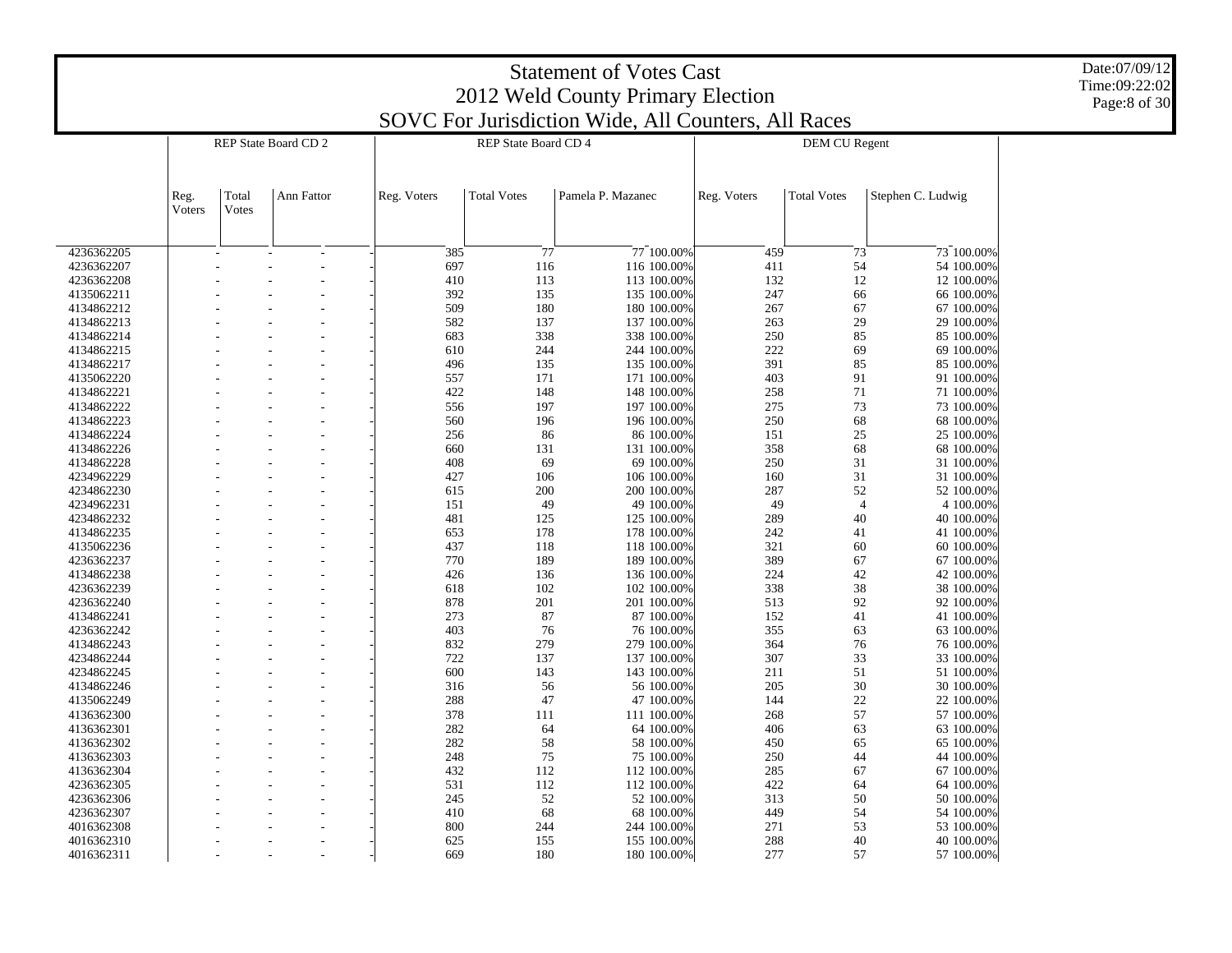| <b>Statement of Votes Cast</b><br>2012 Weld County Primary Election<br>SOVC For Jurisdiction Wide, All Counters, All Races<br>REP State Board CD 2<br>REP State Board CD 4<br><b>DEM CU Regent</b> |                |                |            |             |                    |                            |             |                    |                             |  |  |  |  |  |
|----------------------------------------------------------------------------------------------------------------------------------------------------------------------------------------------------|----------------|----------------|------------|-------------|--------------------|----------------------------|-------------|--------------------|-----------------------------|--|--|--|--|--|
|                                                                                                                                                                                                    |                |                |            |             |                    |                            |             |                    |                             |  |  |  |  |  |
|                                                                                                                                                                                                    |                |                |            |             |                    |                            |             |                    |                             |  |  |  |  |  |
|                                                                                                                                                                                                    |                |                |            |             |                    |                            |             |                    |                             |  |  |  |  |  |
|                                                                                                                                                                                                    | Reg.<br>Voters | Total<br>Votes | Ann Fattor | Reg. Voters | <b>Total Votes</b> | Pamela P. Mazanec          | Reg. Voters | <b>Total Votes</b> | Stephen C. Ludwig           |  |  |  |  |  |
|                                                                                                                                                                                                    |                |                |            |             |                    |                            |             |                    |                             |  |  |  |  |  |
| 4236362205                                                                                                                                                                                         |                |                |            | 385         | 77                 | 77 100.00%                 | 459         | 73                 | 73 100.00%                  |  |  |  |  |  |
| 4236362207                                                                                                                                                                                         |                |                |            | 697         | 116                | 116 100.00%                | 411         | 54                 | 54 100.00%                  |  |  |  |  |  |
| 4236362208                                                                                                                                                                                         |                |                |            | 410         | 113                | 113 100.00%                | 132         | 12                 | 12 100.00%                  |  |  |  |  |  |
| 4135062211                                                                                                                                                                                         |                |                |            | 392         | 135                | 135 100.00%                | 247         | 66                 | 66 100.00%                  |  |  |  |  |  |
| 4134862212                                                                                                                                                                                         |                |                |            | 509         | 180                | 180 100.00%                | 267         | 67                 | 67 100.00%                  |  |  |  |  |  |
| 4134862213                                                                                                                                                                                         |                |                |            | 582<br>683  | 137                | 137 100.00%                | 263         | 29<br>85           | 29 100.00%                  |  |  |  |  |  |
| 4134862214<br>4134862215                                                                                                                                                                           |                |                |            | 610         | 338<br>244         | 338 100.00%<br>244 100.00% | 250<br>222  | 69                 | 85 100.00%<br>69 100.00%    |  |  |  |  |  |
| 4134862217                                                                                                                                                                                         |                |                |            | 496         | 135                | 135 100.00%                | 391         | 85                 | 85 100.00%                  |  |  |  |  |  |
| 4135062220                                                                                                                                                                                         |                |                |            | 557         | 171                | 171 100.00%                | 403         | 91                 | 91 100.00%                  |  |  |  |  |  |
| 4134862221                                                                                                                                                                                         |                |                |            | 422         | 148                | 148 100.00%                | 258         | 71                 | 71 100.00%                  |  |  |  |  |  |
| 4134862222                                                                                                                                                                                         |                |                |            | 556         | 197                | 197 100.00%                | 275         | 73                 | 73 100.00%                  |  |  |  |  |  |
| 4134862223                                                                                                                                                                                         |                |                |            | 560         | 196                | 196 100.00%                | 250         | 68                 | 68 100.00%                  |  |  |  |  |  |
| 4134862224                                                                                                                                                                                         |                |                |            | 256         | 86                 | 86 100.00%                 | 151         | 25                 | 25 100.00%                  |  |  |  |  |  |
| 4134862226                                                                                                                                                                                         |                |                |            | 660         | 131                | 131 100.00%                | 358         | 68                 | 68 100.00%                  |  |  |  |  |  |
| 4134862228                                                                                                                                                                                         |                |                |            | 408         | 69                 | 69 100.00%                 | 250         | 31                 | 31 100.00%                  |  |  |  |  |  |
| 4234962229                                                                                                                                                                                         |                |                |            | 427         | 106                | 106 100.00%                | 160         | 31                 | 31 100.00%                  |  |  |  |  |  |
| 4234862230                                                                                                                                                                                         |                |                |            | 615         | 200                | 200 100.00%                | 287         | 52                 | 52 100.00%                  |  |  |  |  |  |
| 4234962231                                                                                                                                                                                         |                |                |            | 151         | 49                 | 49 100.00%                 | 49          |                    | $\overline{4}$<br>4 100.00% |  |  |  |  |  |
| 4234862232                                                                                                                                                                                         |                |                |            | 481         | 125                | 125 100.00%                | 289         | 40                 | 40 100.00%                  |  |  |  |  |  |
| 4134862235                                                                                                                                                                                         |                |                |            | 653         | 178                | 178 100.00%                | 242         | 41                 | 41 100.00%                  |  |  |  |  |  |
| 4135062236                                                                                                                                                                                         |                |                |            | 437         | 118                | 118 100.00%                | 321         | 60                 | 60 100.00%                  |  |  |  |  |  |
| 4236362237                                                                                                                                                                                         |                |                |            | 770         | 189                | 189 100.00%                | 389         | 67                 | 67 100.00%                  |  |  |  |  |  |
| 4134862238                                                                                                                                                                                         |                |                |            | 426         | 136                | 136 100.00%                | 224         | 42                 | 42 100.00%                  |  |  |  |  |  |
| 4236362239                                                                                                                                                                                         |                |                |            | 618         | 102                | 102 100.00%                | 338         | 38                 | 38 100.00%                  |  |  |  |  |  |
| 4236362240                                                                                                                                                                                         |                |                |            | 878         | 201                | 201 100.00%                | 513         | 92                 | 92 100.00%                  |  |  |  |  |  |
| 4134862241                                                                                                                                                                                         |                |                |            | 273         | 87                 | 87 100.00%                 | 152         | 41                 | 41 100.00%                  |  |  |  |  |  |
| 4236362242                                                                                                                                                                                         |                |                |            | 403         | 76                 | 76 100.00%                 | 355         | 63                 | 63 100.00%                  |  |  |  |  |  |
| 4134862243                                                                                                                                                                                         |                |                |            | 832         | 279                | 279 100.00%                | 364         | 76                 | 76 100.00%                  |  |  |  |  |  |
| 4234862244                                                                                                                                                                                         |                |                |            | 722         | 137                | 137 100.00%                | 307         | 33                 | 33 100.00%                  |  |  |  |  |  |
| 4234862245                                                                                                                                                                                         |                |                |            | 600         | 143                | 143 100.00%                | 211         | 51                 | 51 100.00%                  |  |  |  |  |  |
| 4134862246                                                                                                                                                                                         |                |                |            | 316         | 56                 | 56 100.00%                 | 205         | 30                 | 30 100.00%                  |  |  |  |  |  |
| 4135062249                                                                                                                                                                                         |                |                |            | 288         | 47                 | 47 100.00%                 | 144         | 22                 | 22 100.00%                  |  |  |  |  |  |
| 4136362300                                                                                                                                                                                         |                |                |            | 378         | 111                | 111 100.00%                | 268         | 57                 | 57 100.00%                  |  |  |  |  |  |
| 4136362301                                                                                                                                                                                         |                |                |            | 282         | 64                 | 64 100.00%                 | 406         | 63                 | 63 100.00%                  |  |  |  |  |  |
| 4136362302                                                                                                                                                                                         |                |                |            | 282         | 58                 | 58 100.00%                 | 450         | 65                 | 65 100.00%                  |  |  |  |  |  |
| 4136362303                                                                                                                                                                                         |                |                |            | 248         | 75                 | 75 100.00%                 | 250         | 44                 | 44 100.00%                  |  |  |  |  |  |
| 4136362304                                                                                                                                                                                         |                |                |            | 432         | 112                | 112 100.00%                | 285         | 67                 | 67 100.00%                  |  |  |  |  |  |
| 4236362305                                                                                                                                                                                         |                |                |            | 531         | 112                | 112 100.00%                | 422         | 64                 | 64 100.00%                  |  |  |  |  |  |
| 4236362306                                                                                                                                                                                         |                |                |            | 245         | 52                 | 52 100.00%                 | 313         | 50                 | 50 100.00%                  |  |  |  |  |  |
| 4236362307                                                                                                                                                                                         |                |                |            | 410         | 68                 | 68 100.00%                 | 449         | 54                 | 54 100.00%                  |  |  |  |  |  |
| 4016362308                                                                                                                                                                                         |                |                |            | 800         | 244                | 244 100.00%                | 271         | 53                 | 53 100.00%                  |  |  |  |  |  |
| 4016362310                                                                                                                                                                                         |                |                |            | 625         | 155                | 155 100.00%                | 288         | 40                 | 40 100.00%                  |  |  |  |  |  |
| 4016362311                                                                                                                                                                                         |                |                |            | 669         | 180                | 180 100.00%                | 277         | 57                 | 57 100.00%                  |  |  |  |  |  |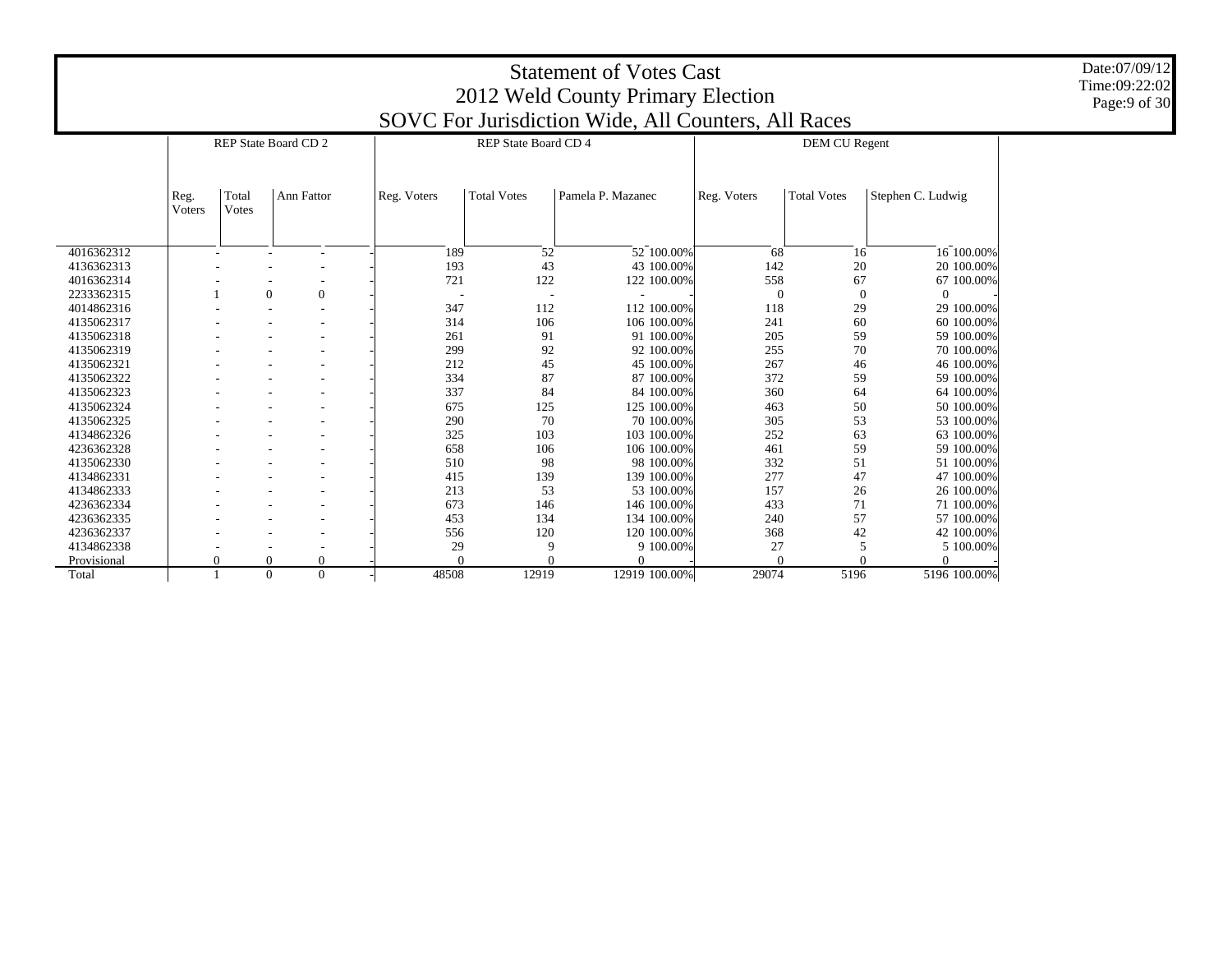|             | <b>Statement of Votes Cast</b><br>2012 Weld County Primary Election<br>SOVC For Jurisdiction Wide, All Counters, All Races |                |                              |             |                                                      |                   |             |                      |                   |  |  |  |  |  |  |
|-------------|----------------------------------------------------------------------------------------------------------------------------|----------------|------------------------------|-------------|------------------------------------------------------|-------------------|-------------|----------------------|-------------------|--|--|--|--|--|--|
|             |                                                                                                                            |                | <b>REP State Board CD 2</b>  |             | REP State Board CD 4                                 |                   |             | <b>DEM CU Regent</b> |                   |  |  |  |  |  |  |
|             | Reg.<br>Voters                                                                                                             | Total<br>Votes | Ann Fattor                   | Reg. Voters | <b>Total Votes</b>                                   | Pamela P. Mazanec | Reg. Voters | <b>Total Votes</b>   | Stephen C. Ludwig |  |  |  |  |  |  |
| 4016362312  |                                                                                                                            | $\sim$         | ۰<br>٠                       | 189         | 52                                                   | 52 100.00%        | 68          | 16                   | 16 100.00%        |  |  |  |  |  |  |
| 4136362313  |                                                                                                                            |                |                              | 193         | 43                                                   | 43 100,00%        | 142         | 20                   | 20 100,00%        |  |  |  |  |  |  |
| 4016362314  |                                                                                                                            |                | ۰                            | 721         | 122                                                  | 122 100.00%       | 558         | 67                   | 67 100.00%        |  |  |  |  |  |  |
| 2233362315  |                                                                                                                            |                | $\mathbf{0}$<br>$\mathbf{0}$ |             | $\overline{\phantom{a}}$<br>$\overline{\phantom{a}}$ |                   | $\Omega$    | $\overline{0}$       | $\Omega$          |  |  |  |  |  |  |
| 4014862316  |                                                                                                                            |                |                              | 347         | 112                                                  | 112 100,00%       | 118         | 29                   | 29 100.00%        |  |  |  |  |  |  |
| 4135062317  |                                                                                                                            |                |                              | 314         | 106                                                  | 106 100.00%       | 241         | 60                   | 60 100.00%        |  |  |  |  |  |  |
| 4135062318  |                                                                                                                            |                |                              | 261         | 91                                                   | 91 100,00%        | 205         | 59                   | 59 100.00%        |  |  |  |  |  |  |
| 4135062319  |                                                                                                                            |                |                              | 299         | 92                                                   | 92 100.00%        | 255         | 70                   | 70 100,00%        |  |  |  |  |  |  |
| 4135062321  |                                                                                                                            |                |                              | 212         | 45                                                   | 45 100.00%        | 267         | 46                   | 46 100.00%        |  |  |  |  |  |  |
| 4135062322  |                                                                                                                            |                |                              | 334         | 87                                                   | 87 100.00%        | 372         | 59                   | 59 100.00%        |  |  |  |  |  |  |
| 4135062323  |                                                                                                                            |                |                              | 337         | 84                                                   | 84 100,00%        | 360         | 64                   | 64 100,00%        |  |  |  |  |  |  |
| 4135062324  |                                                                                                                            |                |                              | 675         | 125                                                  | 125 100.00%       | 463         | 50                   | 50 100.00%        |  |  |  |  |  |  |
| 4135062325  |                                                                                                                            |                |                              | 290         | 70                                                   | 70 100.00%        | 305         | 53                   | 53 100.00%        |  |  |  |  |  |  |
| 4134862326  |                                                                                                                            |                |                              | 325         | 103                                                  | 103 100,00%       | 252         | 63                   | 63 100.00%        |  |  |  |  |  |  |
| 4236362328  |                                                                                                                            |                |                              | 658         | 106                                                  | 106 100.00%       | 461         | 59                   | 59 100.00%        |  |  |  |  |  |  |
| 4135062330  |                                                                                                                            |                |                              | 510         | 98                                                   | 98 100.00%        | 332         | 51                   | 51 100.00%        |  |  |  |  |  |  |
| 4134862331  |                                                                                                                            |                |                              | 415         | 139                                                  | 139 100.00%       | 277         | 47                   | 47 100.00%        |  |  |  |  |  |  |
| 4134862333  |                                                                                                                            |                |                              | 213         | 53                                                   | 53 100.00%        | 157         | 26                   | 26 100.00%        |  |  |  |  |  |  |
| 4236362334  |                                                                                                                            |                |                              | 673         | 146                                                  | 146 100.00%       | 433         | 71                   | 71 100.00%        |  |  |  |  |  |  |
| 4236362335  |                                                                                                                            |                |                              | 453         | 134                                                  | 134 100.00%       | 240         | 57                   | 57 100.00%        |  |  |  |  |  |  |
| 4236362337  |                                                                                                                            |                |                              | 556         | 120                                                  | 120 100.00%       | 368         | 42                   | 42 100.00%        |  |  |  |  |  |  |
| 4134862338  |                                                                                                                            |                |                              | 29          | 9                                                    | 9 100.00%         | 27          | 5                    | 5 100.00%         |  |  |  |  |  |  |
| Provisional |                                                                                                                            | $\Omega$       | $\theta$<br>$\mathbf{0}$     |             | $\Omega$<br>$\Omega$                                 | $\Omega$          | $\Omega$    |                      |                   |  |  |  |  |  |  |
| Total       |                                                                                                                            | $\mathbf{1}$   | $\Omega$<br>$\Omega$         | 48508       | 12919                                                | 12919 100.00%     | 29074       | 5196                 | 5196 100.00%      |  |  |  |  |  |  |

Date:07/09/12 Time:09:22:02 Page:9 of 30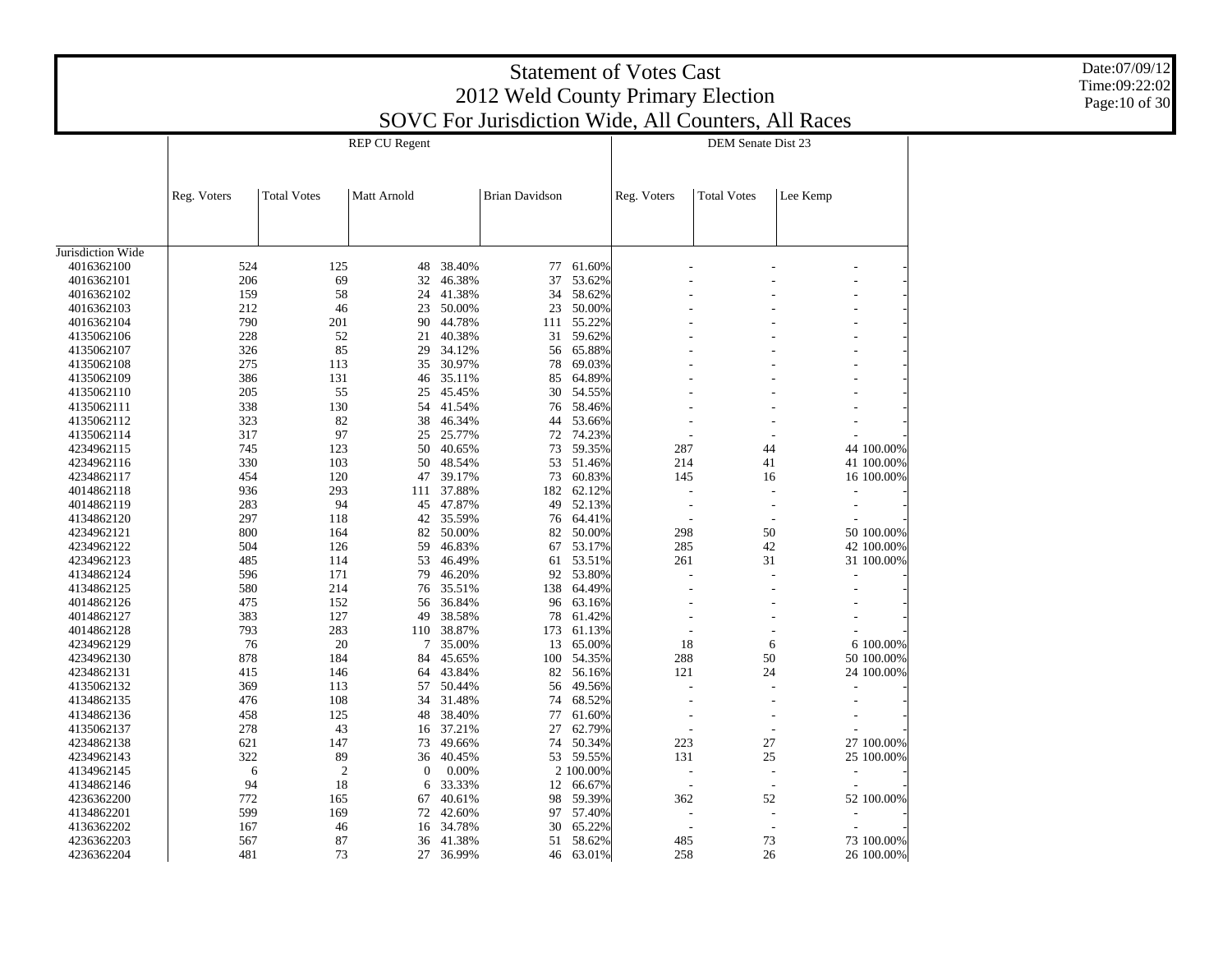|                   |             |                    |                      |        |                                                     |            | <b>Statement of Votes Cast</b> |                    |                |            |  |
|-------------------|-------------|--------------------|----------------------|--------|-----------------------------------------------------|------------|--------------------------------|--------------------|----------------|------------|--|
|                   |             |                    |                      |        | 2012 Weld County Primary Election                   |            |                                |                    |                |            |  |
|                   |             |                    |                      |        | SOVC For Jurisdiction Wide, All Counters, All Races |            |                                |                    |                |            |  |
|                   |             |                    | <b>REP CU Regent</b> |        |                                                     |            |                                | DEM Senate Dist 23 |                |            |  |
|                   |             |                    |                      |        |                                                     |            |                                |                    |                |            |  |
|                   |             |                    |                      |        |                                                     |            |                                |                    |                |            |  |
|                   | Reg. Voters | <b>Total Votes</b> | Matt Arnold          |        | <b>Brian Davidson</b>                               |            | Reg. Voters                    | <b>Total Votes</b> | Lee Kemp       |            |  |
|                   |             |                    |                      |        |                                                     |            |                                |                    |                |            |  |
| Jurisdiction Wide |             |                    |                      |        |                                                     |            |                                |                    |                |            |  |
| 4016362100        | 524         | 125                | 48                   | 38.40% |                                                     | 77 61.60%  |                                |                    |                |            |  |
| 4016362101        | 206         | 69                 | 32                   | 46.38% | 37                                                  | 53.62%     |                                |                    |                |            |  |
| 4016362102        | 159         | 58                 | 24                   | 41.38% | 34                                                  | 58.62%     |                                |                    |                |            |  |
| 4016362103        | 212         | 46                 | 23                   | 50.00% | 23                                                  | 50.00%     |                                |                    |                |            |  |
| 4016362104        | 790         | 201                | 90                   | 44.78% |                                                     |            |                                |                    |                |            |  |
|                   |             |                    | 21                   |        | 31                                                  | 111 55.22% |                                |                    |                |            |  |
| 4135062106        | 228         | 52                 |                      | 40.38% |                                                     | 59.62%     |                                |                    |                |            |  |
| 4135062107        | 326         | 85                 | 29                   | 34.12% | 56                                                  | 65.88%     |                                |                    |                |            |  |
| 4135062108        | 275         | 113                | 35                   | 30.97% | 78                                                  | 69.03%     |                                |                    |                |            |  |
| 4135062109        | 386         | 131                | 46                   | 35.11% | 85                                                  | 64.89%     |                                |                    |                |            |  |
| 4135062110        | 205         | 55                 | 25                   | 45.45% | 30                                                  | 54.55%     |                                |                    |                |            |  |
| 4135062111        | 338         | 130                | 54                   | 41.54% | 76                                                  | 58.46%     |                                |                    |                |            |  |
| 4135062112        | 323         | 82                 | 38                   | 46.34% | 44                                                  | 53.66%     |                                |                    |                |            |  |
| 4135062114        | 317         | 97                 | 25                   | 25.77% |                                                     | 72 74.23%  |                                |                    |                |            |  |
| 4234962115        | 745         | 123                | 50                   | 40.65% | 73                                                  | 59.35%     | 287                            | 44                 |                | 44 100.00% |  |
| 4234962116        | 330         | 103                | 50                   | 48.54% | 53                                                  | 51.46%     | 214                            | 41                 |                | 41 100.00% |  |
| 4234862117        | 454         | 120                | 47                   | 39.17% | 73                                                  | 60.83%     | 145                            |                    | 16             | 16 100.00% |  |
| 4014862118        | 936         | 293                | 111                  | 37.88% | 182                                                 | 62.12%     |                                |                    |                |            |  |
| 4014862119        | 283         | 94                 | 45                   | 47.87% | 49                                                  | 52.13%     |                                |                    |                |            |  |
| 4134862120        | 297         | 118                | 42                   | 35.59% | 76                                                  | 64.41%     |                                |                    |                |            |  |
| 4234962121        | 800         | 164                | 82                   | 50.00% | 82                                                  | 50.00%     | 298                            |                    | 50             | 50 100.00% |  |
| 4234962122        | 504         | 126                | 59                   | 46.83% | 67                                                  | 53.17%     | 285                            |                    | 42             | 42 100.00% |  |
| 4234962123        | 485         | 114                | 53                   | 46.49% | 61                                                  | 53.51%     | 261                            | 31                 |                | 31 100.00% |  |
| 4134862124        | 596         | 171                | 79                   | 46.20% | 92                                                  | 53.80%     |                                |                    |                |            |  |
| 4134862125        | 580         | 214                | 76                   | 35.51% | 138                                                 | 64.49%     |                                |                    |                |            |  |
| 4014862126        | 475         | 152                | 56                   | 36.84% | 96                                                  | 63.16%     |                                |                    |                |            |  |
| 4014862127        | 383         | 127                | 49                   | 38.58% | 78                                                  | 61.42%     |                                |                    |                |            |  |
| 4014862128        | 793         | 283                | 110                  | 38.87% | 173                                                 | 61.13%     | J.                             |                    |                |            |  |
| 4234962129        | 76          | 20                 | 7                    | 35.00% | 13                                                  | 65.00%     | 18                             |                    | 6              | 6 100.00%  |  |
| 4234962130        | 878         | 184                | 84                   | 45.65% | 100                                                 | 54.35%     | 288                            | 50                 |                | 50 100.00% |  |
| 4234862131        | 415         | 146                | 64                   | 43.84% | 82                                                  | 56.16%     | 121                            | 24                 |                | 24 100.00% |  |
| 4135062132        | 369         | 113                | 57                   | 50.44% | 56                                                  | 49.56%     |                                |                    |                |            |  |
| 4134862135        | 476         | 108                | 34                   | 31.48% | 74                                                  | 68.52%     |                                |                    |                |            |  |
| 4134862136        | 458         | 125                | 48                   | 38.40% | 77                                                  | 61.60%     |                                |                    |                |            |  |
| 4135062137        | 278         | 43                 | 16                   | 37.21% | 27                                                  | 62.79%     | Ĭ.                             |                    |                |            |  |
| 4234862138        | 621         | 147                | 73                   | 49.66% | 74                                                  | 50.34%     | 223                            | 27                 |                | 27 100.00% |  |
| 4234962143        | 322         | 89                 | 36                   | 40.45% |                                                     | 53 59.55%  | 131                            | 25                 |                | 25 100.00% |  |
| 4134962145        | 6           | $\overline{2}$     | $\mathbf{0}$         | 0.00%  |                                                     | 2 100.00%  | $\overline{a}$                 |                    | $\overline{a}$ |            |  |
| 4134862146        | 94          | 18                 |                      | 33.33% | 12                                                  | 66.67%     |                                |                    |                |            |  |
| 4236362200        | 772         | 165                | 6                    |        |                                                     |            | 362                            |                    | 52             |            |  |
|                   |             |                    | 67                   | 40.61% | 98                                                  | 59.39%     |                                |                    |                | 52 100.00% |  |
| 4134862201        | 599         | 169                | 72                   | 42.60% | 97                                                  | 57.40%     |                                |                    |                |            |  |
| 4136362202        | 167         | 46                 | 16                   | 34.78% | 30                                                  | 65.22%     |                                |                    |                |            |  |
| 4236362203        | 567         | 87                 | 36                   | 41.38% | 51                                                  | 58.62%     | 485                            | 73                 |                | 73 100.00% |  |
| 4236362204        | 481         | 73                 | 27                   | 36.99% |                                                     | 46 63.01%  | 258                            |                    | 26             | 26 100.00% |  |

Date:07/09/12 Time:09:22:02 Page:10 of 30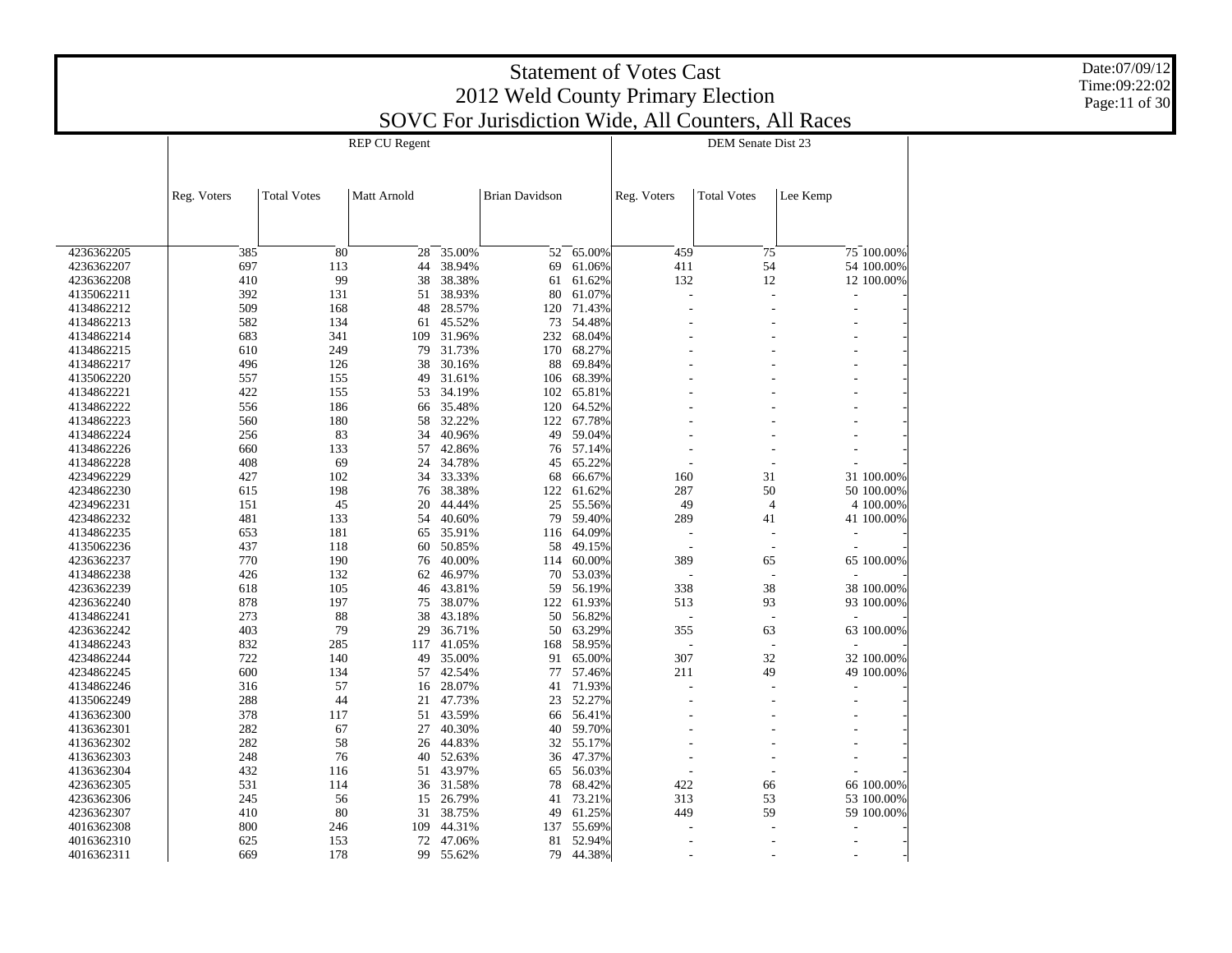|                          |             |                    |                      |                  | 2012 Weld County Primary Election                   |                  | <b>Statement of Votes Cast</b> |                    |                          |  |
|--------------------------|-------------|--------------------|----------------------|------------------|-----------------------------------------------------|------------------|--------------------------------|--------------------|--------------------------|--|
|                          |             |                    |                      |                  | SOVC For Jurisdiction Wide, All Counters, All Races |                  |                                |                    |                          |  |
|                          |             |                    | <b>REP CU Regent</b> |                  |                                                     |                  |                                | DEM Senate Dist 23 |                          |  |
|                          |             |                    |                      |                  |                                                     |                  |                                |                    |                          |  |
|                          |             |                    |                      |                  |                                                     |                  |                                |                    |                          |  |
|                          | Reg. Voters | <b>Total Votes</b> | Matt Arnold          |                  | <b>Brian Davidson</b>                               |                  | Reg. Voters                    | <b>Total Votes</b> | Lee Kemp                 |  |
|                          |             |                    |                      |                  |                                                     |                  |                                |                    |                          |  |
|                          |             |                    |                      |                  |                                                     |                  |                                |                    |                          |  |
| 4236362205               | 385         | 80                 | 28                   | 35.00%           |                                                     | 52 65.00%        | 459                            | 75                 | 75 100.00%               |  |
| 4236362207               | 697         | 113                | 44                   | 38.94%           | 69                                                  | 61.06%           | 411                            | 54                 | 54 100.00%               |  |
| 4236362208               | 410         | 99                 | 38                   | 38.38%           | 61                                                  | 61.62%           | 132                            | 12                 | 12 100.00%               |  |
| 4135062211               | 392         | 131                | 51                   | 38.93%           | 80                                                  | 61.07%           |                                |                    |                          |  |
| 4134862212               | 509         | 168                | 48                   | 28.57%           | 120                                                 | 71.43%           |                                |                    |                          |  |
| 4134862213               | 582         | 134                | 61                   | 45.52%           | 73                                                  | 54.48%           |                                |                    |                          |  |
| 4134862214               | 683         | 341                | 109                  | 31.96%           | 232                                                 | 68.04%           |                                |                    |                          |  |
| 4134862215               | 610         | 249                | 79                   | 31.73%           |                                                     | 170 68.27%       |                                |                    |                          |  |
| 4134862217               | 496         | 126                | 38                   | 30.16%           | 88                                                  | 69.84%           |                                |                    |                          |  |
| 4135062220               | 557         | 155                | 49                   | 31.61%           | 106                                                 | 68.39%           |                                |                    |                          |  |
| 4134862221               | 422         | 155                | 53                   | 34.19%           | 102                                                 | 65.81%           |                                |                    |                          |  |
| 4134862222               | 556<br>560  | 186                | 66                   | 35.48%<br>32.22% | 120<br>122                                          | 64.52%<br>67.78% |                                |                    |                          |  |
| 4134862223<br>4134862224 | 256         | 180<br>83          | 58<br>34             | 40.96%           | 49                                                  | 59.04%           |                                |                    |                          |  |
| 4134862226               | 660         | 133                | 57                   | 42.86%           | 76                                                  | 57.14%           |                                |                    |                          |  |
| 4134862228               | 408         | 69                 | 24                   | 34.78%           | 45                                                  | 65.22%           |                                |                    |                          |  |
| 4234962229               | 427         | 102                | 34                   | 33.33%           | 68                                                  | 66.67%           | 160                            | 31                 | 31 100.00%               |  |
| 4234862230               | 615         | 198                | 76                   | 38.38%           | 122                                                 | 61.62%           | 287                            | 50                 | 50 100.00%               |  |
| 4234962231               | 151         | 45                 | 20                   | 44.44%           | 25                                                  | 55.56%           | 49                             | $\overline{4}$     | 4 100.00%                |  |
| 4234862232               | 481         | 133                | 54                   | 40.60%           | 79                                                  | 59.40%           | 289                            | 41                 | 41 100.00%               |  |
| 4134862235               | 653         | 181                | 65                   | 35.91%           | 116                                                 | 64.09%           |                                |                    |                          |  |
| 4135062236               | 437         | 118                | 60                   | 50.85%           | 58                                                  | 49.15%           |                                |                    |                          |  |
| 4236362237               | 770         | 190                | 76                   | 40.00%           | 114                                                 | 60.00%           | 389                            | 65                 | 65 100.00%               |  |
| 4134862238               | 426         | 132                | 62                   | 46.97%           |                                                     | 70 53.03%        | ÷,                             |                    |                          |  |
| 4236362239               | 618         | 105                | 46                   | 43.81%           | 59                                                  | 56.19%           | 338                            | 38                 | 38 100.00%               |  |
| 4236362240               | 878         | 197                | 75                   | 38.07%           | 122                                                 | 61.93%           | 513                            | 93                 | 93 100.00%               |  |
| 4134862241               | 273         | 88                 | 38                   | 43.18%           | 50                                                  | 56.82%           |                                |                    |                          |  |
| 4236362242               | 403         | 79                 | 29                   | 36.71%           | 50                                                  | 63.29%           | 355                            | 63                 | 63 100.00%               |  |
| 4134862243               | 832         | 285                | 117                  | 41.05%           | 168                                                 | 58.95%           |                                |                    |                          |  |
| 4234862244               | 722         | 140                | 49                   | 35.00%           | 91                                                  | 65.00%           | 307                            | 32                 | 32 100.00%               |  |
| 4234862245               | 600         | 134<br>57          | 57                   | 42.54%           | 77<br>41                                            | 57.46%           | 211                            | 49                 | 49 100.00%               |  |
| 4134862246<br>4135062249 | 316<br>288  | 44                 | 16<br>21             | 28.07%<br>47.73% | 23                                                  | 71.93%<br>52.27% |                                |                    |                          |  |
| 4136362300               | 378         | 117                | 51                   | 43.59%           | 66                                                  | 56.41%           |                                |                    |                          |  |
| 4136362301               | 282         | 67                 | 27                   | 40.30%           | 40                                                  | 59.70%           |                                |                    |                          |  |
| 4136362302               | 282         | 58                 |                      | 26 44.83%        | 32                                                  | 55.17%           |                                |                    |                          |  |
| 4136362303               | 248         | 76                 |                      | 40 52.63%        |                                                     | 36 47.37%        | $\overline{\phantom{a}}$       |                    | $\overline{\phantom{a}}$ |  |
| 4136362304               | 432         | 116                | 51                   | 43.97%           |                                                     | 65 56.03%        |                                |                    |                          |  |
| 4236362305               | 531         | 114                |                      | 36 31.58%        | 78                                                  | 68.42%           | 422                            | 66                 | 66 100.00%               |  |
| 4236362306               | 245         | 56                 | 15                   | 26.79%           |                                                     | 41 73.21%        | 313                            | 53                 | 53 100.00%               |  |
| 4236362307               | 410         | 80                 | 31                   | 38.75%           | 49                                                  | 61.25%           | 449                            | 59                 | 59 100.00%               |  |
| 4016362308               | 800         | 246                |                      | 109 44.31%       |                                                     | 137 55.69%       |                                |                    |                          |  |
| 4016362310               | 625         | 153                | 72                   | 47.06%           | 81                                                  | 52.94%           |                                |                    |                          |  |
| 4016362311               | 669         | 178                |                      | 99 55.62%        |                                                     | 79 44.38%        |                                |                    | ÷,                       |  |

Date:07/09/12 Time:09:22:02 Page:11 of 30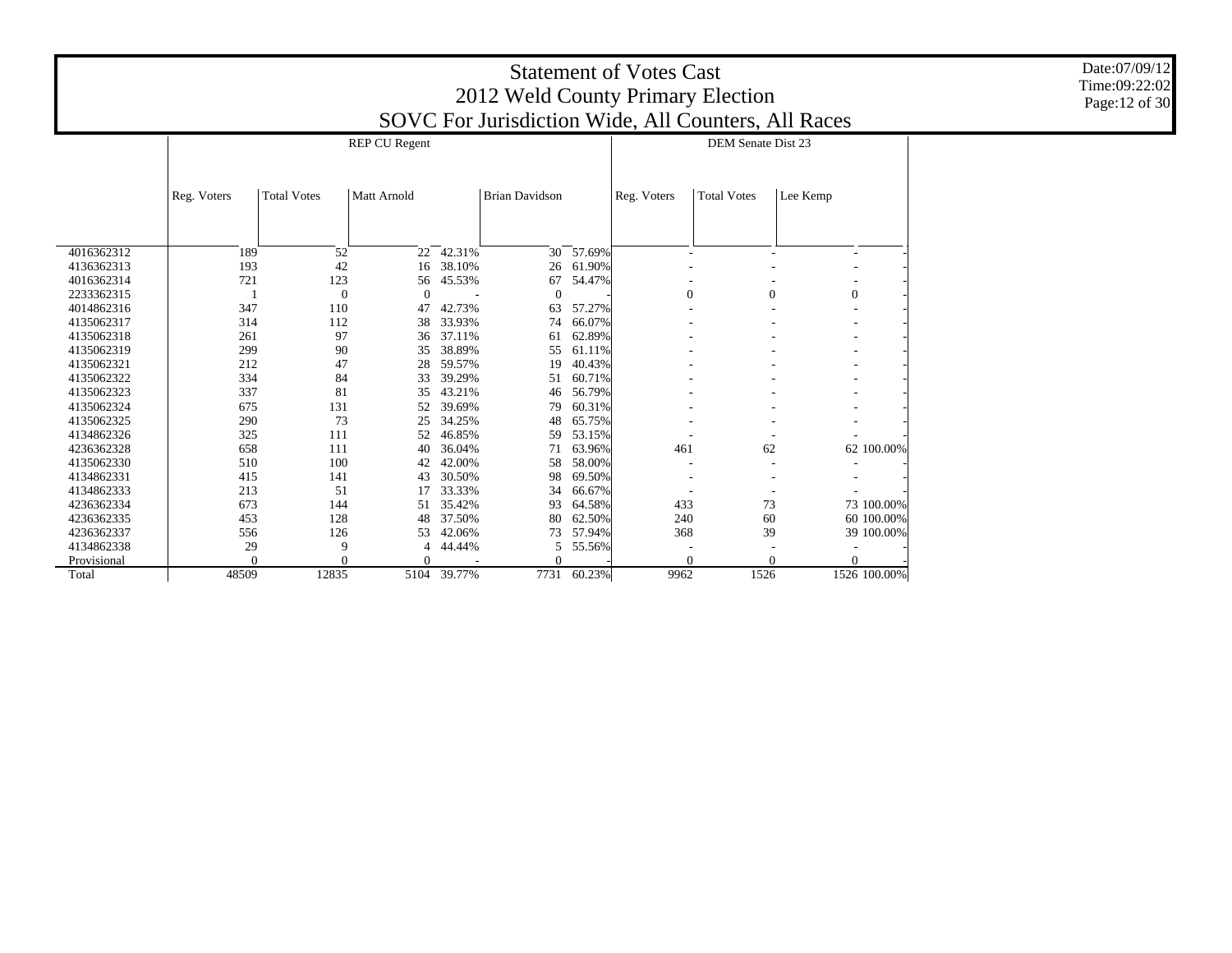|             |                                                                                            |                    |                      |             | 2012 Weld County Primary Election<br>SOVC For Jurisdiction Wide, All Counters, All Races |        | <b>Statement of Votes Cast</b> |                    |                          |              |  |  |  |  |  |
|-------------|--------------------------------------------------------------------------------------------|--------------------|----------------------|-------------|------------------------------------------------------------------------------------------|--------|--------------------------------|--------------------|--------------------------|--------------|--|--|--|--|--|
|             |                                                                                            |                    | <b>REP CU Regent</b> |             |                                                                                          |        |                                | DEM Senate Dist 23 |                          |              |  |  |  |  |  |
|             | Reg. Voters                                                                                | <b>Total Votes</b> | <b>Matt Arnold</b>   |             | <b>Brian Davidson</b>                                                                    |        | Reg. Voters                    | <b>Total Votes</b> | Lee Kemp                 |              |  |  |  |  |  |
|             |                                                                                            |                    |                      |             |                                                                                          |        |                                |                    |                          |              |  |  |  |  |  |
|             |                                                                                            |                    |                      |             |                                                                                          |        |                                |                    |                          |              |  |  |  |  |  |
| 4016362312  | 189                                                                                        | 52                 | 22                   | 42.31%      | 30                                                                                       | 57.69% | $\overline{\phantom{a}}$       |                    | $\overline{\phantom{a}}$ | ٠            |  |  |  |  |  |
| 4136362313  | 193<br>42<br>38.10%<br>61.90%<br>16<br>26                                                  |                    |                      |             |                                                                                          |        |                                |                    |                          |              |  |  |  |  |  |
| 4016362314  | 721<br>123<br>54.47%<br>45.53%<br>67<br>56                                                 |                    |                      |             |                                                                                          |        |                                |                    |                          |              |  |  |  |  |  |
| 2233362315  | $\overline{0}$<br>$\mathbf{0}$<br>$\Omega$<br>$\theta$<br>$\overline{0}$<br>$\Omega$<br>-1 |                    |                      |             |                                                                                          |        |                                |                    |                          |              |  |  |  |  |  |
| 4014862316  | 347<br>42.73%<br>110<br>47<br>57.27%<br>63                                                 |                    |                      |             |                                                                                          |        |                                |                    |                          |              |  |  |  |  |  |
| 4135062317  | 314                                                                                        | 112                | 38                   | 33.93%      | 74                                                                                       | 66.07% |                                |                    |                          |              |  |  |  |  |  |
| 4135062318  | 261                                                                                        | 97                 | 36                   | 37.11%      | 61                                                                                       | 62.89% |                                |                    |                          |              |  |  |  |  |  |
| 4135062319  | 299                                                                                        | 90                 | 35                   | 38.89%      | 55                                                                                       | 61.11% |                                |                    |                          |              |  |  |  |  |  |
| 4135062321  | 212                                                                                        | 47                 | 28                   | 59.57%      | 19                                                                                       | 40.43% |                                |                    |                          |              |  |  |  |  |  |
| 4135062322  | 334                                                                                        | 84                 | 33                   | 39.29%      | 51                                                                                       | 60.71% |                                |                    |                          |              |  |  |  |  |  |
| 4135062323  | 337                                                                                        | 81                 | 35                   | 43.21%      | 46                                                                                       | 56.79% |                                |                    |                          |              |  |  |  |  |  |
| 4135062324  | 675                                                                                        | 131                | 52                   | 39.69%      | 79                                                                                       | 60.31% |                                |                    |                          |              |  |  |  |  |  |
| 4135062325  | 290                                                                                        | 73                 | 25                   | 34.25%      | 48                                                                                       | 65.75% |                                |                    |                          |              |  |  |  |  |  |
| 4134862326  | 325                                                                                        | 111                | 52                   | 46.85%      | 59                                                                                       | 53.15% |                                |                    |                          |              |  |  |  |  |  |
| 4236362328  | 658                                                                                        | 111                | 40                   | 36.04%      | 71                                                                                       | 63.96% | 461                            | 62                 |                          | 62 100.00%   |  |  |  |  |  |
| 4135062330  | 510                                                                                        | 100                | 42                   | 42.00%      | 58                                                                                       | 58.00% |                                |                    |                          |              |  |  |  |  |  |
| 4134862331  | 415                                                                                        | 141                | 43                   | 30.50%      | 98                                                                                       | 69.50% |                                |                    |                          |              |  |  |  |  |  |
| 4134862333  | 213                                                                                        | 51                 | 17                   | 33.33%      | 34                                                                                       | 66.67% |                                |                    |                          |              |  |  |  |  |  |
| 4236362334  | 673                                                                                        | 144                | 51                   | 35.42%      | 93                                                                                       | 64.58% | 433                            | 73                 |                          | 73 100,00%   |  |  |  |  |  |
| 4236362335  | 453                                                                                        | 128                | 48                   | 37.50%      | 80                                                                                       | 62.50% | 240                            | 60                 |                          | 60 100.00%   |  |  |  |  |  |
| 4236362337  | 556                                                                                        | 126                | 53                   | 42.06%      | 73                                                                                       | 57.94% | 368                            | 39                 |                          | 39 100.00%   |  |  |  |  |  |
| 4134862338  | 29                                                                                         | 9                  | $\overline{4}$       | 44.44%      | 5                                                                                        | 55.56% |                                |                    |                          |              |  |  |  |  |  |
| Provisional | 0                                                                                          | $\Omega$           | $\Omega$             |             | $\Omega$                                                                                 |        | $\Omega$                       |                    | $\mathbf{0}$             | $\Omega$     |  |  |  |  |  |
| Total       | 48509                                                                                      | 12835              |                      | 5104 39.77% | 7731                                                                                     | 60.23% | 9962                           | 1526               |                          | 1526 100.00% |  |  |  |  |  |

 $\overline{\phantom{a}}$ 

Date:07/09/12 Time:09:22:02 Page:12 of 30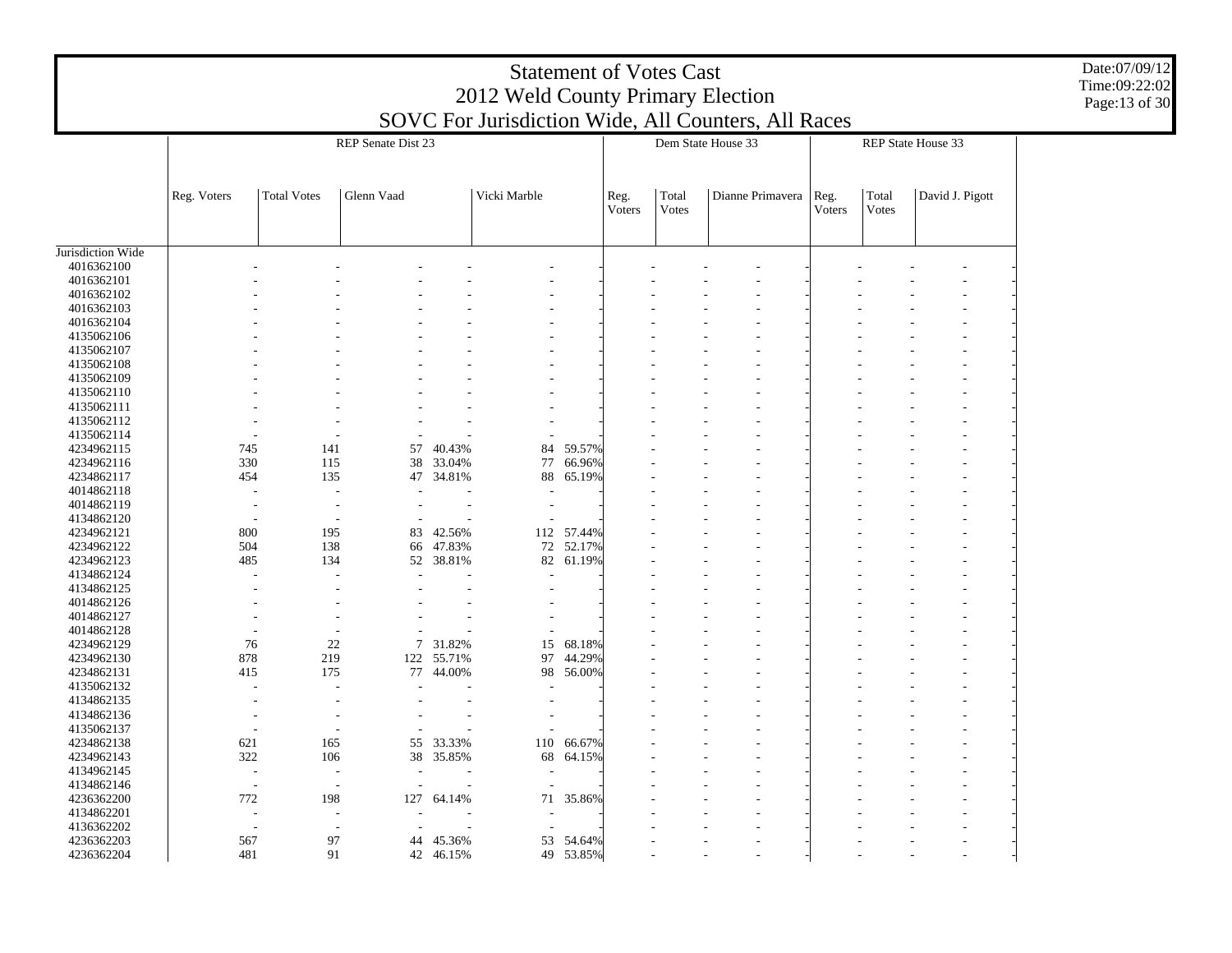|                          |             |                    |                    |                  | <b>Statement of Votes Cast</b><br>2012 Weld County Primary Election |                  |                |                | SOVC For Jurisdiction Wide, All Counters, All Races |                |                |                    | Date:07/09/12<br>Time:09:22:02<br>Page:13 of 30 |
|--------------------------|-------------|--------------------|--------------------|------------------|---------------------------------------------------------------------|------------------|----------------|----------------|-----------------------------------------------------|----------------|----------------|--------------------|-------------------------------------------------|
|                          |             |                    | REP Senate Dist 23 |                  |                                                                     |                  |                |                | Dem State House 33                                  |                |                | REP State House 33 |                                                 |
|                          |             |                    |                    |                  |                                                                     |                  |                |                |                                                     |                |                |                    |                                                 |
|                          | Reg. Voters | <b>Total Votes</b> | Glenn Vaad         |                  | Vicki Marble                                                        |                  | Reg.<br>Voters | Total<br>Votes | Dianne Primavera                                    | Reg.<br>Voters | Total<br>Votes | David J. Pigott    |                                                 |
| Jurisdiction Wide        |             |                    |                    |                  |                                                                     |                  |                |                |                                                     |                |                |                    |                                                 |
| 4016362100<br>4016362101 |             |                    |                    |                  |                                                                     |                  |                |                |                                                     |                |                |                    |                                                 |
| 4016362102<br>4016362103 |             |                    |                    |                  |                                                                     |                  |                |                |                                                     |                |                |                    |                                                 |
| 4016362104               |             |                    |                    |                  |                                                                     |                  |                |                |                                                     |                |                |                    |                                                 |
| 4135062106               |             |                    |                    |                  |                                                                     |                  |                |                |                                                     |                |                |                    |                                                 |
| 4135062107               |             |                    |                    |                  |                                                                     |                  |                |                |                                                     |                |                |                    |                                                 |
| 4135062108               |             |                    |                    |                  |                                                                     |                  |                |                |                                                     |                |                |                    |                                                 |
| 4135062109               |             |                    |                    |                  |                                                                     |                  |                |                |                                                     |                |                |                    |                                                 |
| 4135062110               |             |                    |                    |                  |                                                                     |                  |                |                |                                                     |                |                |                    |                                                 |
| 4135062111               |             |                    |                    |                  |                                                                     |                  |                |                |                                                     |                |                |                    |                                                 |
| 4135062112<br>4135062114 |             |                    |                    |                  |                                                                     |                  |                |                |                                                     |                |                |                    |                                                 |
| 4234962115               | 745         | 141                | 57                 | 40.43%           | 84                                                                  | 59.57%           |                |                |                                                     |                |                |                    |                                                 |
| 4234962116               | 330         | 115                | 38                 | 33.04%           | 77                                                                  | 66.96%           |                |                |                                                     |                |                |                    |                                                 |
| 4234862117               | 454         | 135                | 47                 | 34.81%           | 88                                                                  | 65.19%           |                |                |                                                     |                |                |                    |                                                 |
| 4014862118               |             |                    |                    |                  |                                                                     |                  |                |                |                                                     |                |                |                    |                                                 |
| 4014862119               |             |                    |                    |                  |                                                                     |                  |                |                |                                                     |                |                |                    |                                                 |
| 4134862120               |             |                    |                    |                  |                                                                     |                  |                |                |                                                     |                |                |                    |                                                 |
| 4234962121               | 800         | 195                | 83                 | 42.56%           | 112                                                                 | 57.44%           |                |                |                                                     |                |                |                    |                                                 |
| 4234962122<br>4234962123 | 504<br>485  | 138<br>134         | 66<br>52           | 47.83%<br>38.81% | 72<br>82                                                            | 52.17%<br>61.19% |                |                |                                                     |                |                |                    |                                                 |
| 4134862124               |             |                    |                    |                  |                                                                     |                  |                |                |                                                     |                |                |                    |                                                 |
| 4134862125               |             |                    |                    |                  |                                                                     |                  |                |                |                                                     |                |                |                    |                                                 |
| 4014862126               |             |                    |                    |                  |                                                                     |                  |                |                |                                                     |                |                |                    |                                                 |
| 4014862127               |             |                    |                    |                  |                                                                     |                  |                |                |                                                     |                |                |                    |                                                 |
| 4014862128               |             |                    |                    |                  |                                                                     |                  |                |                |                                                     |                |                |                    |                                                 |
| 4234962129               |             | 76<br>22           | 7                  | 31.82%           | 15                                                                  | 68.18%           |                |                |                                                     |                |                |                    |                                                 |
| 4234962130               | 878         | 219                | 122                | 55.71%           | 97                                                                  | 44.29%           |                |                |                                                     |                |                |                    |                                                 |
| 4234862131               | 415         | 175                | 77                 | 44.00%           | 98                                                                  | 56.00%           |                |                |                                                     |                |                |                    |                                                 |
| 4135062132<br>4134862135 |             |                    |                    |                  |                                                                     |                  |                |                |                                                     |                |                |                    |                                                 |
| 4134862136               |             |                    |                    |                  |                                                                     |                  |                |                |                                                     |                |                |                    |                                                 |
| 4135062137               |             |                    |                    |                  |                                                                     |                  |                |                |                                                     |                |                |                    |                                                 |
| 4234862138               | 621         | 165                |                    | 55 33.33%        | 110                                                                 | 66.67%           |                |                |                                                     |                |                |                    |                                                 |
| 4234962143               | 322         | 106                |                    | 38 35.85%        | 68                                                                  | 64.15%           |                |                |                                                     |                |                |                    |                                                 |
| 4134962145               |             | J.                 |                    |                  |                                                                     |                  |                |                |                                                     |                |                |                    |                                                 |
| 4134862146               |             |                    |                    |                  |                                                                     |                  |                |                |                                                     |                |                |                    |                                                 |
| 4236362200               | 772         | 198                |                    | 127 64.14%       | 71                                                                  | 35.86%           |                |                |                                                     |                |                |                    |                                                 |
| 4134862201               |             |                    |                    |                  |                                                                     |                  |                |                |                                                     |                |                |                    |                                                 |
| 4136362202<br>4236362203 | 567         | 97                 |                    | 44 45.36%        |                                                                     | 53 54.64%        |                |                |                                                     |                |                |                    |                                                 |
| 4236362204               | 481         | 91                 |                    | 42 46.15%        | 49                                                                  | 53.85%           |                |                |                                                     |                |                |                    |                                                 |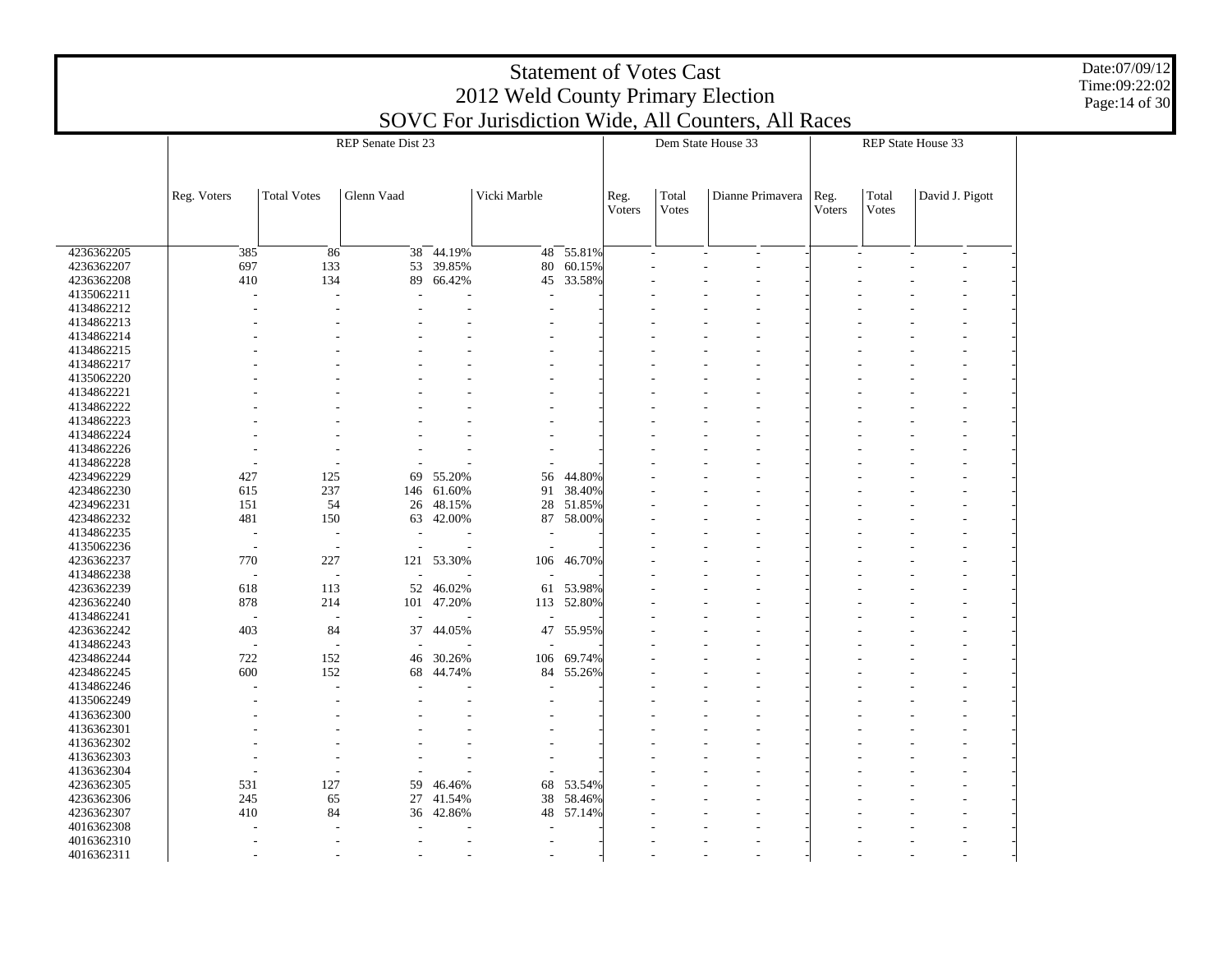|            |                          |                    |                          |           | <b>Statement of Votes Cast</b>    |           |                |                |                                                     |                |                |                    |  |
|------------|--------------------------|--------------------|--------------------------|-----------|-----------------------------------|-----------|----------------|----------------|-----------------------------------------------------|----------------|----------------|--------------------|--|
|            |                          |                    |                          |           | 2012 Weld County Primary Election |           |                |                |                                                     |                |                |                    |  |
|            |                          |                    |                          |           |                                   |           |                |                | SOVC For Jurisdiction Wide, All Counters, All Races |                |                |                    |  |
|            |                          |                    | REP Senate Dist 23       |           |                                   |           |                |                | Dem State House 33                                  |                |                | REP State House 33 |  |
|            |                          |                    |                          |           |                                   |           |                |                |                                                     |                |                |                    |  |
|            |                          |                    |                          |           |                                   |           |                |                |                                                     |                |                |                    |  |
|            | Reg. Voters              | <b>Total Votes</b> | Glenn Vaad               |           | Vicki Marble                      |           | Reg.<br>Voters | Total<br>Votes | Dianne Primavera                                    | Reg.<br>Voters | Total<br>Votes | David J. Pigott    |  |
|            |                          |                    |                          |           |                                   |           |                |                |                                                     |                |                |                    |  |
|            |                          |                    |                          |           |                                   |           |                |                |                                                     |                |                |                    |  |
| 4236362205 | 385                      | 86                 | 38                       | 44.19%    | 48                                | 55.81%    |                |                |                                                     |                |                |                    |  |
| 4236362207 | 697                      | 133                | 53                       | 39.85%    | 80                                | 60.15%    |                |                |                                                     |                |                |                    |  |
| 4236362208 | 410                      | 134                | 89                       | 66.42%    | 45                                | 33.58%    |                |                |                                                     |                |                |                    |  |
| 4135062211 |                          |                    |                          |           |                                   |           |                |                |                                                     |                |                |                    |  |
| 4134862212 |                          |                    |                          |           |                                   |           |                |                |                                                     |                |                |                    |  |
| 4134862213 |                          |                    |                          |           |                                   |           |                |                |                                                     |                |                |                    |  |
| 4134862214 |                          |                    |                          |           |                                   |           |                |                |                                                     |                |                |                    |  |
| 4134862215 |                          |                    |                          |           |                                   |           |                |                |                                                     |                |                |                    |  |
| 4134862217 |                          |                    |                          |           |                                   |           |                |                |                                                     |                |                |                    |  |
| 4135062220 |                          |                    |                          |           |                                   |           |                |                |                                                     |                |                |                    |  |
| 4134862221 |                          |                    |                          |           |                                   |           |                |                |                                                     |                |                |                    |  |
| 4134862222 |                          |                    |                          |           |                                   |           |                |                |                                                     |                |                |                    |  |
| 4134862223 |                          |                    |                          |           |                                   |           |                |                |                                                     |                |                |                    |  |
| 4134862224 |                          |                    |                          |           |                                   |           |                |                |                                                     |                |                |                    |  |
| 4134862226 |                          |                    |                          |           |                                   |           |                |                |                                                     |                |                |                    |  |
| 4134862228 |                          |                    |                          |           |                                   |           |                |                |                                                     |                |                |                    |  |
| 4234962229 | 427                      | 125                | 69                       | 55.20%    | 56                                | 44.80%    |                |                |                                                     |                |                |                    |  |
| 4234862230 | 615                      | 237                | 146                      | 61.60%    | 91                                | 38.40%    |                |                |                                                     |                |                |                    |  |
| 4234962231 | 151                      | 54                 | 26                       | 48.15%    | 28                                | 51.85%    |                |                |                                                     |                |                |                    |  |
| 4234862232 | 481                      | 150                | 63                       | 42.00%    | 87                                | 58.00%    |                |                |                                                     |                |                |                    |  |
| 4134862235 |                          | $\overline{a}$     |                          |           |                                   |           |                |                |                                                     |                |                |                    |  |
| 4135062236 |                          | J.                 |                          |           |                                   |           |                |                |                                                     |                |                |                    |  |
| 4236362237 | 770                      | 227                | 121                      | 53.30%    | 106                               | 46.70%    |                |                |                                                     |                |                |                    |  |
| 4134862238 |                          | ÷,                 |                          |           |                                   |           |                |                |                                                     |                |                |                    |  |
| 4236362239 | 618                      | 113                | 52                       | 46.02%    | 61                                | 53.98%    |                |                |                                                     |                |                |                    |  |
| 4236362240 | 878                      | 214                | 101                      | 47.20%    | 113                               | 52.80%    |                |                |                                                     |                |                |                    |  |
| 4134862241 |                          |                    |                          |           |                                   |           |                |                |                                                     |                |                |                    |  |
| 4236362242 | 403                      | 84                 | 37                       | 44.05%    | 47                                | 55.95%    |                |                |                                                     |                |                |                    |  |
| 4134862243 |                          |                    |                          |           |                                   |           |                |                |                                                     |                |                |                    |  |
| 4234862244 | 722                      | 152                | 46                       | 30.26%    | 106                               | 69.74%    |                |                |                                                     |                |                |                    |  |
| 4234862245 | 600                      | 152                | 68                       | 44.74%    | 84                                | 55.26%    |                |                |                                                     |                |                |                    |  |
| 4134862246 |                          |                    |                          |           |                                   |           |                |                |                                                     |                |                |                    |  |
| 4135062249 |                          |                    |                          |           |                                   |           |                |                |                                                     |                |                |                    |  |
| 4136362300 |                          |                    |                          |           |                                   |           |                |                |                                                     |                |                |                    |  |
| 4136362301 |                          |                    |                          |           |                                   |           |                |                |                                                     |                |                |                    |  |
| 4136362302 |                          |                    |                          |           |                                   |           |                |                |                                                     |                |                |                    |  |
| 4136362303 | $\overline{\phantom{a}}$ | $\overline{a}$     | $\overline{\phantom{a}}$ |           |                                   |           |                |                |                                                     |                |                |                    |  |
| 4136362304 |                          | ÷,                 | $\overline{\phantom{0}}$ |           |                                   |           |                |                |                                                     |                |                |                    |  |
| 4236362305 | 531                      | 127                |                          | 59 46.46% | 68                                | 53.54%    |                |                |                                                     |                |                |                    |  |
| 4236362306 | 245                      | 65                 |                          | 27 41.54% |                                   | 38 58.46% |                |                |                                                     |                |                |                    |  |
| 4236362307 | 410                      | 84                 |                          | 36 42.86% |                                   | 48 57.14% |                |                |                                                     |                |                |                    |  |
| 4016362308 |                          |                    |                          |           |                                   |           |                |                |                                                     |                |                |                    |  |
| 4016362310 |                          |                    |                          |           |                                   |           |                |                |                                                     |                |                |                    |  |
| 4016362311 |                          |                    |                          |           |                                   |           |                |                |                                                     |                |                |                    |  |

Date:07/09/12 Time:09:22:02 Page:14 of 30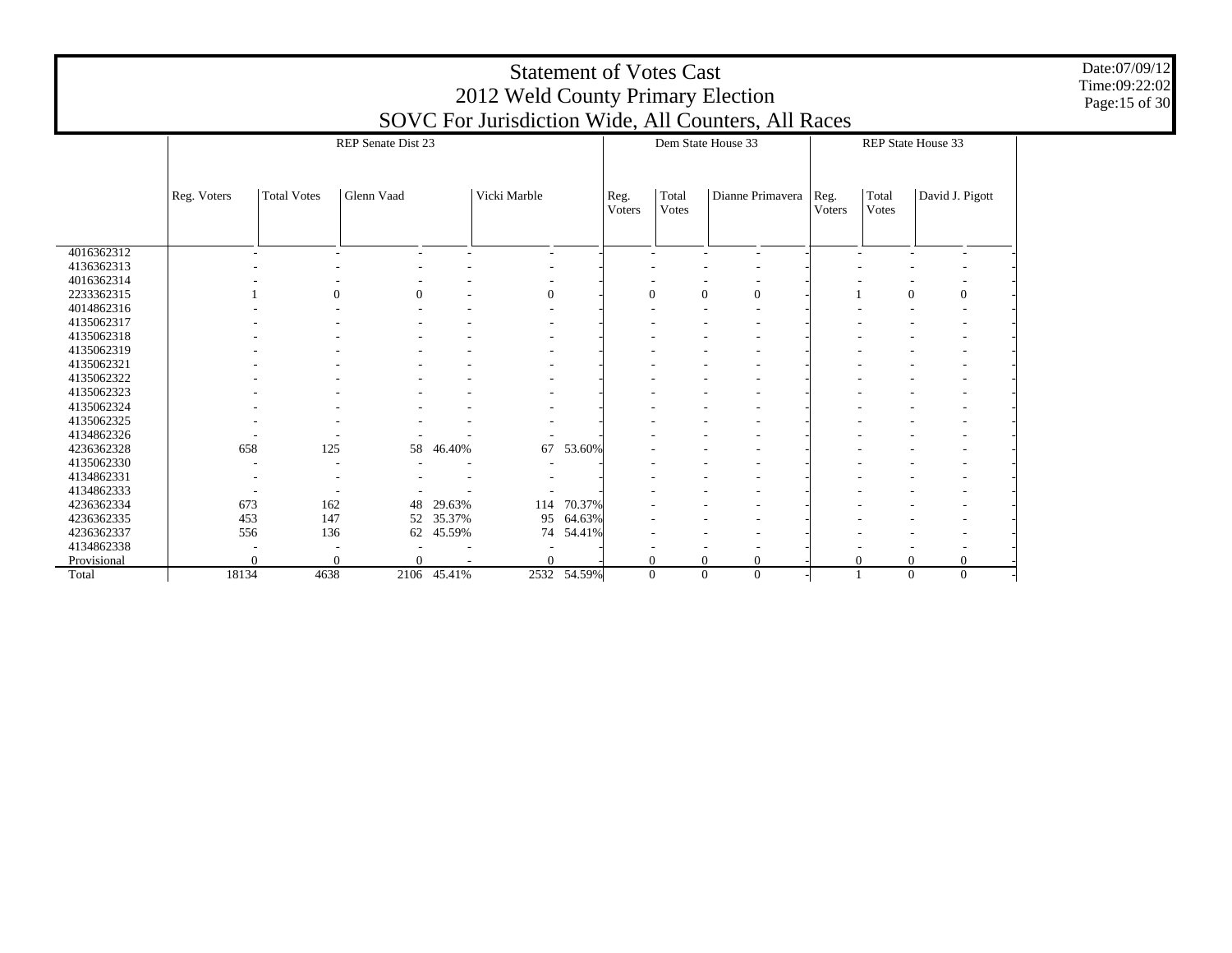| SOVC For Jurisdiction Wide, All Counters, All Races | <b>Statement of Votes Cast</b><br>2012 Weld County Primary Election |                           | Date:07/09/12<br>Time:09:22:02<br>Page: 15 of 30 |
|-----------------------------------------------------|---------------------------------------------------------------------|---------------------------|--------------------------------------------------|
| nate Dist 23                                        | Dem State House 33                                                  | <b>REP State House 33</b> |                                                  |

## 4016362312 4136362313 4016362314 2233362315 4014862316 4135062317 4135062318 4135062319 4135062321 4135062322 4135062323 4135062324 4135062325 4134862326 4236362328 4135062330 4134862331 4134862333 4236362334 4236362335 4236362337 4134862338 Provisional Total Reg. Voters | Total Votes | Glenn Vaad | Vicki Marble REP Senate Dist 23Reg. VotersTotal VotesDianne Primavera Reg. Dem State House 3 VotersTotal VotesDavid J. Pigott - - - - - - - - - - - - - - - - - - - - - - - - - - - - - - - - - - - - - - - - 1 $\begin{array}{ccccccccccc} 1 & 0 & 0 & - & 0 & - & 0 & 0 & 0 & - & 1 & 0 & 0 & - \end{array}$  - - - - - - - - - - - - - - - - - - - - - - - - - - - - - - - - - - - - - - - - - - - - - - - - - - - - - - - - - - - - - - - - - - - - - - - - - - - - - - - - - - - - - - - - - - - - - - - - - - - - - - - - - - - - - - - - - - - - - - - - - - - - - - - - - - 658 125 58 46.40% 67 53.60% - - - - - - - - - - - - - - - - - - - - - - - - - - - - - - - - - - - - - - - - - - - - - - - - - - 673 162 48 29.63%114 70.37% - - - -453 147 52 35.37% 95 64.63% - - - - - - - - 556 136 62 45.59% 74 54.41% - - - - - - - - - - - - - - - - - - - - -  $\theta$  $0$  0 0 - 0 - 0 0 0 0 - 0 0 0 -18134 4638 2106 45.41%2532 54.59% 0 0 0 - 1 0 0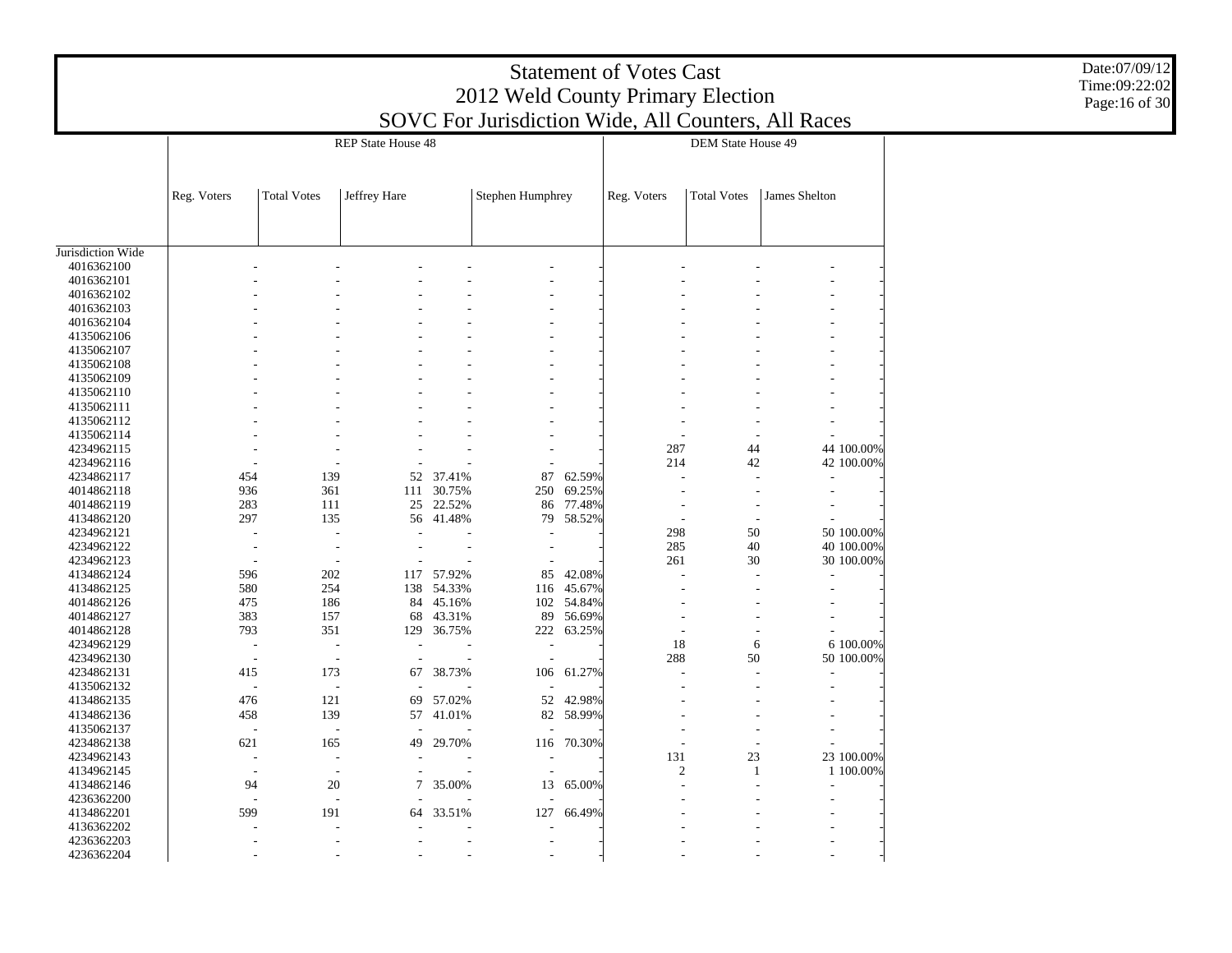|                          |             |                                |                           |            | 2012 Weld County Primary Election<br>SOVC For Jurisdiction Wide, All Counters, All Races |            | <b>Statement of Votes Cast</b> |                    |               |            | Date:07/09/12<br>Time:09:22:02<br>Page:16 of 30 |
|--------------------------|-------------|--------------------------------|---------------------------|------------|------------------------------------------------------------------------------------------|------------|--------------------------------|--------------------|---------------|------------|-------------------------------------------------|
|                          |             |                                | <b>REP State House 48</b> |            |                                                                                          |            |                                | DEM State House 49 |               |            |                                                 |
|                          |             |                                |                           |            |                                                                                          |            |                                |                    |               |            |                                                 |
|                          | Reg. Voters | <b>Total Votes</b>             | Jeffrey Hare              |            | Stephen Humphrey                                                                         |            | Reg. Voters                    | <b>Total Votes</b> | James Shelton |            |                                                 |
|                          |             |                                |                           |            |                                                                                          |            |                                |                    |               |            |                                                 |
| Jurisdiction Wide        |             |                                |                           |            |                                                                                          |            |                                |                    |               |            |                                                 |
| 4016362100               |             |                                |                           |            |                                                                                          |            |                                |                    |               |            |                                                 |
| 4016362101<br>4016362102 |             |                                |                           |            |                                                                                          |            |                                |                    |               |            |                                                 |
| 4016362103               |             |                                |                           |            |                                                                                          |            |                                |                    |               |            |                                                 |
| 4016362104               |             |                                |                           |            |                                                                                          |            |                                |                    |               |            |                                                 |
| 4135062106               |             |                                |                           |            |                                                                                          |            |                                |                    |               |            |                                                 |
| 4135062107               |             |                                |                           |            |                                                                                          |            |                                |                    |               |            |                                                 |
| 4135062108               |             |                                |                           |            |                                                                                          |            |                                |                    |               |            |                                                 |
| 4135062109               |             |                                |                           |            |                                                                                          |            |                                |                    |               |            |                                                 |
| 4135062110               |             |                                |                           |            |                                                                                          |            |                                |                    |               |            |                                                 |
| 4135062111               |             |                                |                           |            |                                                                                          |            |                                |                    |               |            |                                                 |
| 4135062112               |             |                                |                           |            |                                                                                          |            |                                |                    |               |            |                                                 |
| 4135062114               |             |                                |                           |            |                                                                                          |            |                                |                    |               |            |                                                 |
| 4234962115               |             |                                |                           |            |                                                                                          |            | 287                            | 44                 |               | 44 100.00% |                                                 |
| 4234962116               |             |                                |                           |            |                                                                                          |            | 214                            | 42                 |               | 42 100.00% |                                                 |
| 4234862117               | 454         | 139                            | 52                        | 37.41%     | 87                                                                                       | 62.59%     |                                |                    |               |            |                                                 |
| 4014862118               | 936         | 361                            | 111                       | 30.75%     | 250                                                                                      | 69.25%     |                                |                    |               |            |                                                 |
| 4014862119               | 283         | 111                            | 25                        | 22.52%     | 86                                                                                       | 77.48%     |                                |                    |               |            |                                                 |
| 4134862120               | 297         | 135                            |                           | 56 41.48%  | 79                                                                                       | 58.52%     |                                |                    |               |            |                                                 |
| 4234962121               |             | ÷,                             |                           |            |                                                                                          |            | 298                            | 50                 |               | 50 100.00% |                                                 |
| 4234962122               |             |                                |                           |            |                                                                                          |            | 285                            | 40                 |               | 40 100.00% |                                                 |
| 4234962123               |             |                                |                           |            |                                                                                          |            | 261                            | 30                 |               | 30 100.00% |                                                 |
| 4134862124               | 596         | 202                            |                           | 117 57.92% | 85                                                                                       | 42.08%     |                                |                    |               |            |                                                 |
| 4134862125               | 580         | 254                            |                           | 138 54.33% | 116                                                                                      | 45.67%     |                                |                    |               |            |                                                 |
| 4014862126               | 475         | 186                            | 84                        | 45.16%     | 102                                                                                      | 54.84%     |                                |                    |               |            |                                                 |
| 4014862127               | 383         | 157                            | 68                        | 43.31%     | 89                                                                                       | 56.69%     |                                |                    |               |            |                                                 |
| 4014862128               | 793         | 351                            | 129                       | 36.75%     |                                                                                          | 222 63.25% |                                |                    |               |            |                                                 |
| 4234962129               |             | $\overline{\phantom{a}}$       |                           |            |                                                                                          |            | 18                             |                    | 6             | 6 100.00%  |                                                 |
| 4234962130               |             |                                |                           |            |                                                                                          |            | 288                            | 50                 |               | 50 100.00% |                                                 |
| 4234862131               | 415         | 173                            |                           | 67 38.73%  |                                                                                          | 106 61.27% |                                |                    |               |            |                                                 |
| 4135062132<br>4134862135 | 476         | 121                            |                           | 69 57.02%  | 52                                                                                       | 42.98%     |                                |                    |               |            |                                                 |
| 4134862136               | 458         | 139                            |                           | 57 41.01%  | 82                                                                                       | 58.99%     |                                |                    |               |            |                                                 |
| 4135062137               |             | J.<br>$\overline{\phantom{a}}$ |                           |            |                                                                                          |            |                                |                    |               |            |                                                 |
| 4234862138               | 621         | 165                            | 49                        | 29.70%     |                                                                                          | 116 70.30% |                                |                    | $\sim$        |            |                                                 |
| 4234962143               |             |                                |                           |            |                                                                                          |            | 131                            | 23                 |               | 23 100.00% |                                                 |
| 4134962145               |             | $\overline{\phantom{a}}$       |                           |            |                                                                                          |            | $\overline{2}$                 | -1                 |               | 1 100.00%  |                                                 |
| 4134862146               | 94          | 20                             | $\tau$                    | 35.00%     | 13                                                                                       | 65.00%     |                                |                    |               |            |                                                 |
| 4236362200               |             | ÷.                             |                           |            |                                                                                          |            |                                |                    |               |            |                                                 |
| 4134862201               | 599         | 191                            |                           | 64 33.51%  | 127                                                                                      | 66.49%     |                                |                    |               |            |                                                 |
| 4136362202               |             | ÷                              |                           |            |                                                                                          |            |                                |                    |               |            |                                                 |
| 4236362203               |             |                                |                           |            | $\overline{\phantom{a}}$                                                                 |            |                                |                    |               |            |                                                 |
| 4236362204               |             |                                |                           |            |                                                                                          |            |                                |                    |               |            |                                                 |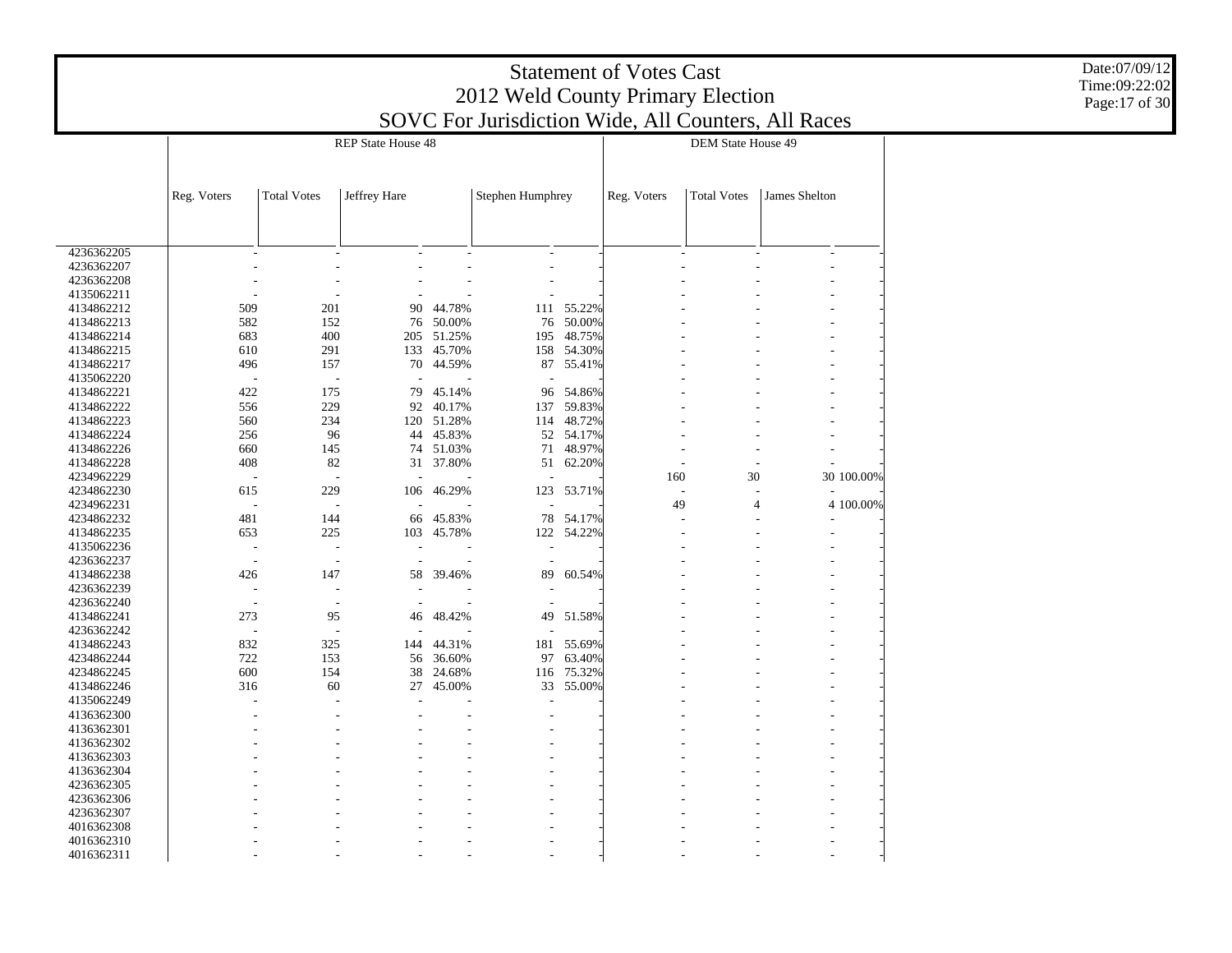|                                        |                                 |                                       | Date:07/09/12<br>Time:09:22:02<br>Page: 17 of 30 |                      |                  |                  |             |                    |                                                     |  |
|----------------------------------------|---------------------------------|---------------------------------------|--------------------------------------------------|----------------------|------------------|------------------|-------------|--------------------|-----------------------------------------------------|--|
|                                        |                                 |                                       | REP State House 48                               |                      |                  |                  |             | DEM State House 49 | SOVC For Jurisdiction Wide, All Counters, All Races |  |
|                                        |                                 |                                       |                                                  |                      |                  |                  |             |                    |                                                     |  |
|                                        | Reg. Voters                     | <b>Total Votes</b>                    | Jeffrey Hare                                     |                      | Stephen Humphrey |                  | Reg. Voters | <b>Total Votes</b> | James Shelton                                       |  |
|                                        |                                 |                                       |                                                  |                      |                  |                  |             |                    |                                                     |  |
| 4236362205<br>4236362207<br>4236362208 |                                 |                                       |                                                  |                      |                  |                  |             |                    |                                                     |  |
| 4135062211                             |                                 |                                       |                                                  |                      |                  |                  |             |                    |                                                     |  |
| 4134862212                             | 509                             | 201                                   | 90                                               | 44.78%               | 111              | 55.22%           |             |                    |                                                     |  |
| 4134862213<br>4134862214               | 582<br>683                      | 152<br>400                            | 76                                               | 50.00%<br>205 51.25% | 76<br>195        | 50.00%<br>48.75% |             |                    |                                                     |  |
| 4134862215                             | 610                             | 291                                   |                                                  | 133 45.70%           | 158              | 54.30%           |             |                    |                                                     |  |
| 4134862217                             | 496                             | 157                                   | 70                                               | 44.59%               | 87               | 55.41%           |             |                    |                                                     |  |
| 4135062220                             |                                 |                                       |                                                  |                      |                  |                  |             |                    |                                                     |  |
| 4134862221                             | 422                             | 175                                   |                                                  | 79 45.14%            |                  | 96 54.86%        |             |                    |                                                     |  |
| 4134862222<br>4134862223               | 556<br>560                      | 229<br>234                            | 92                                               | 40.17%<br>120 51.28% | 137<br>114       | 59.83%<br>48.72% |             |                    |                                                     |  |
| 4134862224                             | 256                             | 96                                    |                                                  | 44 45.83%            |                  | 52 54.17%        |             |                    |                                                     |  |
| 4134862226                             | 660                             | 145                                   |                                                  | 74 51.03%            | 71               | 48.97%           |             |                    |                                                     |  |
| 4134862228                             | 408                             | 82                                    |                                                  | 31 37.80%            | 51               | 62.20%           |             |                    | ٠                                                   |  |
| 4234962229                             |                                 |                                       |                                                  |                      |                  |                  | 160         | 30                 | 30 100.00%                                          |  |
| 4234862230                             | 615                             | 229                                   |                                                  | 106 46.29%           |                  | 123 53.71%       |             | ÷                  |                                                     |  |
| 4234962231<br>4234862232               | 481                             | $\overline{\phantom{a}}$<br>÷,<br>144 | 66                                               | 45.83%               | 78               | 54.17%           | 49          |                    | 4 100.00%<br>$\overline{4}$                         |  |
| 4134862235                             | 653                             | 225                                   | 103                                              | 45.78%               |                  | 122 54.22%       |             |                    |                                                     |  |
| 4135062236                             |                                 | $\overline{a}$                        |                                                  |                      | $\overline{a}$   |                  |             |                    |                                                     |  |
| 4236362237                             |                                 | $\overline{\phantom{a}}$<br>٠         |                                                  |                      |                  |                  |             |                    |                                                     |  |
| 4134862238                             | 426                             | 147                                   |                                                  | 58 39.46%            | 89               | 60.54%           |             |                    |                                                     |  |
| 4236362239                             |                                 | Ĭ.                                    |                                                  |                      |                  |                  |             |                    |                                                     |  |
| 4236362240                             | $\overline{\phantom{a}}$<br>273 | $\sim$                                |                                                  |                      |                  |                  |             |                    |                                                     |  |
| 4134862241<br>4236362242               |                                 | 95<br>L,<br>J.                        | 46                                               | 48.42%               | 49               | 51.58%           |             |                    |                                                     |  |
| 4134862243                             | 832                             | 325                                   |                                                  | 144 44.31%           | 181              | 55.69%           |             |                    |                                                     |  |
| 4234862244                             | 722                             | 153                                   | 56                                               | 36.60%               | 97               | 63.40%           |             |                    |                                                     |  |
| 4234862245                             | 600                             | 154                                   | 38                                               | 24.68%               |                  | 116 75.32%       |             |                    |                                                     |  |
| 4134862246                             | 316                             | 60                                    | 27                                               | 45.00%               | 33               | 55.00%           |             |                    |                                                     |  |
| 4135062249                             |                                 |                                       |                                                  |                      |                  |                  |             |                    |                                                     |  |
| 4136362300<br>4136362301               |                                 |                                       |                                                  |                      |                  |                  |             |                    |                                                     |  |
| 4136362302                             |                                 |                                       |                                                  |                      |                  |                  |             |                    |                                                     |  |
| 4136362303                             |                                 |                                       |                                                  |                      |                  |                  |             |                    |                                                     |  |
| 4136362304                             |                                 |                                       |                                                  |                      |                  |                  |             |                    |                                                     |  |
| 4236362305                             |                                 |                                       |                                                  |                      |                  |                  |             |                    |                                                     |  |
| 4236362306                             |                                 |                                       |                                                  |                      |                  |                  |             |                    |                                                     |  |
| 4236362307                             |                                 |                                       |                                                  |                      |                  |                  |             |                    |                                                     |  |
| 4016362308<br>4016362310               |                                 |                                       |                                                  |                      | ÷.               |                  |             |                    |                                                     |  |
| 4016362311                             |                                 |                                       |                                                  |                      |                  |                  |             |                    |                                                     |  |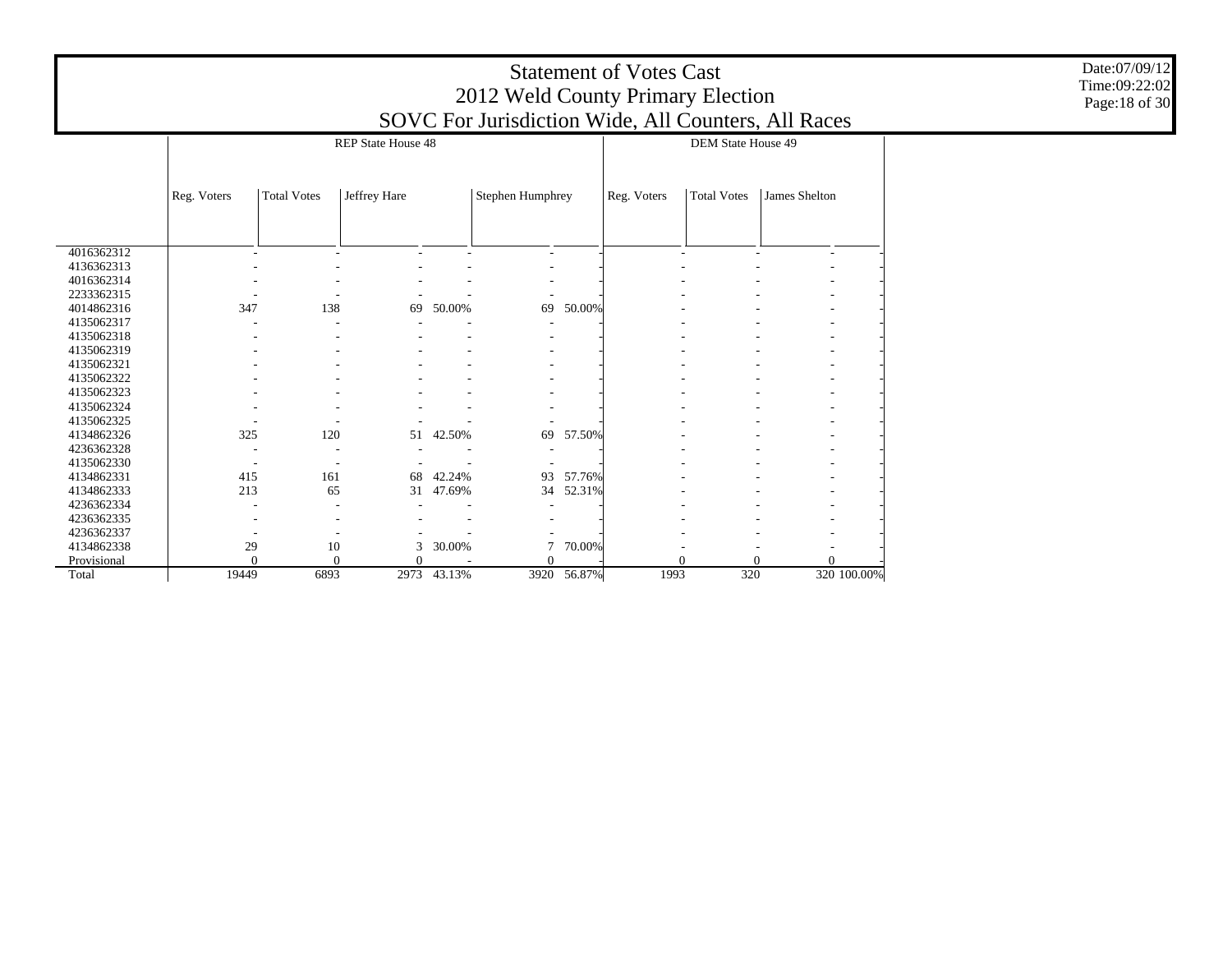|                          |             |                    |                           |        | 2012 Weld County Primary Election<br>SOVC For Jurisdiction Wide, All Counters, All Races |             | <b>Statement of Votes Cast</b> |                           |                      |             |
|--------------------------|-------------|--------------------|---------------------------|--------|------------------------------------------------------------------------------------------|-------------|--------------------------------|---------------------------|----------------------|-------------|
|                          |             |                    | <b>REP State House 48</b> |        |                                                                                          |             |                                | <b>DEM State House 49</b> |                      |             |
|                          | Reg. Voters | <b>Total Votes</b> | Jeffrey Hare              |        | Stephen Humphrey                                                                         |             | Reg. Voters                    | <b>Total Votes</b>        | James Shelton        |             |
|                          |             |                    |                           |        |                                                                                          |             |                                |                           |                      |             |
| 4016362312<br>4136362313 |             |                    |                           |        |                                                                                          |             |                                |                           |                      |             |
| 4016362314               |             |                    |                           |        |                                                                                          |             |                                |                           |                      |             |
| 2233362315               |             |                    |                           |        |                                                                                          |             |                                |                           |                      |             |
| 4014862316               | 347         | 138                | 69                        | 50.00% | 69                                                                                       | 50.00%      |                                |                           |                      |             |
| 4135062317               |             |                    |                           |        |                                                                                          |             |                                |                           |                      |             |
| 4135062318               |             |                    |                           |        |                                                                                          |             |                                |                           |                      |             |
| 4135062319               |             |                    |                           |        |                                                                                          |             |                                |                           |                      |             |
| 4135062321               |             |                    |                           |        |                                                                                          |             |                                |                           |                      |             |
| 4135062322               |             |                    |                           |        |                                                                                          |             |                                |                           |                      |             |
| 4135062323               |             |                    |                           |        |                                                                                          |             |                                |                           |                      |             |
| 4135062324               |             |                    |                           |        |                                                                                          |             |                                |                           |                      |             |
| 4135062325               |             |                    |                           |        |                                                                                          |             |                                |                           |                      |             |
| 4134862326               | 325         | 120                | 51                        | 42.50% | 69                                                                                       | 57.50%      |                                |                           |                      |             |
| 4236362328               |             |                    |                           |        |                                                                                          |             |                                |                           |                      |             |
| 4135062330               |             |                    |                           |        |                                                                                          |             |                                |                           |                      |             |
| 4134862331               | 415         | 161                | 68                        | 42.24% | 93                                                                                       | 57.76%      |                                |                           |                      |             |
| 4134862333               | 213         | 65                 | 31                        | 47.69% | 34                                                                                       | 52.31%      |                                |                           |                      |             |
| 4236362334               |             |                    |                           |        |                                                                                          |             |                                |                           |                      |             |
| 4236362335               |             |                    |                           |        |                                                                                          |             |                                |                           |                      |             |
| 4236362337               |             |                    |                           |        |                                                                                          |             |                                |                           |                      |             |
| 4134862338               | 29          | 10                 | 3                         | 30.00% | $\overline{7}$                                                                           | 70.00%      |                                |                           |                      |             |
| Provisional              | $\Omega$    | $\Omega$           | $\Omega$                  |        | $\Omega$                                                                                 |             |                                | $\Omega$                  | $\Omega$<br>$\Omega$ |             |
| Total                    | 19449       | 6893               | 2973                      | 43.13% |                                                                                          | 3920 56.87% | 1993                           | 320                       |                      | 320 100.00% |

Date:07/09/12 Time:09:22:02 Page:18 of 30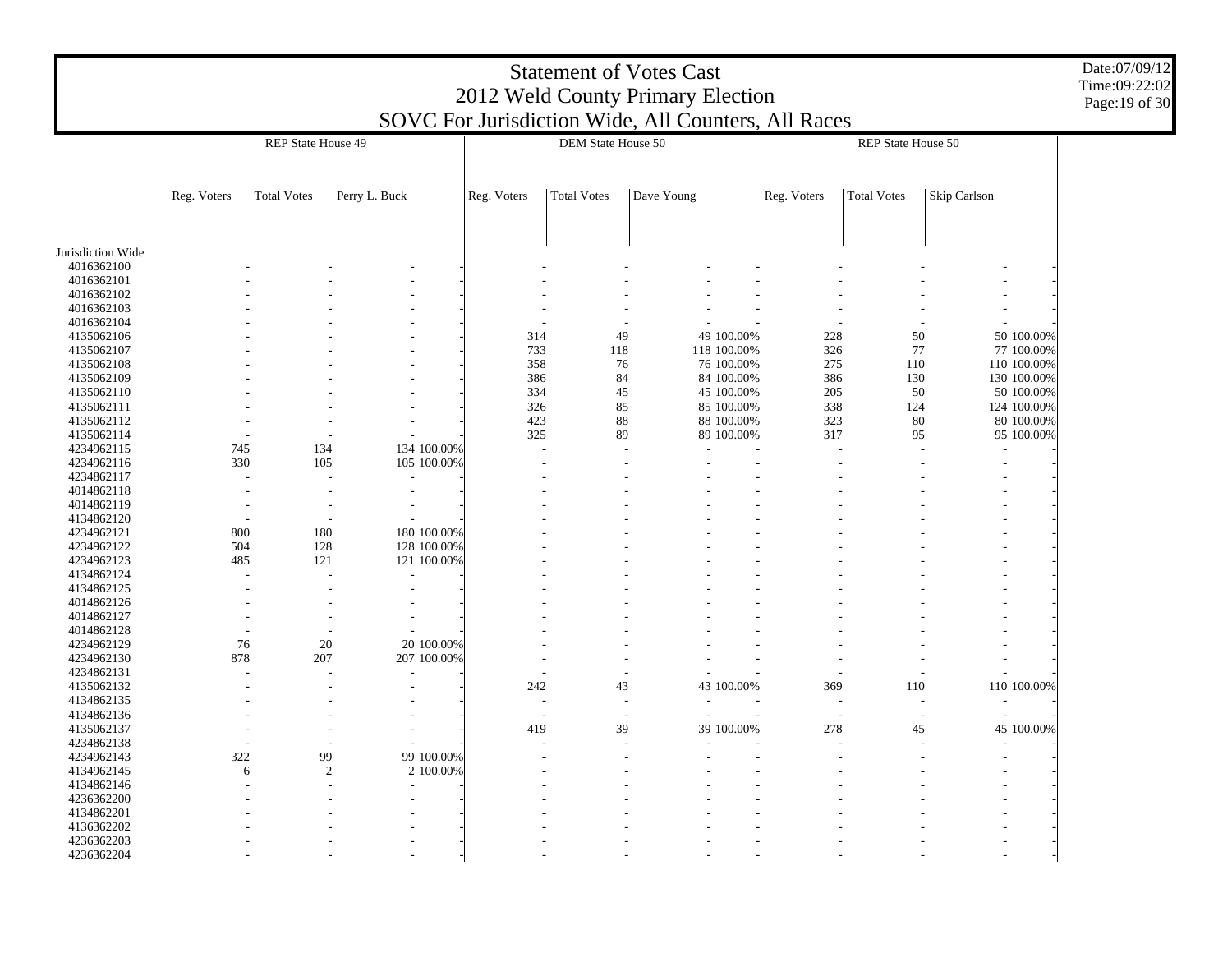|                   |             |                    |                                                     | 2012 Weld County Primary Election |                    | <b>Statement of Votes Cast</b> |             |             |                    |              | Date:07/09/12<br>Time:09:22:02<br>Page: 19 of 30 |
|-------------------|-------------|--------------------|-----------------------------------------------------|-----------------------------------|--------------------|--------------------------------|-------------|-------------|--------------------|--------------|--------------------------------------------------|
|                   |             |                    | SOVC For Jurisdiction Wide, All Counters, All Races |                                   |                    |                                |             |             |                    |              |                                                  |
|                   |             | REP State House 49 |                                                     |                                   | DEM State House 50 |                                |             |             | REP State House 50 |              |                                                  |
|                   |             |                    |                                                     |                                   |                    |                                |             |             |                    |              |                                                  |
|                   |             |                    |                                                     |                                   |                    |                                |             |             |                    |              |                                                  |
|                   | Reg. Voters | <b>Total Votes</b> | Perry L. Buck                                       | Reg. Voters                       | <b>Total Votes</b> | Dave Young                     |             | Reg. Voters | <b>Total Votes</b> | Skip Carlson |                                                  |
|                   |             |                    |                                                     |                                   |                    |                                |             |             |                    |              |                                                  |
| Jurisdiction Wide |             |                    |                                                     |                                   |                    |                                |             |             |                    |              |                                                  |
| 4016362100        |             |                    |                                                     |                                   |                    |                                |             |             |                    |              |                                                  |
| 4016362101        |             |                    |                                                     |                                   |                    |                                |             |             |                    |              |                                                  |
| 4016362102        |             |                    |                                                     |                                   |                    |                                |             |             |                    |              |                                                  |
| 4016362103        |             |                    |                                                     |                                   |                    |                                |             |             |                    |              |                                                  |
| 4016362104        |             |                    |                                                     |                                   |                    |                                |             |             |                    |              |                                                  |
| 4135062106        |             |                    |                                                     | 314                               | 49                 |                                | 49 100.00%  | 228         | 50                 | 50 100.00%   |                                                  |
| 4135062107        |             |                    |                                                     | 733                               | 118                |                                | 118 100.00% | 326         | 77                 | 77 100.00%   |                                                  |
| 4135062108        |             |                    |                                                     | 358                               | 76                 |                                | 76 100.00%  | 275         | 110                | 110 100.00%  |                                                  |
| 4135062109        |             |                    |                                                     | 386                               | 84                 |                                | 84 100.00%  | 386         | 130                | 130 100.00%  |                                                  |
| 4135062110        |             |                    |                                                     | 334                               | 45                 |                                | 45 100.00%  | 205         | 50                 | 50 100.00%   |                                                  |
| 4135062111        |             |                    |                                                     | 326                               | 85                 |                                | 85 100.00%  | 338         | 124                | 124 100.00%  |                                                  |
| 4135062112        |             |                    |                                                     | 423                               | 88                 |                                | 88 100.00%  | 323         | 80                 | 80 100.00%   |                                                  |
| 4135062114        |             |                    |                                                     | 325                               | 89                 |                                | 89 100.00%  | 317         | 95                 | 95 100.00%   |                                                  |
| 4234962115        | 745         | 134                | 134 100.00%                                         |                                   |                    |                                |             |             |                    |              |                                                  |
| 4234962116        | 330         | 105                | 105 100.00%                                         |                                   |                    |                                |             |             |                    |              |                                                  |
| 4234862117        |             |                    |                                                     |                                   |                    |                                |             |             |                    |              |                                                  |
| 4014862118        |             |                    |                                                     |                                   |                    |                                |             |             |                    |              |                                                  |
| 4014862119        |             |                    |                                                     |                                   |                    |                                |             |             |                    |              |                                                  |
| 4134862120        |             |                    |                                                     |                                   |                    |                                |             |             |                    |              |                                                  |
| 4234962121        | 800         | 180                | 180 100.00%                                         |                                   |                    |                                |             |             |                    |              |                                                  |
| 4234962122        | 504         | 128                | 128 100.00%                                         |                                   |                    |                                |             |             |                    |              |                                                  |
| 4234962123        | 485         | 121                | 121 100.00%                                         |                                   |                    |                                |             |             |                    |              |                                                  |
| 4134862124        |             |                    |                                                     |                                   |                    |                                |             |             |                    |              |                                                  |
| 4134862125        |             |                    |                                                     |                                   |                    |                                |             |             |                    |              |                                                  |
| 4014862126        |             |                    |                                                     |                                   |                    |                                |             |             |                    |              |                                                  |
| 4014862127        |             |                    |                                                     |                                   |                    |                                |             |             |                    |              |                                                  |
| 4014862128        |             |                    |                                                     |                                   |                    |                                |             |             |                    |              |                                                  |
| 4234962129        | 76          | 20                 | 20 100.00%                                          |                                   |                    |                                |             |             |                    |              |                                                  |
| 4234962130        | 878         | 207                | 207 100.00%                                         |                                   |                    |                                |             |             |                    |              |                                                  |
| 4234862131        |             |                    |                                                     |                                   |                    |                                |             |             |                    |              |                                                  |
| 4135062132        |             |                    |                                                     | 242                               | 43                 |                                | 43 100.00%  | 369         | 110                | 110 100.00%  |                                                  |
| 4134862135        |             |                    |                                                     | $\overline{a}$                    | ÷.                 | $\overline{a}$                 |             | J.          | ÷.                 |              |                                                  |
| 4134862136        |             |                    |                                                     |                                   |                    |                                |             | L,          |                    |              |                                                  |
| 4135062137        |             |                    |                                                     | 419                               | 39                 |                                | 39 100.00%  | 278         | 45                 | 45 100.00%   |                                                  |
| 4234862138        |             |                    |                                                     |                                   |                    |                                |             |             |                    |              |                                                  |
| 4234962143        | 322         | 99                 | 99 100.00%                                          |                                   |                    |                                |             |             |                    |              |                                                  |
| 4134962145        | 6           |                    | $\overline{2}$<br>2 100.00%                         |                                   |                    |                                |             |             |                    |              |                                                  |
| 4134862146        |             |                    |                                                     |                                   |                    |                                |             |             |                    |              |                                                  |
| 4236362200        |             |                    |                                                     |                                   |                    |                                |             |             |                    |              |                                                  |
| 4134862201        |             |                    |                                                     |                                   |                    |                                |             |             |                    |              |                                                  |
| 4136362202        |             |                    |                                                     |                                   |                    |                                |             |             |                    |              |                                                  |
| 4236362203        |             |                    |                                                     |                                   |                    |                                |             |             |                    |              |                                                  |
| 4236362204        |             |                    |                                                     |                                   |                    |                                |             |             |                    |              |                                                  |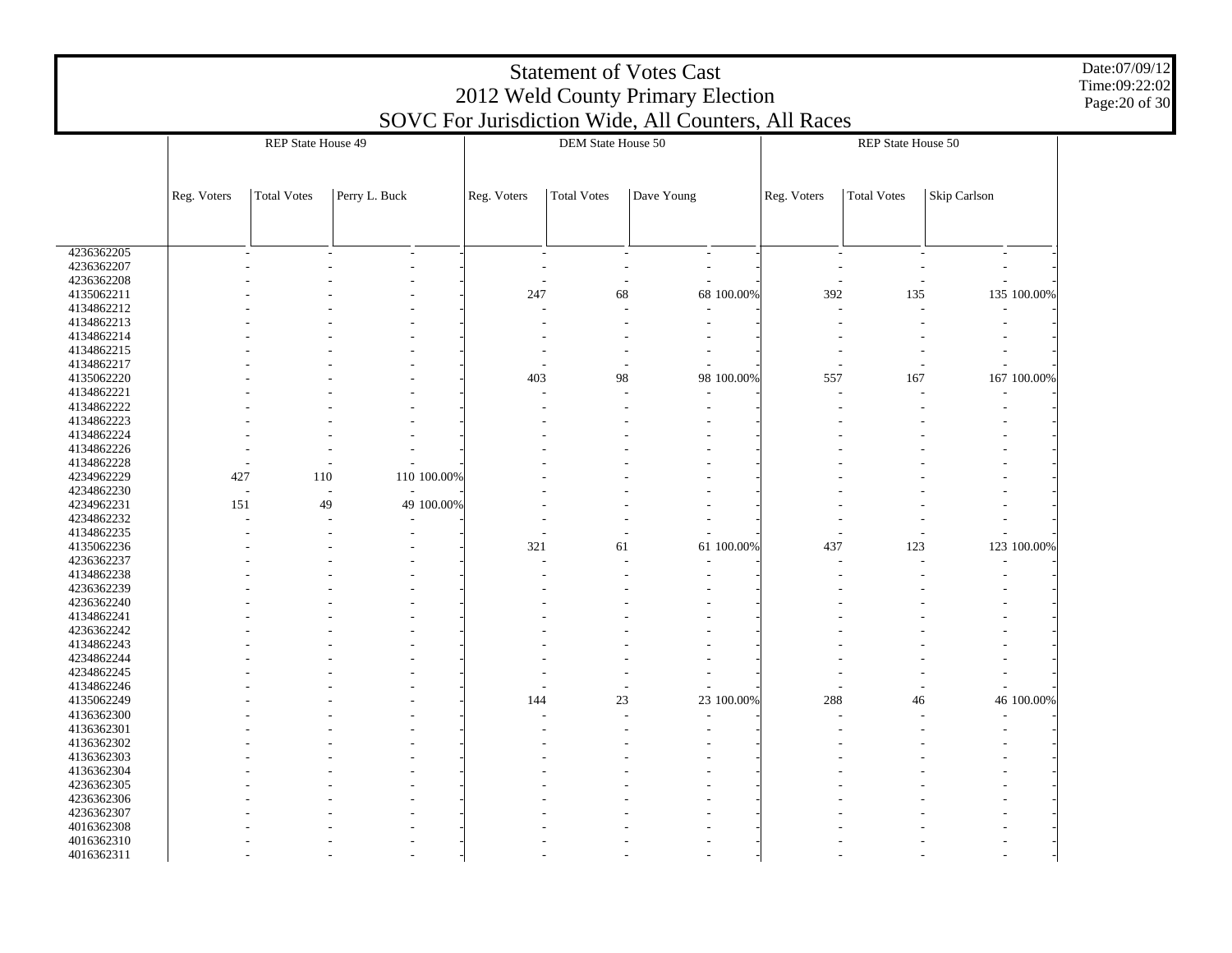|                          | <b>Statement of Votes Cast</b><br>2012 Weld County Primary Election<br>SOVC For Jurisdiction Wide, All Counters, All Races |                    |               |             |                           |            |            |             |                    |                          |                |  |  |  |
|--------------------------|----------------------------------------------------------------------------------------------------------------------------|--------------------|---------------|-------------|---------------------------|------------|------------|-------------|--------------------|--------------------------|----------------|--|--|--|
|                          |                                                                                                                            |                    |               |             |                           |            |            |             |                    |                          | Page: 20 of 30 |  |  |  |
|                          |                                                                                                                            | REP State House 49 |               |             | <b>DEM State House 50</b> |            |            |             | REP State House 50 |                          |                |  |  |  |
|                          |                                                                                                                            |                    |               |             |                           |            |            |             |                    |                          |                |  |  |  |
|                          | Reg. Voters                                                                                                                | <b>Total Votes</b> | Perry L. Buck | Reg. Voters | <b>Total Votes</b>        | Dave Young |            | Reg. Voters | <b>Total Votes</b> | Skip Carlson             |                |  |  |  |
|                          |                                                                                                                            |                    |               |             |                           |            |            |             |                    |                          |                |  |  |  |
| 4236362205               |                                                                                                                            |                    |               |             |                           |            |            |             |                    | $\overline{\phantom{a}}$ |                |  |  |  |
| 4236362207               |                                                                                                                            |                    |               |             |                           |            |            |             |                    |                          |                |  |  |  |
| 4236362208               |                                                                                                                            |                    |               |             |                           |            |            |             |                    |                          |                |  |  |  |
| 4135062211               |                                                                                                                            |                    |               | 247         | 68                        |            | 68 100.00% | 392         | 135                | 135 100.00%              |                |  |  |  |
| 4134862212               |                                                                                                                            |                    |               |             |                           |            |            |             |                    |                          |                |  |  |  |
| 4134862213               |                                                                                                                            |                    |               |             |                           |            |            |             |                    |                          |                |  |  |  |
| 4134862214<br>4134862215 |                                                                                                                            |                    |               |             |                           |            |            |             |                    |                          |                |  |  |  |
| 4134862217               |                                                                                                                            |                    |               |             |                           |            |            |             |                    |                          |                |  |  |  |
| 4135062220               |                                                                                                                            |                    |               | 403         | 98                        |            | 98 100.00% | 557         | 167                | 167 100.00%              |                |  |  |  |
| 4134862221               |                                                                                                                            |                    |               |             |                           |            |            |             |                    |                          |                |  |  |  |
| 4134862222               |                                                                                                                            |                    |               |             |                           |            |            |             |                    |                          |                |  |  |  |
| 4134862223               |                                                                                                                            |                    |               |             |                           |            |            |             |                    |                          |                |  |  |  |
| 4134862224               |                                                                                                                            |                    |               |             |                           |            |            |             |                    |                          |                |  |  |  |
| 4134862226               |                                                                                                                            |                    |               |             |                           |            |            |             |                    |                          |                |  |  |  |
| 4134862228               |                                                                                                                            |                    |               |             |                           |            |            |             |                    |                          |                |  |  |  |
| 4234962229               | 427                                                                                                                        | 110                | 110 100.00%   |             |                           |            |            |             |                    |                          |                |  |  |  |
| 4234862230<br>4234962231 | 151                                                                                                                        | 49                 | 49 100.00%    |             |                           |            |            |             |                    |                          |                |  |  |  |
| 4234862232               |                                                                                                                            |                    |               |             |                           |            |            |             |                    |                          |                |  |  |  |
| 4134862235               |                                                                                                                            |                    |               |             |                           |            |            |             |                    |                          |                |  |  |  |
| 4135062236               |                                                                                                                            |                    |               | 321         | 61                        |            | 61 100.00% | 437         | 123                | 123 100.00%              |                |  |  |  |
| 4236362237               |                                                                                                                            |                    |               |             |                           |            |            |             |                    |                          |                |  |  |  |
| 4134862238               |                                                                                                                            |                    |               |             |                           |            |            |             |                    |                          |                |  |  |  |
| 4236362239               |                                                                                                                            |                    |               |             |                           |            |            |             |                    |                          |                |  |  |  |
| 4236362240               |                                                                                                                            |                    |               |             |                           |            |            |             |                    |                          |                |  |  |  |
| 4134862241               |                                                                                                                            |                    |               |             |                           |            |            |             |                    |                          |                |  |  |  |
| 4236362242<br>4134862243 |                                                                                                                            |                    |               |             |                           |            |            |             |                    |                          |                |  |  |  |
| 4234862244               |                                                                                                                            |                    |               |             |                           |            |            |             |                    |                          |                |  |  |  |
| 4234862245               |                                                                                                                            |                    |               |             |                           |            |            |             |                    |                          |                |  |  |  |
| 4134862246               |                                                                                                                            |                    |               |             |                           |            |            |             |                    |                          |                |  |  |  |
| 4135062249               |                                                                                                                            |                    |               | 144         | 23                        |            | 23 100.00% | 288         | 46                 | 46 100.00%               |                |  |  |  |
| 4136362300               |                                                                                                                            |                    |               |             |                           |            |            |             |                    |                          |                |  |  |  |
| 4136362301               |                                                                                                                            |                    |               |             |                           |            |            |             |                    |                          |                |  |  |  |
| 4136362302               |                                                                                                                            |                    |               |             |                           |            |            |             |                    |                          |                |  |  |  |
| 4136362303               |                                                                                                                            |                    |               |             |                           |            |            |             |                    |                          |                |  |  |  |
| 4136362304               |                                                                                                                            |                    |               |             |                           |            |            |             |                    |                          |                |  |  |  |
| 4236362305<br>4236362306 |                                                                                                                            |                    |               |             |                           |            |            |             |                    |                          |                |  |  |  |
| 4236362307               |                                                                                                                            |                    |               |             |                           |            |            |             |                    |                          |                |  |  |  |
| 4016362308               |                                                                                                                            |                    |               |             |                           |            |            |             |                    |                          |                |  |  |  |
| 4016362310               |                                                                                                                            |                    |               |             |                           |            |            |             |                    |                          |                |  |  |  |
| 4016362311               |                                                                                                                            |                    |               |             |                           |            |            |             |                    |                          |                |  |  |  |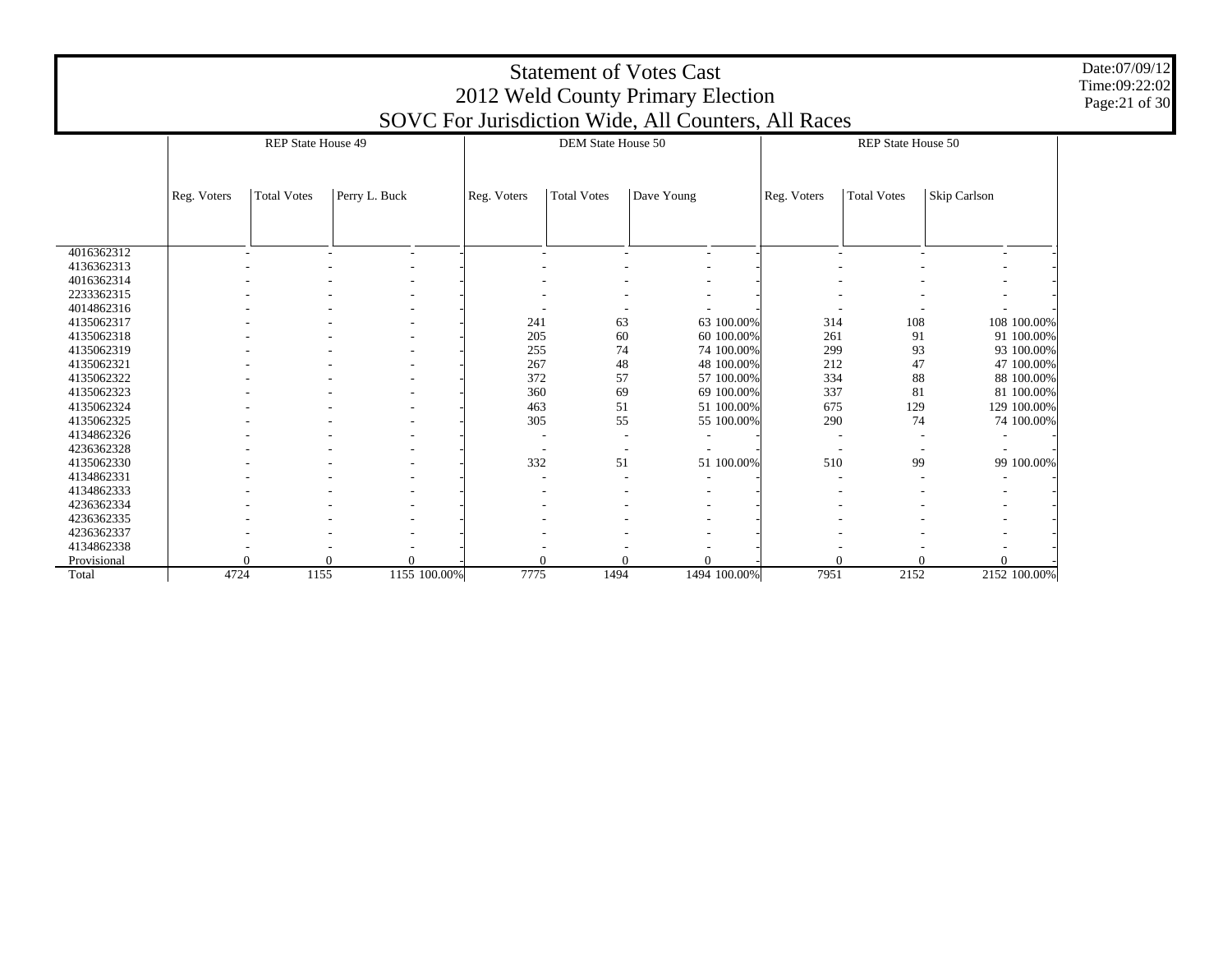|                          |                                                                                  |                    | SOVC For Jurisdiction Wide, All Counters, All Races |             | <b>Statement of Votes Cast</b><br>2012 Weld County Primary Election |            |              |             |                    |              | Date:07/09/12<br>Time:09:22:02<br>Page:21 of 30 |  |  |  |  |
|--------------------------|----------------------------------------------------------------------------------|--------------------|-----------------------------------------------------|-------------|---------------------------------------------------------------------|------------|--------------|-------------|--------------------|--------------|-------------------------------------------------|--|--|--|--|
|                          |                                                                                  | REP State House 49 |                                                     |             | DEM State House 50                                                  |            |              |             | REP State House 50 |              |                                                 |  |  |  |  |
|                          |                                                                                  |                    |                                                     |             |                                                                     |            |              |             |                    |              |                                                 |  |  |  |  |
|                          | Reg. Voters                                                                      | <b>Total Votes</b> | Perry L. Buck                                       | Reg. Voters | <b>Total Votes</b>                                                  | Dave Young |              | Reg. Voters | <b>Total Votes</b> | Skip Carlson |                                                 |  |  |  |  |
|                          |                                                                                  |                    |                                                     |             |                                                                     |            |              |             |                    |              |                                                 |  |  |  |  |
| 4016362312               | ٠<br>$\sim$<br>$\overline{a}$<br>$\overline{a}$<br>$\overline{\phantom{a}}$<br>٠ |                    |                                                     |             |                                                                     |            |              |             |                    |              |                                                 |  |  |  |  |
| 4136362313               |                                                                                  |                    |                                                     |             |                                                                     |            |              |             |                    |              |                                                 |  |  |  |  |
| 4016362314               |                                                                                  |                    |                                                     |             |                                                                     |            |              |             |                    |              |                                                 |  |  |  |  |
| 2233362315               |                                                                                  |                    |                                                     |             |                                                                     |            |              |             |                    |              |                                                 |  |  |  |  |
| 4014862316               |                                                                                  |                    |                                                     |             |                                                                     |            |              |             |                    |              |                                                 |  |  |  |  |
| 4135062317               |                                                                                  |                    |                                                     | 241         | 63                                                                  |            | 63 100,00%   | 314         | 108                | 108 100.00%  |                                                 |  |  |  |  |
| 4135062318               |                                                                                  |                    |                                                     | 205         | 60                                                                  |            | 60 100.00%   | 261         | 91                 | 91 100.00%   |                                                 |  |  |  |  |
| 4135062319               |                                                                                  |                    |                                                     | 255         | 74                                                                  |            | 74 100.00%   | 299         | 93                 | 93 100.00%   |                                                 |  |  |  |  |
| 4135062321               |                                                                                  |                    |                                                     | 267         | 48                                                                  |            | 48 100.00%   | 212         | 47                 | 47 100.00%   |                                                 |  |  |  |  |
| 4135062322               |                                                                                  |                    |                                                     | 372         | 57                                                                  |            | 57 100.00%   | 334         | 88                 | 88 100.00%   |                                                 |  |  |  |  |
| 4135062323               |                                                                                  |                    |                                                     | 360         | 69                                                                  |            | 69 100.00%   | 337         | 81                 | 81 100.00%   |                                                 |  |  |  |  |
| 4135062324               |                                                                                  |                    |                                                     | 463         | 51                                                                  |            | 51 100.00%   | 675         | 129                | 129 100.00%  |                                                 |  |  |  |  |
| 4135062325               |                                                                                  |                    |                                                     | 305         | 55                                                                  |            | 55 100.00%   | 290         | 74                 | 74 100.00%   |                                                 |  |  |  |  |
| 4134862326               |                                                                                  |                    |                                                     |             |                                                                     |            |              |             |                    |              |                                                 |  |  |  |  |
| 4236362328<br>4135062330 |                                                                                  |                    |                                                     | 332         | 51                                                                  |            | 51 100.00%   | 510         | 99                 | 99 100.00%   |                                                 |  |  |  |  |
| 4134862331               |                                                                                  |                    |                                                     |             |                                                                     |            |              |             |                    |              |                                                 |  |  |  |  |
| 4134862333               |                                                                                  |                    |                                                     |             |                                                                     |            |              |             |                    |              |                                                 |  |  |  |  |
| 4236362334               |                                                                                  |                    |                                                     |             |                                                                     |            |              |             |                    |              |                                                 |  |  |  |  |
| 4236362335               |                                                                                  |                    |                                                     |             |                                                                     |            |              |             |                    |              |                                                 |  |  |  |  |
| 4236362337               |                                                                                  |                    |                                                     |             |                                                                     |            |              |             |                    |              |                                                 |  |  |  |  |
| 4134862338               |                                                                                  |                    |                                                     |             |                                                                     |            |              |             |                    |              |                                                 |  |  |  |  |
| Provisional              |                                                                                  |                    |                                                     |             |                                                                     |            |              |             |                    | $\Omega$     |                                                 |  |  |  |  |
| Total                    | 4724                                                                             | 1155               | 1155 100.00%                                        | 7775        | 1494                                                                |            | 1494 100.00% | 7951        | 2152               | 2152 100.00% |                                                 |  |  |  |  |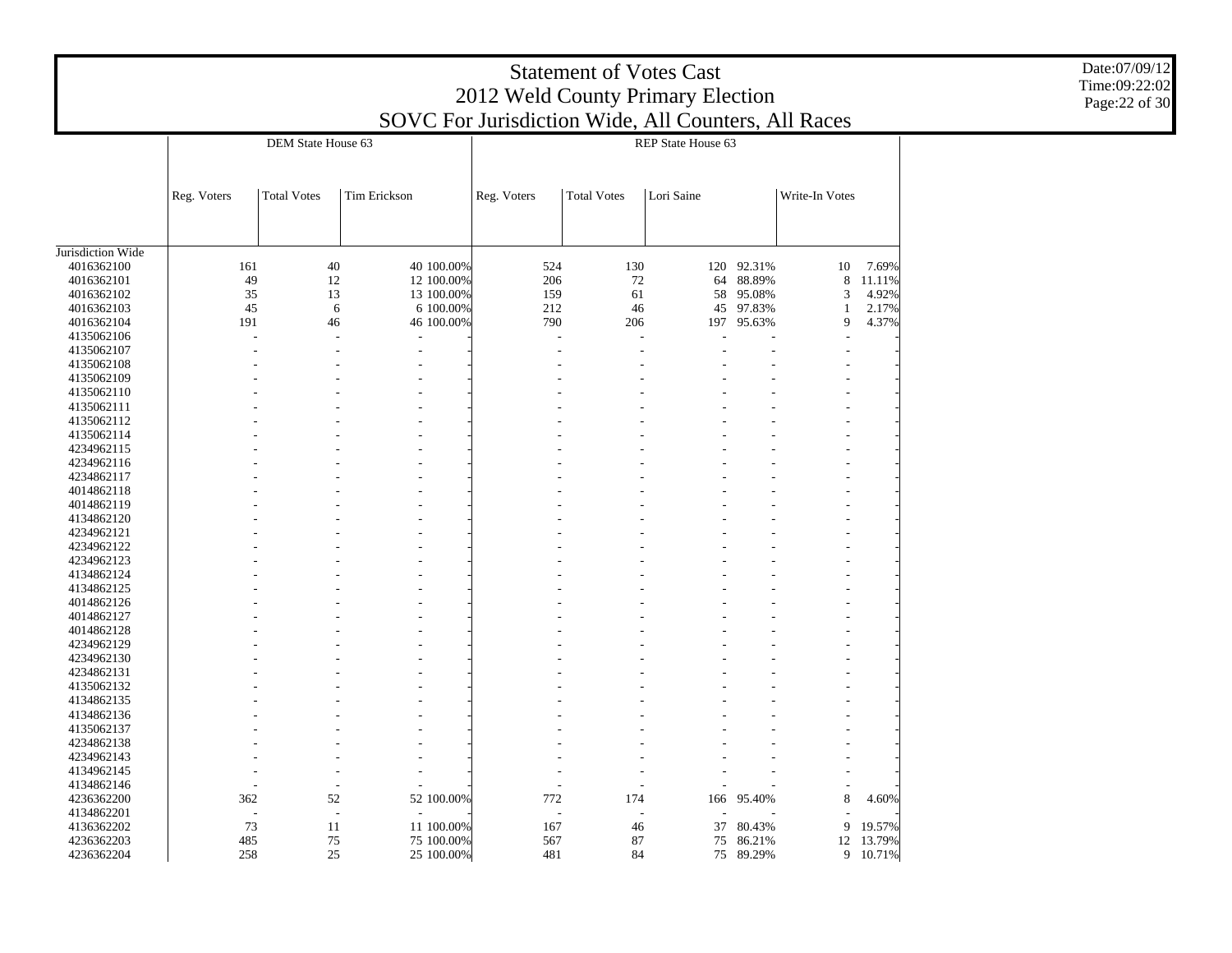|                                 | <b>Statement of Votes Cast</b><br>2012 Weld County Primary Election<br>SOVC For Jurisdiction Wide, All Counters, All Races |                    |                     |             |                    |                    |            |                |        |  |  |  |
|---------------------------------|----------------------------------------------------------------------------------------------------------------------------|--------------------|---------------------|-------------|--------------------|--------------------|------------|----------------|--------|--|--|--|
|                                 |                                                                                                                            |                    |                     |             |                    |                    |            |                |        |  |  |  |
|                                 |                                                                                                                            | DEM State House 63 |                     |             |                    | REP State House 63 |            |                |        |  |  |  |
|                                 |                                                                                                                            |                    |                     |             |                    |                    |            |                |        |  |  |  |
|                                 |                                                                                                                            |                    |                     |             |                    |                    |            |                |        |  |  |  |
|                                 | Reg. Voters                                                                                                                | <b>Total Votes</b> | <b>Tim Erickson</b> | Reg. Voters | <b>Total Votes</b> | Lori Saine         |            | Write-In Votes |        |  |  |  |
|                                 |                                                                                                                            |                    |                     |             |                    |                    |            |                |        |  |  |  |
|                                 |                                                                                                                            |                    |                     |             |                    |                    |            |                |        |  |  |  |
| Jurisdiction Wide<br>4016362100 | 161                                                                                                                        | 40                 | 40 100.00%          | 524         | 130                |                    | 120 92.31% | 10             | 7.69%  |  |  |  |
|                                 | 49                                                                                                                         | 12                 |                     | 206         | 72                 | 64                 | 88.89%     |                |        |  |  |  |
| 4016362101                      |                                                                                                                            |                    | 12 100.00%          |             |                    |                    |            | 8              | 11.11% |  |  |  |
| 4016362102                      | 35                                                                                                                         | 13                 | 13 100.00%          | 159         | 61                 | 58                 | 95.08%     | 3              | 4.92%  |  |  |  |
| 4016362103                      | 45                                                                                                                         | 6                  | 6 100.00%           | 212         | 46                 | 45                 | 97.83%     | $\mathbf{1}$   | 2.17%  |  |  |  |
| 4016362104                      | 191                                                                                                                        | 46                 | 46 100.00%          | 790         | 206                | 197                | 95.63%     | 9              | 4.37%  |  |  |  |
| 4135062106                      |                                                                                                                            |                    |                     |             |                    |                    |            |                |        |  |  |  |
| 4135062107                      |                                                                                                                            |                    |                     |             |                    |                    |            |                |        |  |  |  |
| 4135062108                      |                                                                                                                            |                    |                     |             |                    |                    |            |                |        |  |  |  |
| 4135062109                      |                                                                                                                            |                    |                     |             |                    |                    |            |                |        |  |  |  |
| 4135062110                      |                                                                                                                            |                    |                     |             |                    |                    |            |                |        |  |  |  |
| 4135062111                      |                                                                                                                            |                    |                     |             |                    |                    |            |                |        |  |  |  |
| 4135062112                      |                                                                                                                            |                    |                     |             |                    |                    |            |                |        |  |  |  |
|                                 |                                                                                                                            |                    |                     |             |                    |                    |            |                |        |  |  |  |
| 4135062114                      |                                                                                                                            |                    |                     |             |                    |                    |            |                |        |  |  |  |
| 4234962115                      |                                                                                                                            |                    |                     |             |                    |                    |            |                |        |  |  |  |
| 4234962116                      |                                                                                                                            |                    |                     |             |                    |                    |            |                |        |  |  |  |
| 4234862117                      |                                                                                                                            |                    |                     |             |                    |                    |            |                |        |  |  |  |
| 4014862118                      |                                                                                                                            |                    |                     |             |                    |                    |            |                |        |  |  |  |
| 4014862119                      |                                                                                                                            |                    |                     |             |                    |                    |            |                |        |  |  |  |
| 4134862120                      |                                                                                                                            |                    |                     |             |                    |                    |            |                |        |  |  |  |
| 4234962121                      |                                                                                                                            |                    |                     |             |                    |                    |            |                |        |  |  |  |
| 4234962122                      |                                                                                                                            |                    |                     |             |                    |                    |            |                |        |  |  |  |
| 4234962123                      |                                                                                                                            |                    |                     |             |                    |                    |            |                |        |  |  |  |
| 4134862124                      |                                                                                                                            |                    |                     |             |                    |                    |            |                |        |  |  |  |
|                                 |                                                                                                                            |                    |                     |             |                    |                    |            |                |        |  |  |  |
| 4134862125                      |                                                                                                                            |                    |                     |             |                    |                    |            |                |        |  |  |  |
| 4014862126                      |                                                                                                                            |                    |                     |             |                    |                    |            |                |        |  |  |  |
| 4014862127                      |                                                                                                                            |                    |                     |             |                    |                    |            |                |        |  |  |  |
| 4014862128                      |                                                                                                                            |                    |                     |             |                    |                    |            |                |        |  |  |  |
| 4234962129                      |                                                                                                                            |                    |                     |             |                    |                    |            |                |        |  |  |  |
| 4234962130                      |                                                                                                                            |                    |                     |             |                    |                    |            |                |        |  |  |  |
| 4234862131                      |                                                                                                                            |                    |                     |             |                    |                    |            |                |        |  |  |  |
| 4135062132                      |                                                                                                                            |                    |                     |             |                    |                    |            |                |        |  |  |  |
| 4134862135                      |                                                                                                                            |                    |                     |             |                    |                    |            |                |        |  |  |  |
| 4134862136                      |                                                                                                                            |                    |                     |             |                    |                    |            |                |        |  |  |  |
| 4135062137                      |                                                                                                                            |                    |                     |             |                    |                    |            |                |        |  |  |  |
| 4234862138                      |                                                                                                                            |                    |                     |             |                    |                    |            |                |        |  |  |  |
|                                 |                                                                                                                            |                    |                     |             |                    |                    |            |                |        |  |  |  |
| 4234962143                      |                                                                                                                            |                    |                     |             |                    |                    |            |                |        |  |  |  |
| 4134962145                      |                                                                                                                            |                    |                     |             |                    |                    |            |                |        |  |  |  |
| 4134862146                      |                                                                                                                            |                    |                     |             |                    |                    |            |                |        |  |  |  |
| 4236362200                      | 362                                                                                                                        | 52                 | 52 100.00%          | 772         | 174                | 166                | 95.40%     | 8              | 4.60%  |  |  |  |
| 4134862201                      |                                                                                                                            |                    |                     |             |                    |                    |            |                |        |  |  |  |
| 4136362202                      | 73                                                                                                                         | 11                 | 11 100.00%          | 167         | 46                 | 37                 | 80.43%     | 9              | 19.57% |  |  |  |
| 4236362203                      | 485                                                                                                                        | 75                 | 75 100.00%          | 567         | 87                 | 75                 | 86.21%     | 12             | 13.79% |  |  |  |
| 4236362204                      | 258                                                                                                                        | 25                 | 25 100.00%          | 481         | 84                 |                    | 75 89.29%  | 9              | 10.71% |  |  |  |

Date:07/09/12 Time:09:22:02 Page:22 of 30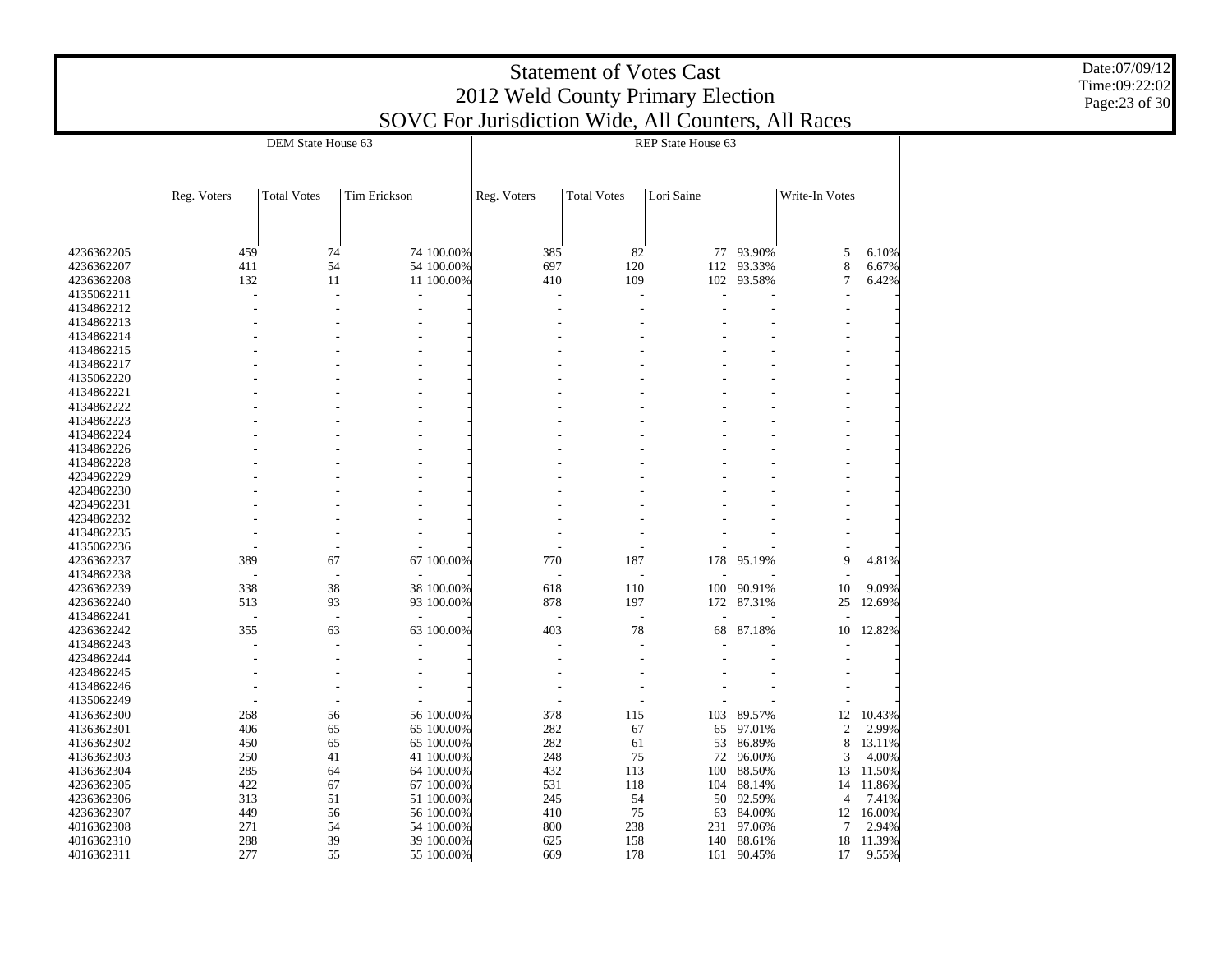|                          | <b>Statement of Votes Cast</b><br>2012 Weld County Primary Election<br>SOVC For Jurisdiction Wide, All Counters, All Races |                    |              |            |             |                          |                    |            |                |        |  |  |  |
|--------------------------|----------------------------------------------------------------------------------------------------------------------------|--------------------|--------------|------------|-------------|--------------------------|--------------------|------------|----------------|--------|--|--|--|
|                          |                                                                                                                            |                    |              |            |             |                          |                    |            |                |        |  |  |  |
|                          |                                                                                                                            | DEM State House 63 |              |            |             |                          | REP State House 63 |            |                |        |  |  |  |
|                          |                                                                                                                            |                    |              |            |             |                          |                    |            |                |        |  |  |  |
|                          |                                                                                                                            |                    |              |            |             |                          |                    |            |                |        |  |  |  |
|                          | Reg. Voters                                                                                                                | <b>Total Votes</b> | Tim Erickson |            | Reg. Voters | <b>Total Votes</b>       | Lori Saine         |            | Write-In Votes |        |  |  |  |
|                          |                                                                                                                            |                    |              |            |             |                          |                    |            |                |        |  |  |  |
|                          |                                                                                                                            |                    |              |            |             |                          |                    |            |                |        |  |  |  |
|                          |                                                                                                                            |                    |              |            |             |                          |                    |            |                |        |  |  |  |
| 4236362205               | 459                                                                                                                        | 74                 |              | 74 100.00% | 385         | 82                       |                    | 77 93.90%  | 5              | 6.10%  |  |  |  |
| 4236362207               | 411                                                                                                                        | 54                 |              | 54 100.00% | 697         | 120                      |                    | 112 93.33% | $\,$ 8 $\,$    | 6.67%  |  |  |  |
| 4236362208               | 132                                                                                                                        | 11                 |              | 11 100.00% | 410         | 109                      | 102                | 93.58%     | $\tau$         | 6.42%  |  |  |  |
| 4135062211<br>4134862212 |                                                                                                                            |                    |              |            |             |                          |                    |            |                |        |  |  |  |
| 4134862213               |                                                                                                                            |                    |              |            |             |                          |                    |            |                |        |  |  |  |
| 4134862214               |                                                                                                                            |                    |              |            |             |                          |                    |            |                |        |  |  |  |
| 4134862215               |                                                                                                                            |                    |              |            |             |                          |                    |            |                |        |  |  |  |
| 4134862217               |                                                                                                                            |                    |              |            |             |                          |                    |            |                |        |  |  |  |
| 4135062220               |                                                                                                                            |                    |              |            |             |                          |                    |            |                |        |  |  |  |
| 4134862221               |                                                                                                                            |                    |              |            |             |                          |                    |            |                |        |  |  |  |
| 4134862222               |                                                                                                                            |                    |              |            |             |                          |                    |            |                |        |  |  |  |
| 4134862223               |                                                                                                                            |                    |              |            |             |                          |                    |            |                |        |  |  |  |
| 4134862224               |                                                                                                                            |                    |              |            |             |                          |                    |            |                |        |  |  |  |
| 4134862226               |                                                                                                                            |                    |              |            |             |                          |                    |            |                |        |  |  |  |
| 4134862228               |                                                                                                                            |                    |              |            |             |                          |                    |            |                |        |  |  |  |
| 4234962229               |                                                                                                                            |                    |              |            |             |                          |                    |            |                |        |  |  |  |
| 4234862230               |                                                                                                                            |                    |              |            |             |                          |                    |            |                |        |  |  |  |
| 4234962231               |                                                                                                                            |                    |              |            |             |                          |                    |            |                |        |  |  |  |
| 4234862232               |                                                                                                                            |                    |              |            |             |                          |                    |            |                |        |  |  |  |
| 4134862235               |                                                                                                                            |                    |              |            |             |                          |                    |            |                |        |  |  |  |
| 4135062236               |                                                                                                                            |                    |              |            |             |                          |                    |            |                |        |  |  |  |
| 4236362237               | 389                                                                                                                        | 67                 |              | 67 100.00% | 770         | 187                      | 178                | 95.19%     | 9              | 4.81%  |  |  |  |
| 4134862238               |                                                                                                                            |                    |              |            |             |                          |                    |            |                |        |  |  |  |
| 4236362239               | 338                                                                                                                        | 38                 |              | 38 100.00% | 618         | 110                      | 100                | 90.91%     | 10             | 9.09%  |  |  |  |
| 4236362240               | 513                                                                                                                        | 93                 |              | 93 100.00% | 878         | 197                      | 172                | 87.31%     | 25             | 12.69% |  |  |  |
| 4134862241               |                                                                                                                            | ÷.                 |              |            | J.          | $\overline{\phantom{a}}$ |                    |            |                |        |  |  |  |
| 4236362242               | 355                                                                                                                        | 63                 |              | 63 100.00% | 403         | 78                       | 68                 | 87.18%     | 10             | 12.82% |  |  |  |
| 4134862243               |                                                                                                                            |                    |              |            |             |                          |                    |            |                |        |  |  |  |
| 4234862244               |                                                                                                                            |                    |              |            |             |                          |                    |            |                |        |  |  |  |
| 4234862245<br>4134862246 |                                                                                                                            |                    |              |            |             |                          |                    |            |                |        |  |  |  |
| 4135062249               |                                                                                                                            |                    |              |            |             |                          |                    |            |                |        |  |  |  |
| 4136362300               | 268                                                                                                                        | 56                 |              | 56 100.00% | 378         | 115                      | 103                | 89.57%     | 12             | 10.43% |  |  |  |
| 4136362301               | 406                                                                                                                        | 65                 |              | 65 100,00% | 282         | 67                       | 65                 | 97.01%     | $\mathfrak{2}$ | 2.99%  |  |  |  |
| 4136362302               | 450                                                                                                                        | 65                 |              | 65 100.00% | 282         | 61                       | 53                 | 86.89%     | $\,8\,$        | 13.11% |  |  |  |
| 4136362303               | 250                                                                                                                        | 41                 |              | 41 100.00% | 248         | 75                       | 72                 | 96.00%     | $\mathfrak{Z}$ | 4.00%  |  |  |  |
| 4136362304               | 285                                                                                                                        | 64                 |              | 64 100.00% | 432         | 113                      | 100                | 88.50%     | 13             | 11.50% |  |  |  |
| 4236362305               | 422                                                                                                                        | 67                 |              | 67 100,00% | 531         | 118                      | 104                | 88.14%     | 14             | 11.86% |  |  |  |
| 4236362306               | 313                                                                                                                        | 51                 |              | 51 100.00% | 245         | 54                       | 50                 | 92.59%     | $\overline{4}$ | 7.41%  |  |  |  |
| 4236362307               | 449                                                                                                                        | 56                 |              | 56 100.00% | 410         | 75                       | 63                 | 84.00%     | 12             | 16.00% |  |  |  |
| 4016362308               | 271                                                                                                                        | 54                 |              | 54 100.00% | 800         | 238                      | 231                | 97.06%     | $\overline{7}$ | 2.94%  |  |  |  |
| 4016362310               | 288                                                                                                                        | 39                 |              | 39 100.00% | 625         | 158                      | 140                | 88.61%     | 18             | 11.39% |  |  |  |
| 4016362311               | 277                                                                                                                        | 55                 |              | 55 100.00% | 669         | 178                      | 161                | 90.45%     | 17             | 9.55%  |  |  |  |

Date:07/09/12 Time:09:22:02 Page:23 of 30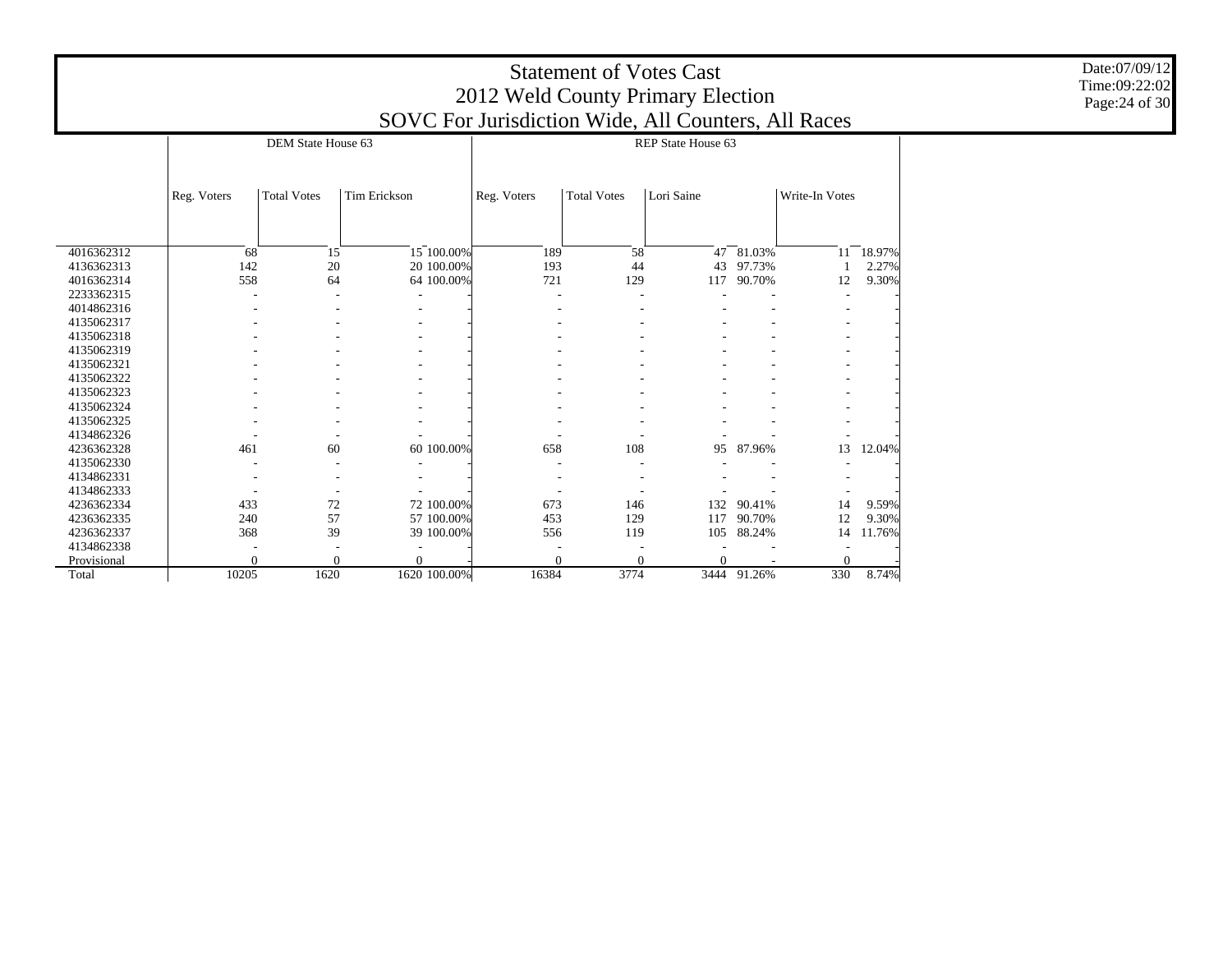|             |             |                    |                     |              |                                                     | <b>Statement of Votes Cast</b> |                    |        |                |        |
|-------------|-------------|--------------------|---------------------|--------------|-----------------------------------------------------|--------------------------------|--------------------|--------|----------------|--------|
|             |             |                    |                     |              | 2012 Weld County Primary Election                   |                                |                    |        |                |        |
|             |             |                    |                     |              | SOVC For Jurisdiction Wide, All Counters, All Races |                                |                    |        |                |        |
|             |             | DEM State House 63 |                     |              |                                                     |                                | REP State House 63 |        |                |        |
|             |             |                    |                     |              |                                                     |                                |                    |        |                |        |
|             | Reg. Voters | <b>Total Votes</b> | <b>Tim Erickson</b> |              | Reg. Voters                                         | <b>Total Votes</b>             | Lori Saine         |        | Write-In Votes |        |
|             |             |                    |                     |              |                                                     |                                |                    |        |                |        |
|             |             |                    |                     |              |                                                     |                                |                    |        |                |        |
| 4016362312  | 68          | 15                 |                     | 15 100.00%   | 189                                                 | 58                             | 47                 | 81.03% | 11             | 18.97% |
| 4136362313  | 142         | 20                 |                     | 20 100.00%   | 193                                                 | 44                             | 43                 | 97.73% | $\mathbf{1}$   | 2.27%  |
| 4016362314  | 558         | 64                 |                     | 64 100.00%   | 721                                                 | 129                            | 117                | 90.70% | 12             | 9.30%  |
| 2233362315  |             | ٠                  |                     |              | ٠                                                   | $\overline{\phantom{a}}$       |                    |        |                |        |
| 4014862316  |             |                    |                     |              |                                                     |                                |                    |        |                |        |
| 4135062317  |             |                    |                     |              |                                                     |                                |                    |        |                |        |
| 4135062318  |             |                    |                     |              |                                                     |                                |                    |        |                |        |
| 4135062319  |             |                    |                     |              |                                                     |                                |                    |        |                |        |
| 4135062321  |             |                    |                     |              |                                                     |                                |                    |        |                |        |
| 4135062322  |             |                    |                     |              |                                                     |                                |                    |        |                |        |
| 4135062323  |             |                    |                     |              |                                                     |                                |                    |        |                |        |
| 4135062324  |             |                    |                     |              |                                                     |                                |                    |        |                |        |
| 4135062325  |             |                    |                     |              |                                                     |                                |                    |        |                |        |
| 4134862326  |             |                    |                     |              |                                                     |                                |                    |        |                |        |
| 4236362328  | 461         | 60                 |                     | 60 100.00%   | 658                                                 | 108                            | 95                 | 87.96% | 13             | 12.04% |
| 4135062330  |             | ٠                  |                     |              |                                                     |                                |                    |        | ٠              |        |
| 4134862331  |             |                    |                     |              |                                                     |                                |                    |        |                |        |
| 4134862333  |             | ٠                  |                     |              |                                                     |                                |                    |        |                |        |
| 4236362334  | 433         | 72                 |                     | 72 100.00%   | 673                                                 | 146                            | 132                | 90.41% | 14             | 9.59%  |
| 4236362335  | 240         | 57                 |                     | 57 100.00%   | 453                                                 | 129                            | 117                | 90.70% | 12             | 9.30%  |
| 4236362337  | 368         | 39                 |                     | 39 100.00%   | 556                                                 | 119                            | 105                | 88.24% | 14             | 11.76% |
| 4134862338  |             |                    |                     |              |                                                     |                                |                    |        |                |        |
| Provisional | $\theta$    | $\mathbf{0}$       | $\mathbf{0}$        |              | $\theta$                                            | $\theta$                       | $\Omega$           |        | $\Omega$       |        |
| Total       | 10205       | 1620               |                     | 1620 100.00% | 16384                                               | 3774                           | 3444               | 91.26% | 330            | 8.74%  |

Date:07/09/12 Time:09:22:02 Page:24 of 30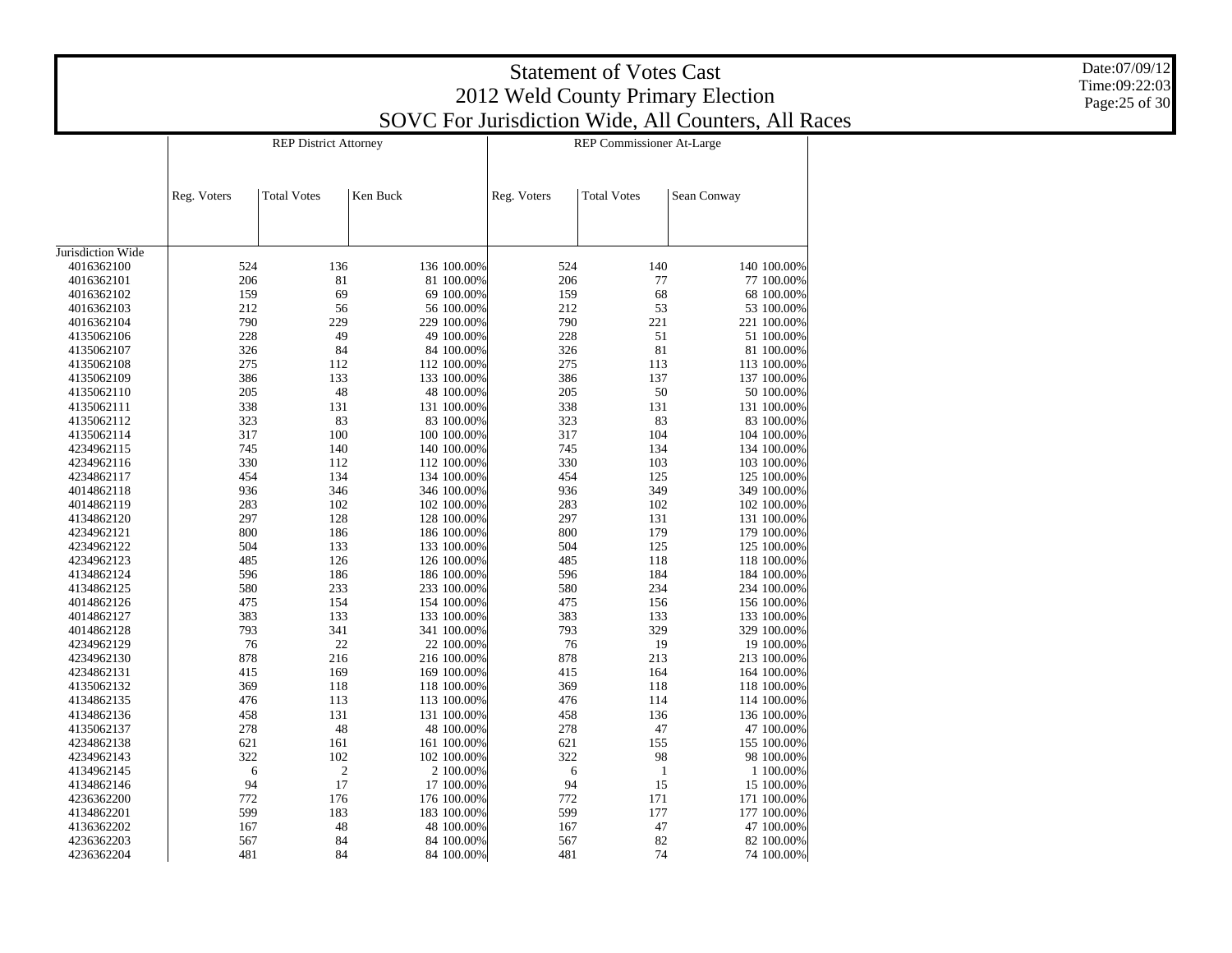|                   | <b>Statement of Votes Cast</b>    |                              |             |                           |                    |                                                     |  |  |  |  |  |  |
|-------------------|-----------------------------------|------------------------------|-------------|---------------------------|--------------------|-----------------------------------------------------|--|--|--|--|--|--|
|                   | 2012 Weld County Primary Election |                              |             |                           |                    |                                                     |  |  |  |  |  |  |
|                   |                                   |                              |             |                           |                    | SOVC For Jurisdiction Wide, All Counters, All Races |  |  |  |  |  |  |
|                   |                                   | <b>REP District Attorney</b> |             | REP Commissioner At-Large |                    |                                                     |  |  |  |  |  |  |
|                   |                                   |                              |             |                           |                    |                                                     |  |  |  |  |  |  |
|                   |                                   |                              |             |                           |                    |                                                     |  |  |  |  |  |  |
|                   | Reg. Voters                       | <b>Total Votes</b>           | Ken Buck    | Reg. Voters               | <b>Total Votes</b> | Sean Conway                                         |  |  |  |  |  |  |
|                   |                                   |                              |             |                           |                    |                                                     |  |  |  |  |  |  |
|                   |                                   |                              |             |                           |                    |                                                     |  |  |  |  |  |  |
| Jurisdiction Wide |                                   |                              |             |                           |                    |                                                     |  |  |  |  |  |  |
| 4016362100        | 524                               | 136                          | 136 100.00% | 524                       | 140                | 140 100.00%                                         |  |  |  |  |  |  |
| 4016362101        | 206                               | 81                           | 81 100.00%  | 206                       | 77                 | 77 100.00%                                          |  |  |  |  |  |  |
| 4016362102        | 159                               | 69                           | 69 100.00%  | 159                       | 68                 | 68 100.00%                                          |  |  |  |  |  |  |
| 4016362103        | 212                               | 56                           | 56 100.00%  | 212                       | 53                 | 53 100.00%                                          |  |  |  |  |  |  |
| 4016362104        | 790                               | 229                          | 229 100.00% | 790                       | 221                | 221 100.00%                                         |  |  |  |  |  |  |
| 4135062106        | 228                               | 49                           | 49 100.00%  | 228                       | 51                 | 51 100.00%                                          |  |  |  |  |  |  |
| 4135062107        | 326                               | 84                           | 84 100.00%  | 326                       | 81                 | 81 100.00%                                          |  |  |  |  |  |  |
| 4135062108        | 275                               | 112                          | 112 100.00% | 275                       | 113                | 113 100.00%                                         |  |  |  |  |  |  |
| 4135062109        | 386                               | 133                          | 133 100.00% | 386                       | 137                | 137 100.00%                                         |  |  |  |  |  |  |
| 4135062110        | 205                               | 48                           | 48 100.00%  | 205                       | 50                 | 50 100.00%                                          |  |  |  |  |  |  |
| 4135062111        | 338                               | 131                          | 131 100.00% | 338                       | 131                | 131 100.00%                                         |  |  |  |  |  |  |
| 4135062112        | 323                               | 83                           | 83 100.00%  | 323                       | 83                 | 83 100.00%                                          |  |  |  |  |  |  |
| 4135062114        | 317                               | 100                          | 100 100.00% | 317                       | 104                | 104 100.00%                                         |  |  |  |  |  |  |
| 4234962115        | 745                               | 140                          | 140 100.00% | 745                       | 134                | 134 100.00%                                         |  |  |  |  |  |  |
| 4234962116        | 330                               | 112                          | 112 100.00% | 330                       | 103                | 103 100.00%                                         |  |  |  |  |  |  |
| 4234862117        | 454                               | 134                          | 134 100.00% | 454                       | 125                | 125 100.00%                                         |  |  |  |  |  |  |
| 4014862118        | 936                               | 346                          | 346 100.00% | 936                       | 349                | 349 100.00%                                         |  |  |  |  |  |  |
| 4014862119        | 283                               | 102                          | 102 100.00% | 283                       | 102                | 102 100.00%                                         |  |  |  |  |  |  |
| 4134862120        | 297                               | 128                          | 128 100.00% | 297                       | 131                | 131 100.00%                                         |  |  |  |  |  |  |
| 4234962121        | 800                               | 186                          | 186 100.00% | 800                       | 179                | 179 100.00%                                         |  |  |  |  |  |  |
| 4234962122        | 504                               | 133                          | 133 100.00% | 504                       | 125                | 125 100.00%                                         |  |  |  |  |  |  |
| 4234962123        | 485                               | 126                          | 126 100.00% | 485                       | 118                | 118 100.00%                                         |  |  |  |  |  |  |
| 4134862124        | 596                               | 186                          | 186 100.00% | 596                       | 184                | 184 100.00%                                         |  |  |  |  |  |  |
| 4134862125        | 580                               | 233                          | 233 100.00% | 580                       | 234                | 234 100.00%                                         |  |  |  |  |  |  |
| 4014862126        | 475                               | 154                          | 154 100.00% | 475                       | 156                | 156 100.00%                                         |  |  |  |  |  |  |
| 4014862127        | 383                               | 133                          | 133 100.00% | 383                       | 133                | 133 100.00%                                         |  |  |  |  |  |  |
| 4014862128        | 793                               | 341                          | 341 100.00% | 793                       | 329                | 329 100.00%                                         |  |  |  |  |  |  |
| 4234962129        | 76                                | 22                           | 22 100.00%  | 76                        | 19                 | 19 100.00%                                          |  |  |  |  |  |  |
| 4234962130        | 878                               | 216                          | 216 100.00% | 878                       | 213                | 213 100.00%                                         |  |  |  |  |  |  |
| 4234862131        | 415                               | 169                          | 169 100.00% | 415                       | 164                | 164 100.00%                                         |  |  |  |  |  |  |
| 4135062132        | 369                               | 118                          | 118 100.00% | 369                       | 118                | 118 100.00%                                         |  |  |  |  |  |  |
| 4134862135        | 476                               | 113                          | 113 100.00% | 476                       | 114                | 114 100.00%                                         |  |  |  |  |  |  |
| 4134862136        | 458                               | 131                          | 131 100.00% | 458                       | 136                | 136 100.00%                                         |  |  |  |  |  |  |
| 4135062137        | 278                               | 48                           | 48 100.00%  | 278                       | 47                 | 47 100.00%                                          |  |  |  |  |  |  |
| 4234862138        | 621                               | 161                          | 161 100.00% | 621                       | 155                | 155 100.00%                                         |  |  |  |  |  |  |
| 4234962143        | 322                               | 102                          | 102 100.00% | 322                       | 98                 | 98 100.00%                                          |  |  |  |  |  |  |
| 4134962145        | 6                                 | $\overline{c}$               | 2 100.00%   | 6                         | 1                  | 1 100.00%                                           |  |  |  |  |  |  |
| 4134862146        | 94                                | 17                           | 17 100.00%  | 94                        | 15                 | 15 100.00%                                          |  |  |  |  |  |  |
| 4236362200        | 772                               | 176                          | 176 100.00% | 772                       | 171                | 171 100.00%                                         |  |  |  |  |  |  |
| 4134862201        | 599                               | 183                          | 183 100.00% | 599                       | 177                | 177 100.00%                                         |  |  |  |  |  |  |
| 4136362202        | 167                               | 48                           | 48 100.00%  | 167                       | 47                 | 47 100.00%                                          |  |  |  |  |  |  |
| 4236362203        | 567                               | 84                           | 84 100.00%  | 567                       | 82                 | 82 100.00%                                          |  |  |  |  |  |  |
| 4236362204        | 481                               | 84                           | 84 100.00%  | 481                       | 74                 | 74 100.00%                                          |  |  |  |  |  |  |

Date:07/09/12 Time:09:22:03 Page:25 of 30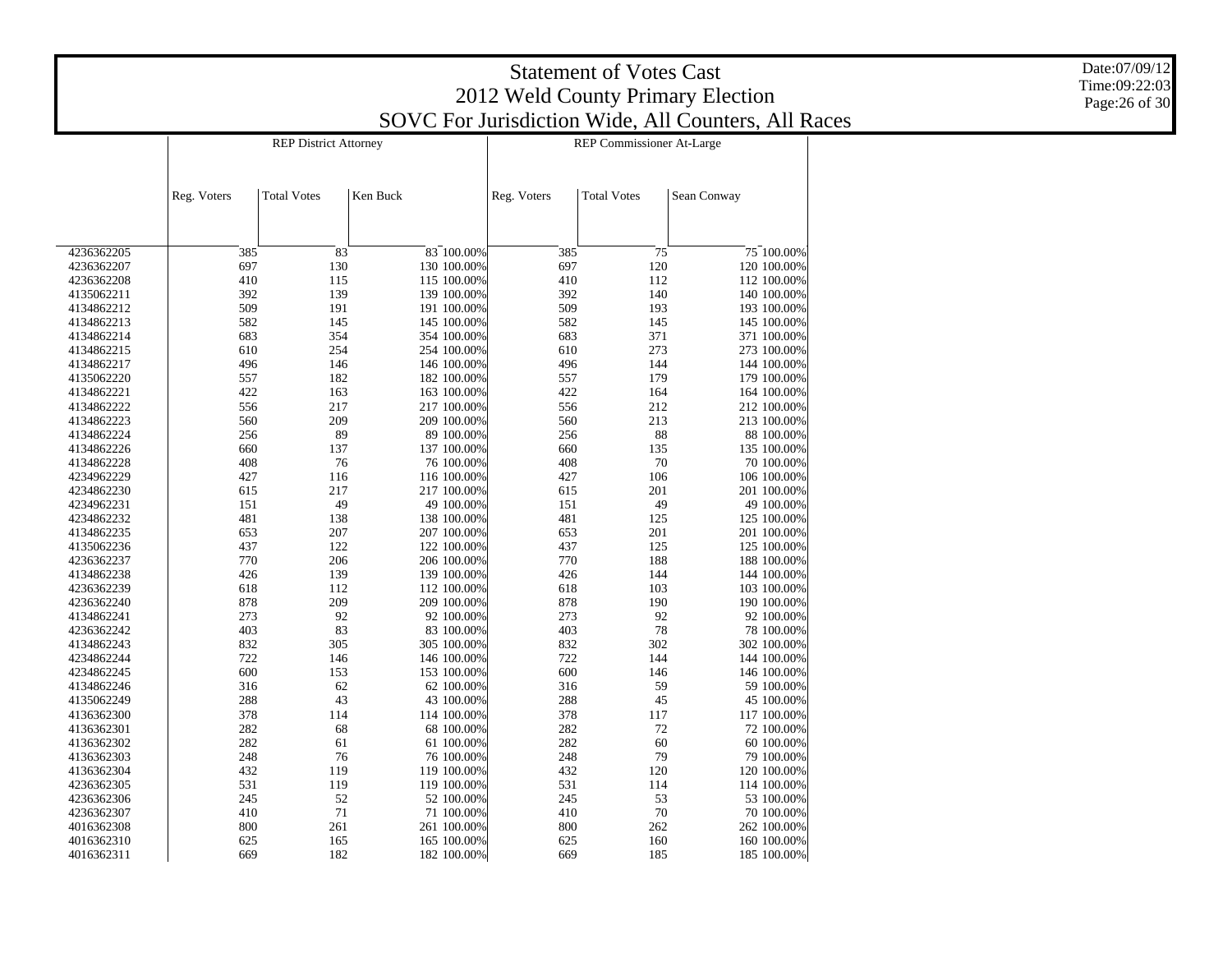|                          | <b>Statement of Votes Cast</b>                      |                              |                            |             |                           |                            |  |  |  |  |  |  |
|--------------------------|-----------------------------------------------------|------------------------------|----------------------------|-------------|---------------------------|----------------------------|--|--|--|--|--|--|
|                          | 2012 Weld County Primary Election                   |                              |                            |             |                           |                            |  |  |  |  |  |  |
|                          |                                                     |                              |                            |             |                           |                            |  |  |  |  |  |  |
|                          | SOVC For Jurisdiction Wide, All Counters, All Races |                              |                            |             |                           |                            |  |  |  |  |  |  |
|                          |                                                     | <b>REP District Attorney</b> |                            |             | REP Commissioner At-Large |                            |  |  |  |  |  |  |
|                          |                                                     |                              |                            |             |                           |                            |  |  |  |  |  |  |
|                          |                                                     |                              |                            |             |                           |                            |  |  |  |  |  |  |
|                          | Reg. Voters                                         | <b>Total Votes</b>           | Ken Buck                   | Reg. Voters | <b>Total Votes</b>        | Sean Conway                |  |  |  |  |  |  |
|                          |                                                     |                              |                            |             |                           |                            |  |  |  |  |  |  |
|                          |                                                     |                              |                            |             |                           |                            |  |  |  |  |  |  |
|                          |                                                     |                              |                            |             |                           |                            |  |  |  |  |  |  |
| 4236362205               | 385                                                 | 83                           | 83 100.00%                 | 385         | 75                        | 75 100.00%                 |  |  |  |  |  |  |
| 4236362207<br>4236362208 | 697<br>410                                          | 130<br>115                   | 130 100.00%<br>115 100.00% | 697<br>410  | 120<br>112                | 120 100.00%<br>112 100.00% |  |  |  |  |  |  |
| 4135062211               | 392                                                 | 139                          | 139 100.00%                | 392         | 140                       | 140 100.00%                |  |  |  |  |  |  |
| 4134862212               | 509                                                 | 191                          | 191 100.00%                | 509         | 193                       | 193 100.00%                |  |  |  |  |  |  |
| 4134862213               | 582                                                 | 145                          | 145 100.00%                | 582         | 145                       | 145 100.00%                |  |  |  |  |  |  |
| 4134862214               | 683                                                 | 354                          | 354 100.00%                | 683         | 371                       | 371 100.00%                |  |  |  |  |  |  |
| 4134862215               | 610                                                 | 254                          | 254 100.00%                | 610         | 273                       | 273 100.00%                |  |  |  |  |  |  |
| 4134862217               | 496                                                 | 146                          | 146 100.00%                | 496         | 144                       | 144 100.00%                |  |  |  |  |  |  |
| 4135062220               | 557                                                 | 182                          | 182 100.00%                | 557         | 179                       | 179 100.00%                |  |  |  |  |  |  |
| 4134862221               | 422                                                 | 163                          | 163 100.00%                | 422         | 164                       | 164 100.00%                |  |  |  |  |  |  |
| 4134862222               | 556                                                 | 217                          | 217 100.00%                | 556         | 212                       | 212 100.00%                |  |  |  |  |  |  |
| 4134862223               | 560                                                 | 209                          | 209 100.00%                | 560         | 213                       | 213 100.00%                |  |  |  |  |  |  |
| 4134862224<br>4134862226 | 256<br>660                                          | 89<br>137                    | 89 100.00%<br>137 100.00%  | 256<br>660  | 88<br>135                 | 88 100.00%<br>135 100.00%  |  |  |  |  |  |  |
| 4134862228               | 408                                                 | 76                           | 76 100.00%                 | 408         | 70                        | 70 100.00%                 |  |  |  |  |  |  |
| 4234962229               | 427                                                 | 116                          | 116 100.00%                | 427         | 106                       | 106 100.00%                |  |  |  |  |  |  |
| 4234862230               | 615                                                 | 217                          | 217 100.00%                | 615         | 201                       | 201 100.00%                |  |  |  |  |  |  |
| 4234962231               | 151                                                 | 49                           | 49 100.00%                 | 151         | 49                        | 49 100.00%                 |  |  |  |  |  |  |
| 4234862232               | 481                                                 | 138                          | 138 100.00%                | 481         | 125                       | 125 100.00%                |  |  |  |  |  |  |
| 4134862235               | 653                                                 | 207                          | 207 100.00%                | 653         | 201                       | 201 100.00%                |  |  |  |  |  |  |
| 4135062236               | 437                                                 | 122                          | 122 100.00%                | 437         | 125                       | 125 100.00%                |  |  |  |  |  |  |
| 4236362237               | 770                                                 | 206                          | 206 100.00%                | 770         | 188                       | 188 100.00%                |  |  |  |  |  |  |
| 4134862238               | 426                                                 | 139                          | 139 100.00%                | 426         | 144                       | 144 100.00%                |  |  |  |  |  |  |
| 4236362239<br>4236362240 | 618<br>878                                          | 112<br>209                   | 112 100.00%<br>209 100.00% | 618<br>878  | 103<br>190                | 103 100.00%<br>190 100.00% |  |  |  |  |  |  |
| 4134862241               | 273                                                 | 92                           | 92 100.00%                 | 273         | 92                        | 92 100.00%                 |  |  |  |  |  |  |
| 4236362242               | 403                                                 | 83                           | 83 100.00%                 | 403         | 78                        | 78 100.00%                 |  |  |  |  |  |  |
| 4134862243               | 832                                                 | 305                          | 305 100.00%                | 832         | 302                       | 302 100.00%                |  |  |  |  |  |  |
| 4234862244               | 722                                                 | 146                          | 146 100.00%                | 722         | 144                       | 144 100.00%                |  |  |  |  |  |  |
| 4234862245               | 600                                                 | 153                          | 153 100.00%                | 600         | 146                       | 146 100.00%                |  |  |  |  |  |  |
| 4134862246               | 316                                                 | 62                           | 62 100.00%                 | 316         | 59                        | 59 100.00%                 |  |  |  |  |  |  |
| 4135062249               | 288                                                 | 43                           | 43 100.00%                 | 288         | 45                        | 45 100.00%                 |  |  |  |  |  |  |
| 4136362300               | 378                                                 | 114                          | 114 100.00%                | 378         | 117                       | 117 100.00%                |  |  |  |  |  |  |
| 4136362301               | 282                                                 | 68                           | 68 100.00%                 | 282         | 72                        | 72 100.00%                 |  |  |  |  |  |  |
| 4136362302               | 282                                                 | 61                           | 61 100.00%                 | 282         | 60                        | 60 100.00%                 |  |  |  |  |  |  |
| 4136362303<br>4136362304 | 248<br>432                                          | 76<br>119                    | 76 100.00%<br>119 100.00%  | 248<br>432  | 79<br>120                 | 79 100.00%<br>120 100.00%  |  |  |  |  |  |  |
| 4236362305               | 531                                                 | 119                          | 119 100.00%                | 531         | 114                       | 114 100.00%                |  |  |  |  |  |  |
| 4236362306               | 245                                                 | 52                           | 52 100.00%                 | 245         | 53                        | 53 100.00%                 |  |  |  |  |  |  |
| 4236362307               | 410                                                 | 71                           | 71 100.00%                 | 410         | 70                        | 70 100.00%                 |  |  |  |  |  |  |
| 4016362308               | 800                                                 | 261                          | 261 100.00%                | 800         | 262                       | 262 100.00%                |  |  |  |  |  |  |
| 4016362310               | 625                                                 | 165                          | 165 100.00%                | 625         | 160                       | 160 100.00%                |  |  |  |  |  |  |
| 4016362311               | 669                                                 | 182                          | 182 100.00%                | 669         | 185                       | 185 100.00%                |  |  |  |  |  |  |

Date:07/09/12 Time:09:22:03 Page:26 of 30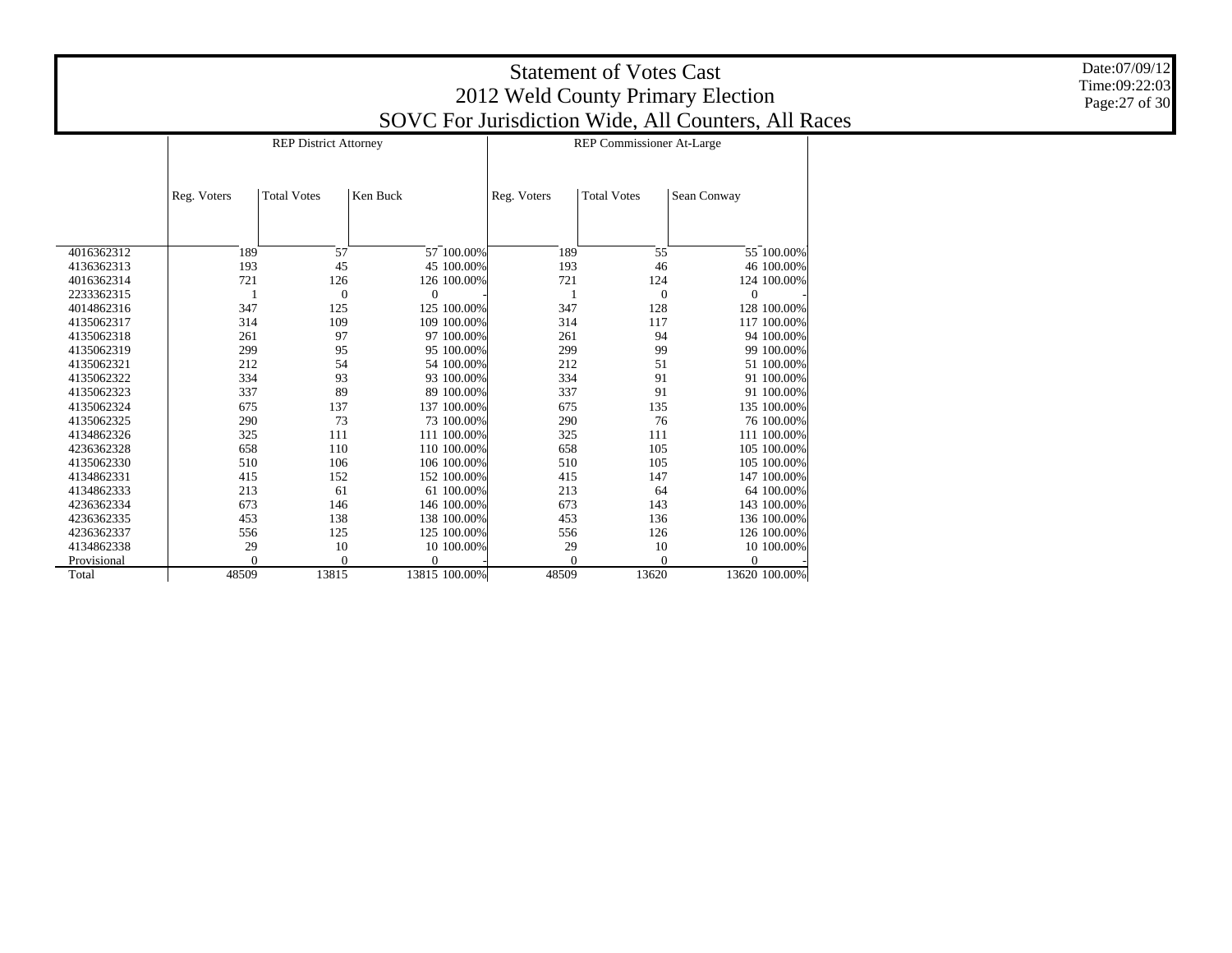## Statement of Votes Cast 2012 Weld County Primary Election SOVC For Jurisdiction Wide, All Counters, All Races

Date:07/09/12 Time:09:22:03 Page:27 of 30

|             |             | <b>REP District Attorney</b> |                  | <b>REP Commissioner At-Large</b> |                    |                  |  |  |  |
|-------------|-------------|------------------------------|------------------|----------------------------------|--------------------|------------------|--|--|--|
|             | Reg. Voters | <b>Total Votes</b>           | Ken Buck         | Reg. Voters                      | <b>Total Votes</b> | Sean Conway      |  |  |  |
|             |             |                              |                  |                                  |                    |                  |  |  |  |
| 4016362312  | 189         | 57                           | 57 100.00%       | 189                              | 55                 | 55 100.00%       |  |  |  |
| 4136362313  | 193         | 45                           | 45 100.00%       | 193                              | 46                 | 46 100.00%       |  |  |  |
| 4016362314  | 721         | 126                          | 126 100.00%      | 721                              | 124                | 124 100.00%      |  |  |  |
| 2233362315  | 1           | $\mathbf{0}$                 | $\boldsymbol{0}$ | 1                                | $\boldsymbol{0}$   | $\boldsymbol{0}$ |  |  |  |
| 4014862316  | 347         | 125                          | 125 100.00%      | 347                              | 128                | 128 100.00%      |  |  |  |
| 4135062317  | 314         | 109                          | 109 100.00%      | 314                              | 117                | 117 100.00%      |  |  |  |
| 4135062318  | 261         | 97                           | 97 100.00%       | 261                              | 94                 | 94 100.00%       |  |  |  |
| 4135062319  | 299         | 95                           | 95 100.00%       | 299                              | 99                 | 99 100.00%       |  |  |  |
| 4135062321  | 212         | 54                           | 54 100.00%       | 212                              | 51                 | 51 100.00%       |  |  |  |
| 4135062322  | 334         | 93                           | 93 100.00%       | 334                              | 91                 | 91 100.00%       |  |  |  |
| 4135062323  | 337         | 89                           | 89 100.00%       | 337                              | 91                 | 91 100.00%       |  |  |  |
| 4135062324  | 675         | 137                          | 137 100.00%      | 675                              | 135                | 135 100.00%      |  |  |  |
| 4135062325  | 290         | 73                           | 73 100.00%       | 290                              | 76                 | 76 100.00%       |  |  |  |
| 4134862326  | 325         | 111                          | 111 100.00%      | 325                              | 111                | 111 100.00%      |  |  |  |
| 4236362328  | 658         | 110                          | 110 100.00%      | 658                              | 105                | 105 100.00%      |  |  |  |
| 4135062330  | 510         | 106                          | 106 100.00%      | 510                              | 105                | 105 100.00%      |  |  |  |
| 4134862331  | 415         | 152                          | 152 100.00%      | 415                              | 147                | 147 100.00%      |  |  |  |
| 4134862333  | 213         | 61                           | 61 100.00%       | 213                              | 64                 | 64 100.00%       |  |  |  |
| 4236362334  | 673         | 146                          | 146 100.00%      | 673                              | 143                | 143 100.00%      |  |  |  |
| 4236362335  | 453         | 138                          | 138 100.00%      | 453                              | 136                | 136 100.00%      |  |  |  |
| 4236362337  | 556         | 125                          | 125 100.00%      | 556                              | 126                | 126 100.00%      |  |  |  |
| 4134862338  | 29          | 10                           | 10 100.00%       | 29                               | 10                 | 10 100.00%       |  |  |  |
| Provisional | $\Omega$    | $\theta$                     | $\theta$         | $\theta$                         | $\theta$           | $\theta$         |  |  |  |
| Total       | 48509       | 13815                        | 13815 100.00%    | 48509                            | 13620              | 13620 100.00%    |  |  |  |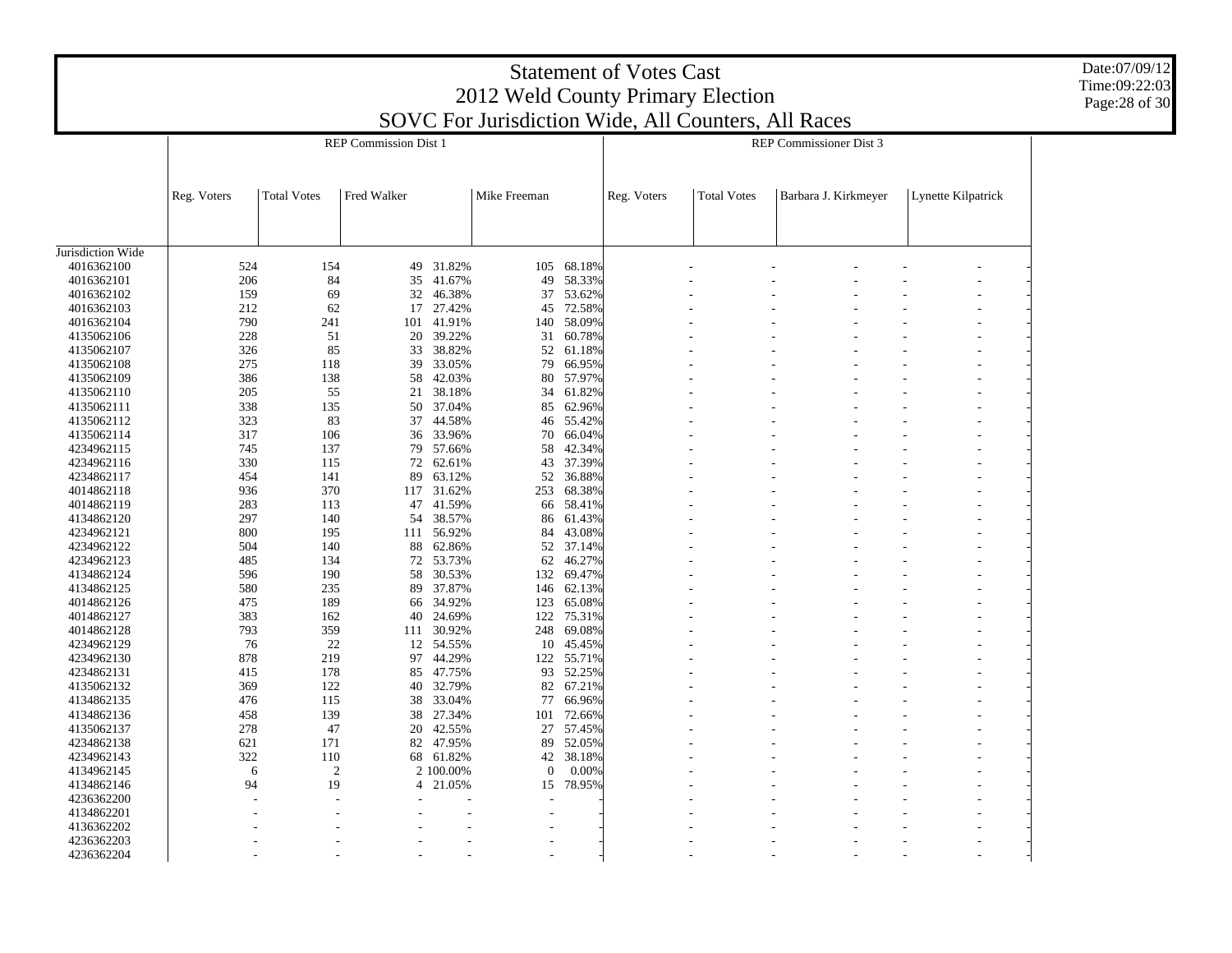| <b>Statement of Votes Cast</b><br>2012 Weld County Primary Election<br>SOVC For Jurisdiction Wide, All Counters, All Races |             |                    |                              |                |                  |                    |                         |                    |  |  |  |  |
|----------------------------------------------------------------------------------------------------------------------------|-------------|--------------------|------------------------------|----------------|------------------|--------------------|-------------------------|--------------------|--|--|--|--|
|                                                                                                                            |             |                    | <b>REP Commission Dist 1</b> |                |                  |                    | REP Commissioner Dist 3 |                    |  |  |  |  |
|                                                                                                                            |             |                    |                              |                |                  |                    |                         |                    |  |  |  |  |
|                                                                                                                            | Reg. Voters | <b>Total Votes</b> | Fred Walker                  | Mike Freeman   | Reg. Voters      | <b>Total Votes</b> | Barbara J. Kirkmeyer    | Lynette Kilpatrick |  |  |  |  |
|                                                                                                                            |             |                    |                              |                |                  |                    |                         |                    |  |  |  |  |
| Jurisdiction Wide                                                                                                          |             |                    |                              |                |                  |                    |                         |                    |  |  |  |  |
| 4016362100                                                                                                                 | 524         | 154                | 49 31.82%                    |                | 105 68.18%       |                    |                         |                    |  |  |  |  |
| 4016362101                                                                                                                 | 206         | 84                 | 35 41.67%                    | 49             | 58.33%           |                    |                         |                    |  |  |  |  |
| 4016362102                                                                                                                 | 159         | 69                 | 46.38%<br>32                 | 37             | 53.62%           |                    |                         |                    |  |  |  |  |
| 4016362103                                                                                                                 | 212         | 62                 | 17 27.42%                    |                | 45 72.58%        |                    |                         |                    |  |  |  |  |
| 4016362104                                                                                                                 | 790         | 241                | 41.91%<br>101                | 140            | 58.09%           |                    |                         |                    |  |  |  |  |
| 4135062106                                                                                                                 | 228         | 51                 | 20 39.22%                    | 31             | 60.78%           |                    |                         |                    |  |  |  |  |
| 4135062107                                                                                                                 | 326         | 85                 | 38.82%<br>33                 | 52             | 61.18%           |                    |                         |                    |  |  |  |  |
| 4135062108                                                                                                                 | 275         | 118                | 39 33.05%                    | 79             | 66.95%           |                    |                         |                    |  |  |  |  |
| 4135062109                                                                                                                 | 386         | 138                | 42.03%<br>58                 | 80             | 57.97%           |                    |                         |                    |  |  |  |  |
| 4135062110                                                                                                                 | 205         | 55                 | 21 38.18%                    | 34             | 61.82%           |                    |                         |                    |  |  |  |  |
| 4135062111                                                                                                                 | 338         | 135                | 37.04%<br>50                 | 85             | 62.96%           |                    |                         |                    |  |  |  |  |
| 4135062112                                                                                                                 | 323         | 83                 | 37 44.58%                    | 46             | 55.42%           |                    |                         |                    |  |  |  |  |
| 4135062114                                                                                                                 | 317         | 106                | 36 33.96%                    | 70             | 66.04%           |                    |                         |                    |  |  |  |  |
| 4234962115                                                                                                                 | 745         | 137                | 79 57.66%                    | 58             | 42.34%           |                    |                         |                    |  |  |  |  |
| 4234962116                                                                                                                 | 330         | 115                | 62.61%<br>72                 | 43             | 37.39%           |                    |                         |                    |  |  |  |  |
| 4234862117                                                                                                                 | 454         | 141                | 63.12%<br>89                 | 52             | 36.88%           |                    |                         |                    |  |  |  |  |
| 4014862118                                                                                                                 | 936         | 370                | 117 31.62%                   | 253            | 68.38%           |                    |                         |                    |  |  |  |  |
| 4014862119                                                                                                                 | 283         | 113                | 47 41.59%                    | 66             | 58.41%           |                    |                         |                    |  |  |  |  |
| 4134862120                                                                                                                 | 297         | 140                | 54 38.57%                    | 86             | 61.43%           |                    |                         |                    |  |  |  |  |
| 4234962121                                                                                                                 | 800         | 195                | 111 56.92%                   | 84             | 43.08%           |                    |                         |                    |  |  |  |  |
| 4234962122                                                                                                                 | 504         | 140                | 62.86%<br>88                 | 52             | 37.14%           |                    |                         |                    |  |  |  |  |
| 4234962123                                                                                                                 | 485         | 134                | 72 53.73%                    | 62             | 46.27%           |                    |                         |                    |  |  |  |  |
| 4134862124                                                                                                                 | 596         | 190                | 30.53%<br>58                 | 132            | 69.47%           |                    |                         |                    |  |  |  |  |
| 4134862125                                                                                                                 | 580         | 235                | 89 37.87%                    | 146            | 62.13%           |                    |                         |                    |  |  |  |  |
| 4014862126                                                                                                                 | 475         | 189                | 34.92%<br>66                 | 123            | 65.08%           |                    |                         |                    |  |  |  |  |
| 4014862127<br>4014862128                                                                                                   | 383<br>793  | 162<br>359         | 40 24.69%<br>30.92%          | 122            | 75.31%<br>69.08% |                    |                         |                    |  |  |  |  |
| 4234962129                                                                                                                 |             | 22                 | 111                          | 248            | 45.45%           |                    |                         |                    |  |  |  |  |
| 4234962130                                                                                                                 | 76<br>878   | 219                | 12 54.55%<br>44.29%<br>97    | 10             | 55.71%           |                    |                         |                    |  |  |  |  |
| 4234862131                                                                                                                 |             | 178                | 85 47.75%                    | 122<br>93      | 52.25%           |                    |                         |                    |  |  |  |  |
| 4135062132                                                                                                                 | 415         | 122                | 32.79%                       | 82             | 67.21%           |                    |                         |                    |  |  |  |  |
| 4134862135                                                                                                                 | 369<br>476  | 115                | 40<br>38 33.04%              | 77             | 66.96%           |                    |                         |                    |  |  |  |  |
| 4134862136                                                                                                                 | 458         | 139                | 27.34%<br>38                 | 101            | 72.66%           |                    |                         |                    |  |  |  |  |
| 4135062137                                                                                                                 | 278         | 47                 | 20 42.55%                    |                | 27 57.45%        |                    |                         |                    |  |  |  |  |
| 4234862138                                                                                                                 | 621         | 171                | 82<br>47.95%                 |                | 89 52.05%        |                    |                         |                    |  |  |  |  |
| 4234962143                                                                                                                 | 322         | 110                | 68 61.82%                    |                | 42 38.18%        |                    |                         |                    |  |  |  |  |
| 4134962145                                                                                                                 | 6           | $\overline{c}$     | 2 100.00%                    | $\overline{0}$ | 0.00%            |                    |                         |                    |  |  |  |  |
| 4134862146                                                                                                                 | 94          | 19                 | 4 21.05%                     |                | 15 78.95%        |                    |                         |                    |  |  |  |  |
| 4236362200                                                                                                                 |             |                    |                              |                |                  |                    |                         |                    |  |  |  |  |
| 4134862201                                                                                                                 |             |                    |                              |                |                  |                    |                         |                    |  |  |  |  |
| 4136362202                                                                                                                 |             |                    |                              |                |                  |                    |                         |                    |  |  |  |  |
| 4236362203                                                                                                                 |             |                    |                              |                |                  |                    |                         |                    |  |  |  |  |
| 4236362204                                                                                                                 |             |                    |                              |                |                  |                    |                         |                    |  |  |  |  |
|                                                                                                                            |             |                    |                              |                |                  |                    |                         |                    |  |  |  |  |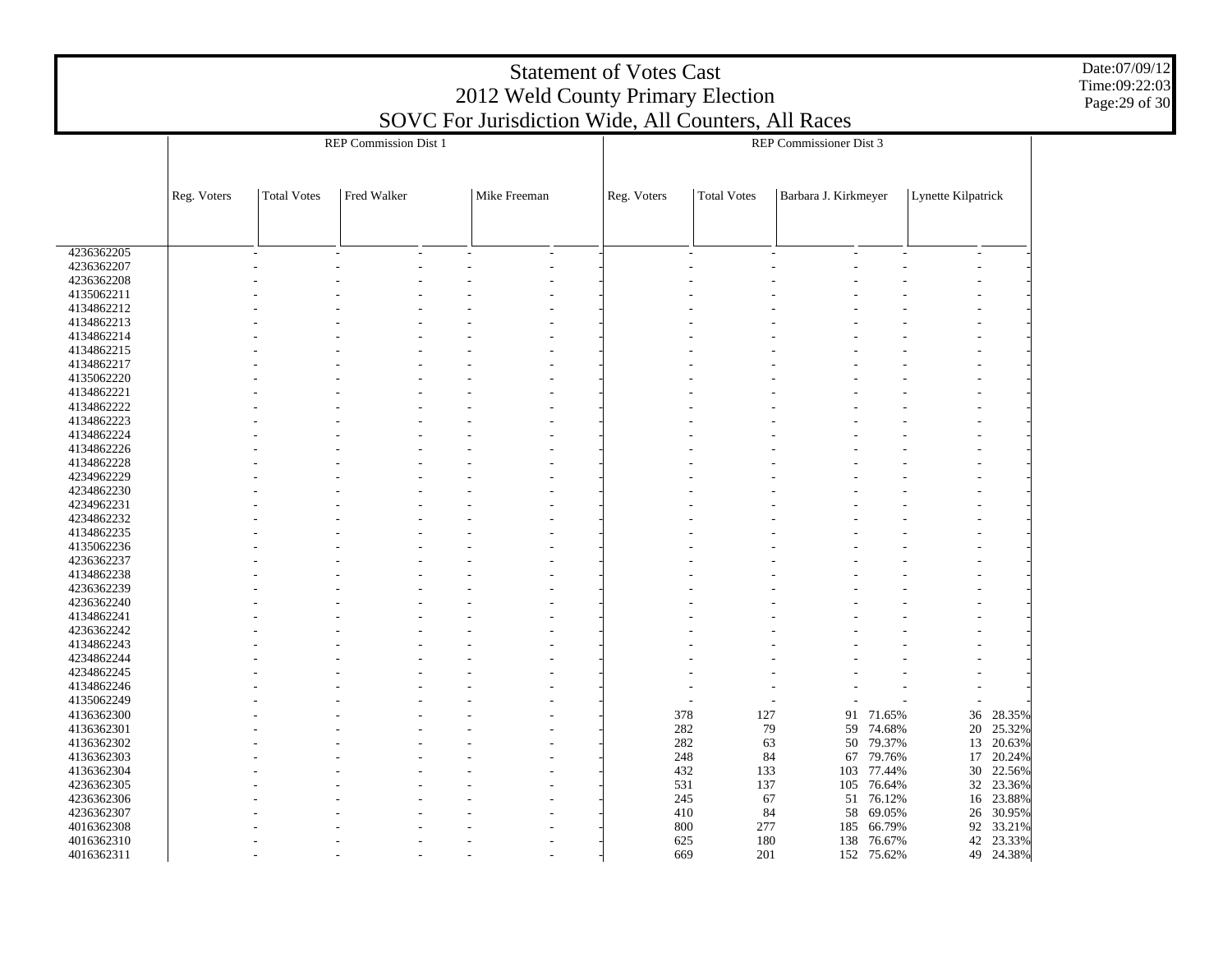|                                        | <b>Statement of Votes Cast</b><br>2012 Weld County Primary Election<br>SOVC For Jurisdiction Wide, All Counters, All Races |                    |                              |              |                   |                        |                      |                                        |                                           |  |  |  |
|----------------------------------------|----------------------------------------------------------------------------------------------------------------------------|--------------------|------------------------------|--------------|-------------------|------------------------|----------------------|----------------------------------------|-------------------------------------------|--|--|--|
|                                        |                                                                                                                            |                    | <b>REP Commission Dist 1</b> |              |                   |                        |                      |                                        |                                           |  |  |  |
|                                        |                                                                                                                            |                    |                              |              |                   |                        |                      |                                        |                                           |  |  |  |
|                                        | Reg. Voters                                                                                                                | <b>Total Votes</b> | Fred Walker                  | Mike Freeman | Reg. Voters       | <b>Total Votes</b>     | Barbara J. Kirkmeyer |                                        | Lynette Kilpatrick                        |  |  |  |
|                                        |                                                                                                                            |                    |                              |              |                   |                        |                      |                                        |                                           |  |  |  |
| 4236362205<br>4236362207<br>4236362208 |                                                                                                                            |                    |                              |              |                   |                        |                      |                                        |                                           |  |  |  |
| 4135062211<br>4134862212               |                                                                                                                            |                    |                              |              |                   |                        |                      |                                        |                                           |  |  |  |
| 4134862213<br>4134862214<br>4134862215 |                                                                                                                            |                    |                              |              |                   |                        |                      |                                        |                                           |  |  |  |
| 4134862217<br>4135062220<br>4134862221 |                                                                                                                            |                    |                              |              |                   |                        |                      |                                        |                                           |  |  |  |
| 4134862222<br>4134862223               |                                                                                                                            |                    |                              |              |                   |                        |                      |                                        |                                           |  |  |  |
| 4134862224<br>4134862226<br>4134862228 |                                                                                                                            |                    |                              |              |                   |                        |                      |                                        |                                           |  |  |  |
| 4234962229<br>4234862230<br>4234962231 |                                                                                                                            |                    |                              |              |                   |                        |                      |                                        |                                           |  |  |  |
| 4234862232<br>4134862235<br>4135062236 |                                                                                                                            |                    |                              |              |                   |                        |                      |                                        |                                           |  |  |  |
| 4236362237<br>4134862238<br>4236362239 |                                                                                                                            |                    |                              |              |                   |                        |                      |                                        |                                           |  |  |  |
| 4236362240<br>4134862241               |                                                                                                                            |                    |                              |              |                   |                        |                      |                                        |                                           |  |  |  |
| 4236362242<br>4134862243<br>4234862244 |                                                                                                                            |                    |                              |              |                   |                        |                      |                                        |                                           |  |  |  |
| 4234862245<br>4134862246<br>4135062249 |                                                                                                                            |                    |                              |              |                   |                        |                      |                                        |                                           |  |  |  |
| 4136362300<br>4136362301<br>4136362302 |                                                                                                                            |                    |                              |              | 378<br>282        | 127<br>79<br>282<br>63 | 91<br>59             | 71.65%<br>74.68%<br>50 79.37%          | 28.35%<br>36<br>20 25.32%<br>13 20.63%    |  |  |  |
| 4136362303<br>4136362304<br>4236362305 |                                                                                                                            |                    |                              |              | 248<br>432<br>531 | 84<br>133<br>137       | 105                  | 67 79.76%<br>103 77.44%<br>76.64%      | 20.24%<br>17<br>30 22.56%<br>32 23.36%    |  |  |  |
| 4236362306<br>4236362307               |                                                                                                                            |                    |                              |              | 245<br>410        | 67<br>84               |                      | 51 76.12%<br>58 69.05%                 | 16 23.88%<br>26 30.95%                    |  |  |  |
| 4016362308<br>4016362310<br>4016362311 |                                                                                                                            |                    | $\overline{\phantom{a}}$     |              | 800<br>625<br>669 | 277<br>180<br>201      |                      | 185 66.79%<br>138 76.67%<br>152 75.62% | 92<br>33.21%<br>23.33%<br>42<br>49 24.38% |  |  |  |